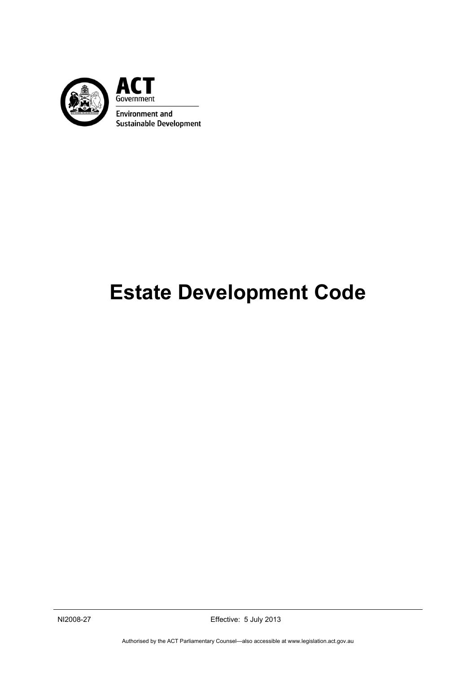

# **Estate Development Code**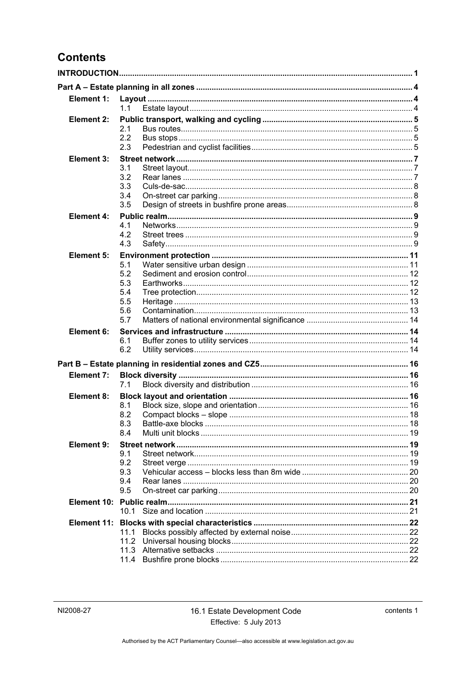# **Contents**

| <b>Element 1:</b> |            |  |  |
|-------------------|------------|--|--|
|                   | 1.1        |  |  |
| Element 2:        | 2.1        |  |  |
|                   | 2.2        |  |  |
|                   | 2.3        |  |  |
| Element 3:        |            |  |  |
|                   | 3.1        |  |  |
|                   | 3.2<br>3.3 |  |  |
|                   | 3.4        |  |  |
|                   | 3.5        |  |  |
| <b>Element 4:</b> |            |  |  |
|                   | 4.1        |  |  |
|                   | 4.2<br>4.3 |  |  |
| Element 5:        |            |  |  |
|                   | 5.1        |  |  |
|                   | 5.2        |  |  |
|                   | 5.3        |  |  |
|                   | 5.4<br>5.5 |  |  |
|                   | 5.6        |  |  |
|                   | 5.7        |  |  |
| Element 6:        |            |  |  |
|                   | 6.1        |  |  |
|                   | 6.2        |  |  |
|                   |            |  |  |
| <b>Element 7:</b> |            |  |  |
|                   | 7.1        |  |  |
| Element 8:        | 8.1        |  |  |
|                   | 8.2        |  |  |
|                   | 8.3        |  |  |
|                   | 8.4        |  |  |
| Element 9:        | 9.1        |  |  |
|                   | 9.2        |  |  |
|                   | 9.3        |  |  |
|                   | 9.4        |  |  |
|                   | 9.5        |  |  |
|                   | 10.1       |  |  |
|                   |            |  |  |
|                   | 11.1       |  |  |
|                   | 11.2       |  |  |
|                   |            |  |  |
|                   | 11.4       |  |  |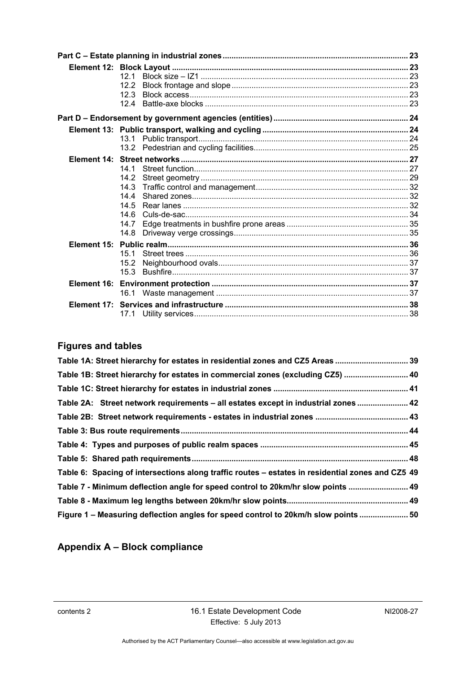| 12.1         |  |
|--------------|--|
| 12.2         |  |
| 12.3         |  |
| 12.4         |  |
|              |  |
|              |  |
|              |  |
|              |  |
|              |  |
| 14.1         |  |
| 14.2         |  |
| 14.3         |  |
| 144          |  |
| 14.5         |  |
| 14.6         |  |
| 14.7         |  |
| 14.8         |  |
|              |  |
| 151          |  |
| 15.2<br>15.3 |  |
|              |  |
|              |  |
|              |  |
|              |  |
| 17.1         |  |

# **Figures and tables**

| Table 1B: Street hierarchy for estates in commercial zones (excluding CZ5)  40<br>Table 2A: Street network requirements - all estates except in industrial zones  42<br>Table 6: Spacing of intersections along traffic routes – estates in residential zones and CZ5 49<br>Table 7 - Minimum deflection angle for speed control to 20km/hr slow points  49<br>Figure 1 - Measuring deflection angles for speed control to 20km/h slow points  50 | Table 1A: Street hierarchy for estates in residential zones and CZ5 Areas  39 |  |
|---------------------------------------------------------------------------------------------------------------------------------------------------------------------------------------------------------------------------------------------------------------------------------------------------------------------------------------------------------------------------------------------------------------------------------------------------|-------------------------------------------------------------------------------|--|
|                                                                                                                                                                                                                                                                                                                                                                                                                                                   |                                                                               |  |
|                                                                                                                                                                                                                                                                                                                                                                                                                                                   |                                                                               |  |
|                                                                                                                                                                                                                                                                                                                                                                                                                                                   |                                                                               |  |
|                                                                                                                                                                                                                                                                                                                                                                                                                                                   |                                                                               |  |
|                                                                                                                                                                                                                                                                                                                                                                                                                                                   |                                                                               |  |
|                                                                                                                                                                                                                                                                                                                                                                                                                                                   |                                                                               |  |
|                                                                                                                                                                                                                                                                                                                                                                                                                                                   |                                                                               |  |
|                                                                                                                                                                                                                                                                                                                                                                                                                                                   |                                                                               |  |
|                                                                                                                                                                                                                                                                                                                                                                                                                                                   |                                                                               |  |
|                                                                                                                                                                                                                                                                                                                                                                                                                                                   |                                                                               |  |
|                                                                                                                                                                                                                                                                                                                                                                                                                                                   |                                                                               |  |

# **Appendix A – Block compliance**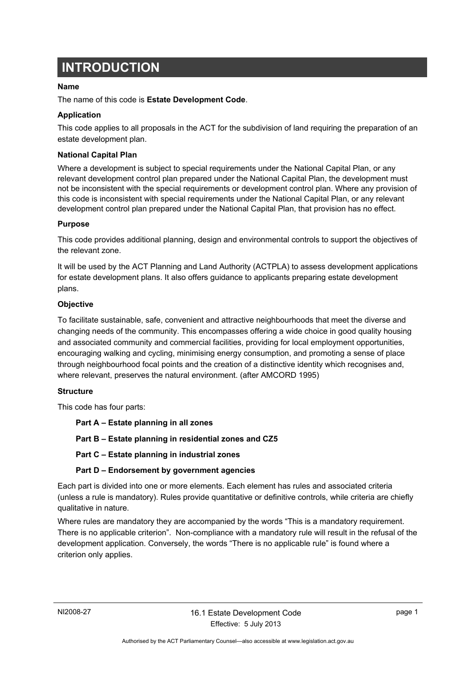# <span id="page-4-0"></span>**INTRODUCTION**

# **Name**

The name of this code is **Estate Development Code**.

# **Application**

This code applies to all proposals in the ACT for the subdivision of land requiring the preparation of an estate development plan.

### **National Capital Plan**

Where a development is subject to special requirements under the National Capital Plan, or any relevant development control plan prepared under the National Capital Plan, the development must not be inconsistent with the special requirements or development control plan. Where any provision of this code is inconsistent with special requirements under the National Capital Plan, or any relevant development control plan prepared under the National Capital Plan, that provision has no effect.

# **Purpose**

This code provides additional planning, design and environmental controls to support the objectives of the relevant zone.

It will be used by the ACT Planning and Land Authority (ACTPLA) to assess development applications for estate development plans. It also offers guidance to applicants preparing estate development plans.

# **Objective**

To facilitate sustainable, safe, convenient and attractive neighbourhoods that meet the diverse and changing needs of the community. This encompasses offering a wide choice in good quality housing and associated community and commercial facilities, providing for local employment opportunities, encouraging walking and cycling, minimising energy consumption, and promoting a sense of place through neighbourhood focal points and the creation of a distinctive identity which recognises and, where relevant, preserves the natural environment. (after AMCORD 1995)

### **Structure**

This code has four parts:

**Part A – Estate planning in all zones** 

**Part B – Estate planning in residential zones and CZ5** 

**Part C – Estate planning in industrial zones** 

# **Part D – Endorsement by government agencies**

Each part is divided into one or more elements. Each element has rules and associated criteria (unless a rule is mandatory). Rules provide quantitative or definitive controls, while criteria are chiefly qualitative in nature.

Where rules are mandatory they are accompanied by the words "This is a mandatory requirement. There is no applicable criterion". Non-compliance with a mandatory rule will result in the refusal of the development application. Conversely, the words "There is no applicable rule" is found where a criterion only applies.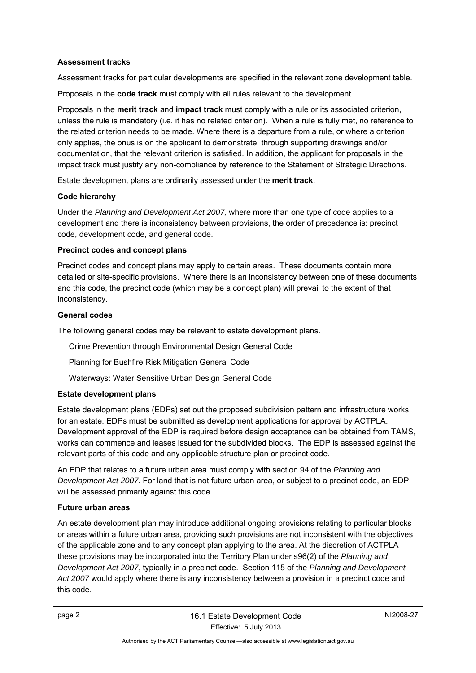# **Assessment tracks**

Assessment tracks for particular developments are specified in the relevant zone development table.

Proposals in the **code track** must comply with all rules relevant to the development.

Proposals in the **merit track** and **impact track** must comply with a rule or its associated criterion, unless the rule is mandatory (i.e. it has no related criterion). When a rule is fully met, no reference to the related criterion needs to be made. Where there is a departure from a rule, or where a criterion only applies, the onus is on the applicant to demonstrate, through supporting drawings and/or documentation, that the relevant criterion is satisfied. In addition, the applicant for proposals in the impact track must justify any non-compliance by reference to the Statement of Strategic Directions.

Estate development plans are ordinarily assessed under the **merit track**.

#### **Code hierarchy**

Under the *Planning and Development Act 2007,* where more than one type of code applies to a development and there is inconsistency between provisions, the order of precedence is: precinct code, development code, and general code.

### **Precinct codes and concept plans**

Precinct codes and concept plans may apply to certain areas. These documents contain more detailed or site-specific provisions. Where there is an inconsistency between one of these documents and this code, the precinct code (which may be a concept plan) will prevail to the extent of that inconsistency.

#### **General codes**

The following general codes may be relevant to estate development plans.

Crime Prevention through Environmental Design General Code

Planning for Bushfire Risk Mitigation General Code

Waterways: Water Sensitive Urban Design General Code

### **Estate development plans**

Estate development plans (EDPs) set out the proposed subdivision pattern and infrastructure works for an estate. EDPs must be submitted as development applications for approval by ACTPLA. Development approval of the EDP is required before design acceptance can be obtained from TAMS, works can commence and leases issued for the subdivided blocks. The EDP is assessed against the relevant parts of this code and any applicable structure plan or precinct code.

An EDP that relates to a future urban area must comply with section 94 of the *Planning and Development Act 2007.* For land that is not future urban area, or subject to a precinct code, an EDP will be assessed primarily against this code.

### **Future urban areas**

An estate development plan may introduce additional ongoing provisions relating to particular blocks or areas within a future urban area, providing such provisions are not inconsistent with the objectives of the applicable zone and to any concept plan applying to the area. At the discretion of ACTPLA these provisions may be incorporated into the Territory Plan under s96(2) of the *Planning and Development Act 2007*, typically in a precinct code. Section 115 of the *Planning and Development Act 2007* would apply where there is any inconsistency between a provision in a precinct code and this code.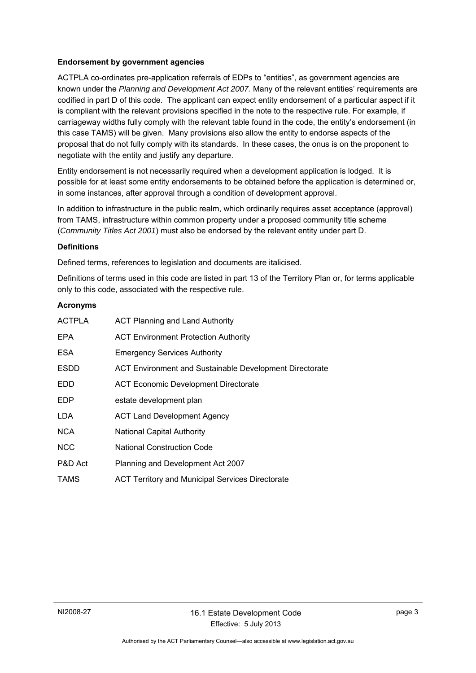# **Endorsement by government agencies**

ACTPLA co-ordinates pre-application referrals of EDPs to "entities", as government agencies are known under the *Planning and Development Act 2007.* Many of the relevant entities' requirements are codified in part D of this code. The applicant can expect entity endorsement of a particular aspect if it is compliant with the relevant provisions specified in the note to the respective rule. For example, if carriageway widths fully comply with the relevant table found in the code, the entity's endorsement (in this case TAMS) will be given. Many provisions also allow the entity to endorse aspects of the proposal that do not fully comply with its standards. In these cases, the onus is on the proponent to negotiate with the entity and justify any departure.

Entity endorsement is not necessarily required when a development application is lodged. It is possible for at least some entity endorsements to be obtained before the application is determined or, in some instances, after approval through a condition of development approval.

In addition to infrastructure in the public realm, which ordinarily requires asset acceptance (approval) from TAMS, infrastructure within common property under a proposed community title scheme (*Community Titles Act 2001*) must also be endorsed by the relevant entity under part D.

# **Definitions**

Defined terms, references to legislation and documents are italicised.

Definitions of terms used in this code are listed in part 13 of the Territory Plan or, for terms applicable only to this code, associated with the respective rule.

# **Acronyms**

| <b>ACTPLA</b> | <b>ACT Planning and Land Authority</b>                  |
|---------------|---------------------------------------------------------|
| <b>EPA</b>    | <b>ACT Environment Protection Authority</b>             |
| <b>ESA</b>    | <b>Emergency Services Authority</b>                     |
| <b>ESDD</b>   | ACT Environment and Sustainable Development Directorate |
| <b>EDD</b>    | <b>ACT Economic Development Directorate</b>             |
| <b>EDP</b>    | estate development plan                                 |
| LDA           | <b>ACT Land Development Agency</b>                      |
| <b>NCA</b>    | <b>National Capital Authority</b>                       |
| <b>NCC</b>    | <b>National Construction Code</b>                       |
| P&D Act       | Planning and Development Act 2007                       |
| <b>TAMS</b>   | <b>ACT Territory and Municipal Services Directorate</b> |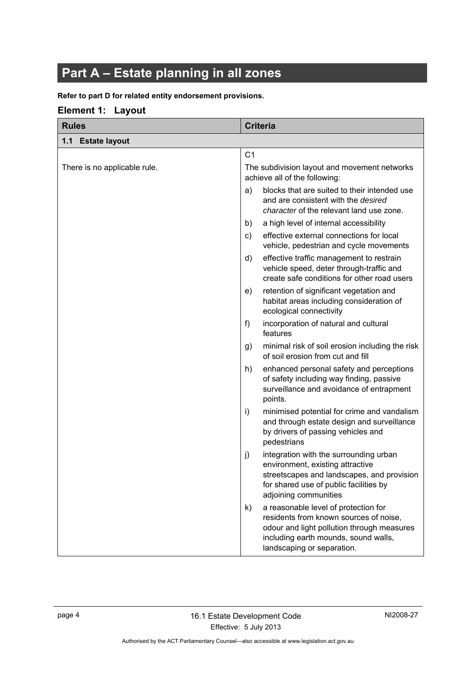# <span id="page-7-0"></span>**Part A – Estate planning in all zones**

### **Refer to part D for related entity endorsement provisions.**

# <span id="page-7-1"></span>**Element 1: Layout**

<span id="page-7-2"></span>

| <b>Rules</b>                 | <b>Criteria</b>                                                                                                                                                                                          |
|------------------------------|----------------------------------------------------------------------------------------------------------------------------------------------------------------------------------------------------------|
| 1.1 Estate layout            |                                                                                                                                                                                                          |
|                              | C <sub>1</sub>                                                                                                                                                                                           |
| There is no applicable rule. | The subdivision layout and movement networks<br>achieve all of the following:                                                                                                                            |
|                              | blocks that are suited to their intended use<br>a)<br>and are consistent with the desired<br>character of the relevant land use zone.                                                                    |
|                              | a high level of internal accessibility<br>b)                                                                                                                                                             |
|                              | effective external connections for local<br>c)<br>vehicle, pedestrian and cycle movements                                                                                                                |
|                              | effective traffic management to restrain<br>d)<br>vehicle speed, deter through-traffic and<br>create safe conditions for other road users                                                                |
|                              | retention of significant vegetation and<br>e)<br>habitat areas including consideration of<br>ecological connectivity                                                                                     |
|                              | incorporation of natural and cultural<br>f<br>features                                                                                                                                                   |
|                              | minimal risk of soil erosion including the risk<br>g)<br>of soil erosion from cut and fill                                                                                                               |
|                              | enhanced personal safety and perceptions<br>h)<br>of safety including way finding, passive<br>surveillance and avoidance of entrapment<br>points.                                                        |
|                              | minimised potential for crime and vandalism<br>i)<br>and through estate design and surveillance<br>by drivers of passing vehicles and<br>pedestrians                                                     |
|                              | integration with the surrounding urban<br>j)<br>environment, existing attractive<br>streetscapes and landscapes, and provision<br>for shared use of public facilities by<br>adjoining communities        |
|                              | a reasonable level of protection for<br>k)<br>residents from known sources of noise,<br>odour and light pollution through measures<br>including earth mounds, sound walls,<br>landscaping or separation. |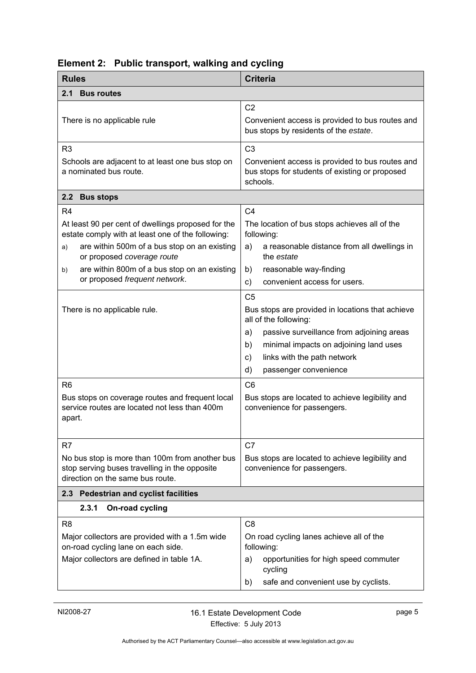<span id="page-8-3"></span><span id="page-8-2"></span><span id="page-8-1"></span>

| <b>Rules</b>                                                                                                                                                                                                                                                        | <b>Criteria</b>                                                                                                                                                                                                                                                                                                                                                        |
|---------------------------------------------------------------------------------------------------------------------------------------------------------------------------------------------------------------------------------------------------------------------|------------------------------------------------------------------------------------------------------------------------------------------------------------------------------------------------------------------------------------------------------------------------------------------------------------------------------------------------------------------------|
| <b>Bus routes</b><br>2.1                                                                                                                                                                                                                                            |                                                                                                                                                                                                                                                                                                                                                                        |
| There is no applicable rule                                                                                                                                                                                                                                         | C <sub>2</sub><br>Convenient access is provided to bus routes and<br>bus stops by residents of the estate.                                                                                                                                                                                                                                                             |
| R <sub>3</sub>                                                                                                                                                                                                                                                      | C <sub>3</sub>                                                                                                                                                                                                                                                                                                                                                         |
| Schools are adjacent to at least one bus stop on<br>a nominated bus route.                                                                                                                                                                                          | Convenient access is provided to bus routes and<br>bus stops for students of existing or proposed<br>schools.                                                                                                                                                                                                                                                          |
| 2.2 Bus stops                                                                                                                                                                                                                                                       |                                                                                                                                                                                                                                                                                                                                                                        |
| R <sub>4</sub><br>At least 90 per cent of dwellings proposed for the<br>estate comply with at least one of the following:<br>are within 500m of a bus stop on an existing<br>a)<br>or proposed coverage route<br>are within 800m of a bus stop on an existing<br>b) | C <sub>4</sub><br>The location of bus stops achieves all of the<br>following:<br>a reasonable distance from all dwellings in<br>a)<br>the <i>estate</i><br>reasonable way-finding<br>b)                                                                                                                                                                                |
| or proposed frequent network.                                                                                                                                                                                                                                       | convenient access for users.<br>C)                                                                                                                                                                                                                                                                                                                                     |
| There is no applicable rule.<br>R <sub>6</sub><br>Bus stops on coverage routes and frequent local<br>service routes are located not less than 400m<br>apart.                                                                                                        | C <sub>5</sub><br>Bus stops are provided in locations that achieve<br>all of the following:<br>passive surveillance from adjoining areas<br>a)<br>minimal impacts on adjoining land uses<br>b)<br>links with the path network<br>c)<br>d)<br>passenger convenience<br>C <sub>6</sub><br>Bus stops are located to achieve legibility and<br>convenience for passengers. |
| R <sub>7</sub><br>No bus stop is more than 100m from another bus<br>stop serving buses travelling in the opposite<br>direction on the same bus route.                                                                                                               | C7<br>Bus stops are located to achieve legibility and<br>convenience for passengers.                                                                                                                                                                                                                                                                                   |
| 2.3 Pedestrian and cyclist facilities<br>2.3.1<br>On-road cycling                                                                                                                                                                                                   |                                                                                                                                                                                                                                                                                                                                                                        |
| R <sub>8</sub><br>Major collectors are provided with a 1.5m wide<br>on-road cycling lane on each side.<br>Major collectors are defined in table 1A.                                                                                                                 | C <sub>8</sub><br>On road cycling lanes achieve all of the<br>following:<br>opportunities for high speed commuter<br>a)<br>cycling<br>safe and convenient use by cyclists.<br>b)                                                                                                                                                                                       |

# <span id="page-8-0"></span>**Element 2: Public transport, walking and cycling**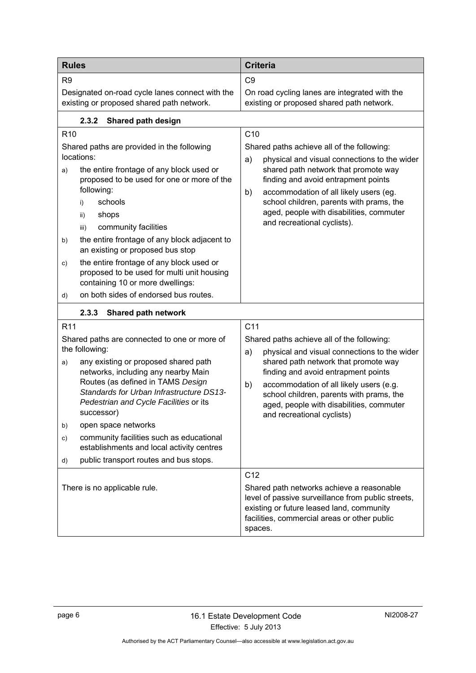| <b>Rules</b>                                                                                                                                                                                                                                                                                                                                                                                                                                                                                | <b>Criteria</b>                                                                                                                                                                                                                                                                                                                                                           |  |
|---------------------------------------------------------------------------------------------------------------------------------------------------------------------------------------------------------------------------------------------------------------------------------------------------------------------------------------------------------------------------------------------------------------------------------------------------------------------------------------------|---------------------------------------------------------------------------------------------------------------------------------------------------------------------------------------------------------------------------------------------------------------------------------------------------------------------------------------------------------------------------|--|
| R <sub>9</sub>                                                                                                                                                                                                                                                                                                                                                                                                                                                                              | C <sub>9</sub>                                                                                                                                                                                                                                                                                                                                                            |  |
| Designated on-road cycle lanes connect with the<br>existing or proposed shared path network.                                                                                                                                                                                                                                                                                                                                                                                                | On road cycling lanes are integrated with the<br>existing or proposed shared path network.                                                                                                                                                                                                                                                                                |  |
| 2.3.2<br>Shared path design                                                                                                                                                                                                                                                                                                                                                                                                                                                                 |                                                                                                                                                                                                                                                                                                                                                                           |  |
| R <sub>10</sub><br>Shared paths are provided in the following<br>locations:<br>the entire frontage of any block used or<br>a)<br>proposed to be used for one or more of the<br>following:<br>schools<br>i)<br>shops<br>ii)<br>community facilities<br>iii)<br>the entire frontage of any block adjacent to<br>b)<br>an existing or proposed bus stop                                                                                                                                        | C <sub>10</sub><br>Shared paths achieve all of the following:<br>physical and visual connections to the wider<br>a)<br>shared path network that promote way<br>finding and avoid entrapment points<br>accommodation of all likely users (eg.<br>b)<br>school children, parents with prams, the<br>aged, people with disabilities, commuter<br>and recreational cyclists). |  |
| the entire frontage of any block used or<br>c)<br>proposed to be used for multi unit housing<br>containing 10 or more dwellings:<br>on both sides of endorsed bus routes.<br>d)                                                                                                                                                                                                                                                                                                             |                                                                                                                                                                                                                                                                                                                                                                           |  |
| 2.3.3<br><b>Shared path network</b>                                                                                                                                                                                                                                                                                                                                                                                                                                                         |                                                                                                                                                                                                                                                                                                                                                                           |  |
| R <sub>11</sub><br>Shared paths are connected to one or more of<br>the following:<br>any existing or proposed shared path<br>a)<br>networks, including any nearby Main<br>Routes (as defined in TAMS Design<br>Standards for Urban Infrastructure DS13-<br>Pedestrian and Cycle Facilities or its<br>successor)<br>open space networks<br>b)<br>community facilities such as educational<br>c)<br>establishments and local activity centres<br>public transport routes and bus stops.<br>d) | C <sub>11</sub><br>Shared paths achieve all of the following:<br>physical and visual connections to the wider<br>a)<br>shared path network that promote way<br>finding and avoid entrapment points<br>accommodation of all likely users (e.g.<br>b)<br>school children, parents with prams, the<br>aged, people with disabilities, commuter<br>and recreational cyclists) |  |
| There is no applicable rule.                                                                                                                                                                                                                                                                                                                                                                                                                                                                | C <sub>12</sub><br>Shared path networks achieve a reasonable<br>level of passive surveillance from public streets,<br>existing or future leased land, community<br>facilities, commercial areas or other public<br>spaces.                                                                                                                                                |  |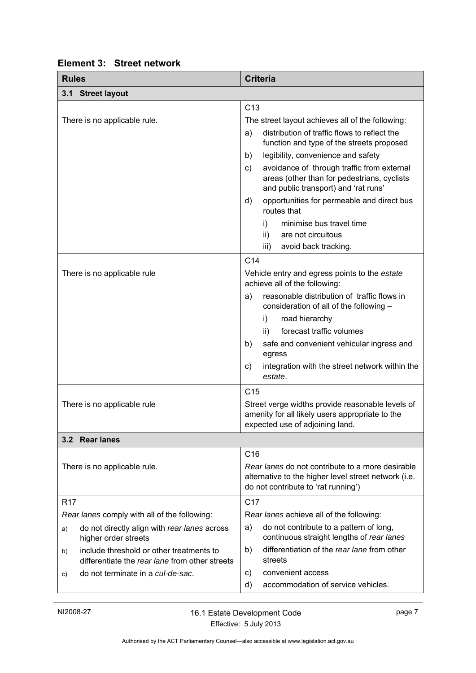<span id="page-10-2"></span><span id="page-10-1"></span>

| <b>Rules</b>                                                                                     | <b>Criteria</b>                                                                                                                                 |  |  |
|--------------------------------------------------------------------------------------------------|-------------------------------------------------------------------------------------------------------------------------------------------------|--|--|
| 3.1 Street layout                                                                                |                                                                                                                                                 |  |  |
|                                                                                                  | C <sub>13</sub>                                                                                                                                 |  |  |
| There is no applicable rule.                                                                     | The street layout achieves all of the following:                                                                                                |  |  |
|                                                                                                  | distribution of traffic flows to reflect the<br>a)<br>function and type of the streets proposed                                                 |  |  |
|                                                                                                  | legibility, convenience and safety<br>b)                                                                                                        |  |  |
|                                                                                                  | avoidance of through traffic from external<br>c)<br>areas (other than for pedestrians, cyclists<br>and public transport) and 'rat runs'         |  |  |
|                                                                                                  | opportunities for permeable and direct bus<br>d)<br>routes that                                                                                 |  |  |
|                                                                                                  | minimise bus travel time<br>i)                                                                                                                  |  |  |
|                                                                                                  | ii)<br>are not circuitous                                                                                                                       |  |  |
|                                                                                                  | avoid back tracking.<br>iii)                                                                                                                    |  |  |
|                                                                                                  | C <sub>14</sub>                                                                                                                                 |  |  |
| There is no applicable rule                                                                      | Vehicle entry and egress points to the estate<br>achieve all of the following:                                                                  |  |  |
|                                                                                                  | reasonable distribution of traffic flows in<br>a)<br>consideration of all of the following -                                                    |  |  |
|                                                                                                  | i)<br>road hierarchy                                                                                                                            |  |  |
|                                                                                                  | forecast traffic volumes<br>ii)                                                                                                                 |  |  |
|                                                                                                  | safe and convenient vehicular ingress and<br>b)<br>egress                                                                                       |  |  |
|                                                                                                  | integration with the street network within the<br>C)<br>estate.                                                                                 |  |  |
|                                                                                                  | C <sub>15</sub>                                                                                                                                 |  |  |
| There is no applicable rule                                                                      | Street verge widths provide reasonable levels of<br>amenity for all likely users appropriate to the<br>expected use of adjoining land.          |  |  |
| 3.2 Rear lanes                                                                                   |                                                                                                                                                 |  |  |
|                                                                                                  | C16                                                                                                                                             |  |  |
| There is no applicable rule.                                                                     | Rear lanes do not contribute to a more desirable<br>alternative to the higher level street network (i.e.<br>do not contribute to 'rat running') |  |  |
| R <sub>17</sub>                                                                                  | C <sub>17</sub>                                                                                                                                 |  |  |
| Rear lanes comply with all of the following:                                                     | Rear lanes achieve all of the following:                                                                                                        |  |  |
| do not directly align with rear lanes across<br>a)<br>higher order streets                       | do not contribute to a pattern of long,<br>a)<br>continuous straight lengths of rear lanes                                                      |  |  |
| include threshold or other treatments to<br>b)<br>differentiate the rear lane from other streets | differentiation of the rear lane from other<br>b)<br>streets                                                                                    |  |  |
| do not terminate in a cul-de-sac.<br>C)                                                          | convenient access<br>C)                                                                                                                         |  |  |
|                                                                                                  | accommodation of service vehicles.<br>d)                                                                                                        |  |  |

# <span id="page-10-0"></span>**Element 3: Street network**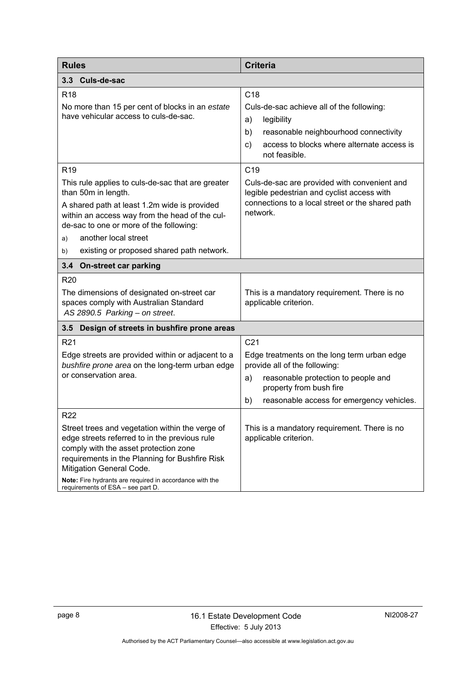<span id="page-11-2"></span><span id="page-11-1"></span><span id="page-11-0"></span>

| <b>Rules</b>                                                                                                                                                                                                                                                                                                            | <b>Criteria</b>                                                                                                                                                                                                 |
|-------------------------------------------------------------------------------------------------------------------------------------------------------------------------------------------------------------------------------------------------------------------------------------------------------------------------|-----------------------------------------------------------------------------------------------------------------------------------------------------------------------------------------------------------------|
| 3.3<br>Culs-de-sac                                                                                                                                                                                                                                                                                                      |                                                                                                                                                                                                                 |
| R <sub>18</sub><br>No more than 15 per cent of blocks in an estate<br>have vehicular access to culs-de-sac.                                                                                                                                                                                                             | C <sub>18</sub><br>Culs-de-sac achieve all of the following:<br>a)<br>legibility<br>b)<br>reasonable neighbourhood connectivity<br>access to blocks where alternate access is<br>$\mathsf{c})$<br>not feasible. |
| R <sub>19</sub>                                                                                                                                                                                                                                                                                                         | C <sub>19</sub>                                                                                                                                                                                                 |
| This rule applies to culs-de-sac that are greater<br>than 50m in length.<br>A shared path at least 1.2m wide is provided<br>within an access way from the head of the cul-<br>de-sac to one or more of the following:                                                                                                   | Culs-de-sac are provided with convenient and<br>legible pedestrian and cyclist access with<br>connections to a local street or the shared path<br>network.                                                      |
| another local street<br>a)                                                                                                                                                                                                                                                                                              |                                                                                                                                                                                                                 |
| existing or proposed shared path network.<br>b)                                                                                                                                                                                                                                                                         |                                                                                                                                                                                                                 |
| 3.4 On-street car parking                                                                                                                                                                                                                                                                                               |                                                                                                                                                                                                                 |
| <b>R20</b><br>The dimensions of designated on-street car<br>spaces comply with Australian Standard<br>AS 2890.5 Parking - on street.                                                                                                                                                                                    | This is a mandatory requirement. There is no<br>applicable criterion.                                                                                                                                           |
| 3.5<br>Design of streets in bushfire prone areas                                                                                                                                                                                                                                                                        |                                                                                                                                                                                                                 |
| R <sub>21</sub>                                                                                                                                                                                                                                                                                                         | C <sub>21</sub>                                                                                                                                                                                                 |
| Edge streets are provided within or adjacent to a<br>bushfire prone area on the long-term urban edge<br>or conservation area.                                                                                                                                                                                           | Edge treatments on the long term urban edge<br>provide all of the following:<br>reasonable protection to people and<br>a)<br>property from bush fire<br>reasonable access for emergency vehicles.<br>b)         |
| R <sub>22</sub>                                                                                                                                                                                                                                                                                                         |                                                                                                                                                                                                                 |
| Street trees and vegetation within the verge of<br>edge streets referred to in the previous rule<br>comply with the asset protection zone<br>requirements in the Planning for Bushfire Risk<br>Mitigation General Code.<br>Note: Fire hydrants are required in accordance with the<br>requirements of ESA - see part D. | This is a mandatory requirement. There is no<br>applicable criterion.                                                                                                                                           |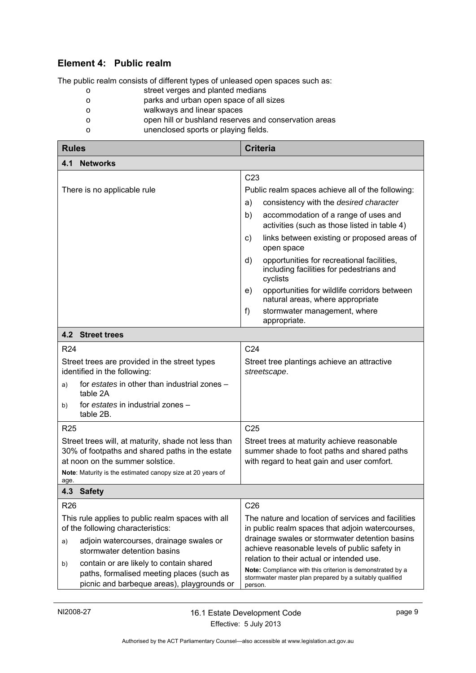# <span id="page-12-0"></span>**Element 4: Public realm**

The public realm consists of different types of unleased open spaces such as:

- o street verges and planted medians
- o parks and urban open space of all sizes
- o walkways and linear spaces
- o open hill or bushland reserves and conservation areas
- o unenclosed sports or playing fields.

<span id="page-12-3"></span><span id="page-12-2"></span><span id="page-12-1"></span>

| <b>Rules</b>                                                                                                                              |                                            | <b>Criteria</b>                                                                                                                              |
|-------------------------------------------------------------------------------------------------------------------------------------------|--------------------------------------------|----------------------------------------------------------------------------------------------------------------------------------------------|
| 4.1<br><b>Networks</b>                                                                                                                    |                                            |                                                                                                                                              |
|                                                                                                                                           |                                            | C <sub>23</sub>                                                                                                                              |
| There is no applicable rule                                                                                                               |                                            | Public realm spaces achieve all of the following:                                                                                            |
|                                                                                                                                           |                                            | consistency with the desired character<br>a)                                                                                                 |
|                                                                                                                                           |                                            | b)<br>accommodation of a range of uses and<br>activities (such as those listed in table 4)                                                   |
|                                                                                                                                           |                                            | links between existing or proposed areas of<br>C)<br>open space                                                                              |
|                                                                                                                                           |                                            | opportunities for recreational facilities,<br>d)<br>including facilities for pedestrians and<br>cyclists                                     |
|                                                                                                                                           |                                            | opportunities for wildlife corridors between<br>e)<br>natural areas, where appropriate                                                       |
|                                                                                                                                           |                                            | f)<br>stormwater management, where<br>appropriate.                                                                                           |
| <b>4.2 Street trees</b>                                                                                                                   |                                            |                                                                                                                                              |
| R <sub>24</sub>                                                                                                                           |                                            | C <sub>24</sub>                                                                                                                              |
| Street trees are provided in the street types<br>identified in the following:                                                             |                                            | Street tree plantings achieve an attractive<br>streetscape.                                                                                  |
| for estates in other than industrial zones -<br>a)<br>table 2A                                                                            |                                            |                                                                                                                                              |
| for estates in industrial zones -<br>b)<br>table 2B.                                                                                      |                                            |                                                                                                                                              |
| R <sub>25</sub>                                                                                                                           |                                            | C <sub>25</sub>                                                                                                                              |
| Street trees will, at maturity, shade not less than<br>30% of footpaths and shared paths in the estate<br>at noon on the summer solstice. |                                            | Street trees at maturity achieve reasonable<br>summer shade to foot paths and shared paths<br>with regard to heat gain and user comfort.     |
| Note: Maturity is the estimated canopy size at 20 years of<br>age.                                                                        |                                            |                                                                                                                                              |
| 4.3 Safety                                                                                                                                |                                            |                                                                                                                                              |
| R <sub>26</sub>                                                                                                                           |                                            | C <sub>26</sub>                                                                                                                              |
| This rule applies to public realm spaces with all<br>of the following characteristics:                                                    |                                            | The nature and location of services and facilities<br>in public realm spaces that adjoin watercourses,                                       |
| adjoin watercourses, drainage swales or<br>a)<br>stormwater detention basins                                                              |                                            | drainage swales or stormwater detention basins<br>achieve reasonable levels of public safety in<br>relation to their actual or intended use. |
| contain or are likely to contain shared<br>b)<br>paths, formalised meeting places (such as                                                | picnic and barbeque areas), playgrounds or | Note: Compliance with this criterion is demonstrated by a<br>stormwater master plan prepared by a suitably qualified<br>person.              |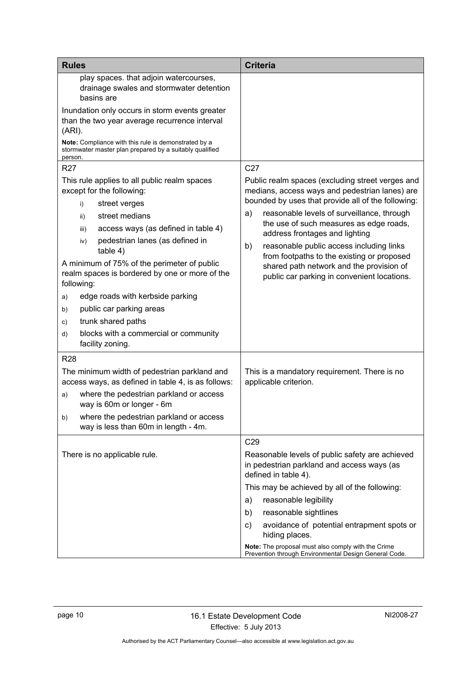| <b>Rules</b>                                                                                                                                                                                                                                                                                                                                                                                                                                                                                                             | <b>Criteria</b>                                                                                                                                                                                                                                                                                                                                                                                                                                                                      |
|--------------------------------------------------------------------------------------------------------------------------------------------------------------------------------------------------------------------------------------------------------------------------------------------------------------------------------------------------------------------------------------------------------------------------------------------------------------------------------------------------------------------------|--------------------------------------------------------------------------------------------------------------------------------------------------------------------------------------------------------------------------------------------------------------------------------------------------------------------------------------------------------------------------------------------------------------------------------------------------------------------------------------|
| play spaces. that adjoin watercourses,<br>drainage swales and stormwater detention<br>basins are<br>Inundation only occurs in storm events greater<br>than the two year average recurrence interval<br>(ARI).<br>Note: Compliance with this rule is demonstrated by a<br>stormwater master plan prepared by a suitably qualified<br>person.<br><b>R27</b>                                                                                                                                                                | C <sub>27</sub>                                                                                                                                                                                                                                                                                                                                                                                                                                                                      |
| This rule applies to all public realm spaces<br>except for the following:<br>street verges<br>i)<br>street medians<br>ii)<br>access ways (as defined in table 4)<br>iii)<br>pedestrian lanes (as defined in<br>iv)<br>table 4)<br>A minimum of 75% of the perimeter of public<br>realm spaces is bordered by one or more of the<br>following:<br>edge roads with kerbside parking<br>a)<br>public car parking areas<br>b)<br>trunk shared paths<br>C)<br>blocks with a commercial or community<br>d)<br>facility zoning. | Public realm spaces (excluding street verges and<br>medians, access ways and pedestrian lanes) are<br>bounded by uses that provide all of the following:<br>reasonable levels of surveillance, through<br>a)<br>the use of such measures as edge roads,<br>address frontages and lighting<br>reasonable public access including links<br>b)<br>from footpaths to the existing or proposed<br>shared path network and the provision of<br>public car parking in convenient locations. |
| <b>R28</b><br>The minimum width of pedestrian parkland and<br>access ways, as defined in table 4, is as follows:<br>where the pedestrian parkland or access<br>a)<br>way is 60m or longer - 6m<br>where the pedestrian parkland or access<br>b)<br>way is less than 60m in length - 4m.                                                                                                                                                                                                                                  | This is a mandatory requirement. There is no<br>applicable criterion.                                                                                                                                                                                                                                                                                                                                                                                                                |
| There is no applicable rule.                                                                                                                                                                                                                                                                                                                                                                                                                                                                                             | C <sub>29</sub><br>Reasonable levels of public safety are achieved<br>in pedestrian parkland and access ways (as<br>defined in table 4).<br>This may be achieved by all of the following:<br>reasonable legibility<br>a)<br>reasonable sightlines<br>b)<br>avoidance of potential entrapment spots or<br>C)<br>hiding places.<br>Note: The proposal must also comply with the Crime<br>Prevention through Environmental Design General Code.                                         |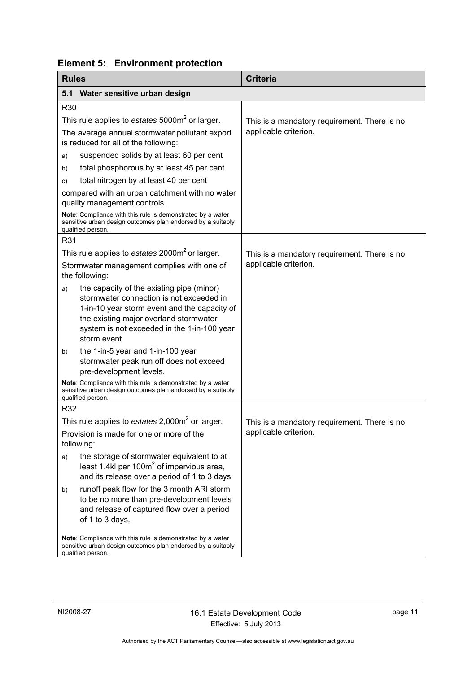|  | <b>Element 5: Environment protection</b> |
|--|------------------------------------------|
|--|------------------------------------------|

<span id="page-14-1"></span><span id="page-14-0"></span>

| <b>Rules</b> |                                                                                                                                                                                                                                               | <b>Criteria</b>                              |
|--------------|-----------------------------------------------------------------------------------------------------------------------------------------------------------------------------------------------------------------------------------------------|----------------------------------------------|
| 5.1          | Water sensitive urban design                                                                                                                                                                                                                  |                                              |
| R30          |                                                                                                                                                                                                                                               |                                              |
|              | This rule applies to estates 5000m <sup>2</sup> or larger.                                                                                                                                                                                    | This is a mandatory requirement. There is no |
|              | The average annual stormwater pollutant export<br>is reduced for all of the following:                                                                                                                                                        | applicable criterion.                        |
| a)           | suspended solids by at least 60 per cent                                                                                                                                                                                                      |                                              |
| b)           | total phosphorous by at least 45 per cent                                                                                                                                                                                                     |                                              |
| C)           | total nitrogen by at least 40 per cent                                                                                                                                                                                                        |                                              |
|              | compared with an urban catchment with no water<br>quality management controls.                                                                                                                                                                |                                              |
|              | Note: Compliance with this rule is demonstrated by a water<br>sensitive urban design outcomes plan endorsed by a suitably<br>qualified person.                                                                                                |                                              |
| R31          |                                                                                                                                                                                                                                               |                                              |
|              | This rule applies to estates 2000m <sup>2</sup> or larger.                                                                                                                                                                                    | This is a mandatory requirement. There is no |
|              | Stormwater management complies with one of<br>the following:                                                                                                                                                                                  | applicable criterion.                        |
| a)           | the capacity of the existing pipe (minor)<br>stormwater connection is not exceeded in<br>1-in-10 year storm event and the capacity of<br>the existing major overland stormwater<br>system is not exceeded in the 1-in-100 year<br>storm event |                                              |
| b)           | the 1-in-5 year and 1-in-100 year<br>stormwater peak run off does not exceed<br>pre-development levels.                                                                                                                                       |                                              |
|              | Note: Compliance with this rule is demonstrated by a water<br>sensitive urban design outcomes plan endorsed by a suitably<br>qualified person.                                                                                                |                                              |
| R32          |                                                                                                                                                                                                                                               |                                              |
|              | This rule applies to estates $2,000m^2$ or larger.                                                                                                                                                                                            | This is a mandatory requirement. There is no |
|              | Provision is made for one or more of the<br>following:                                                                                                                                                                                        | applicable criterion.                        |
| a)           | the storage of stormwater equivalent to at<br>least 1.4kl per 100 $m2$ of impervious area,<br>and its release over a period of 1 to 3 days                                                                                                    |                                              |
| b)           | runoff peak flow for the 3 month ARI storm<br>to be no more than pre-development levels<br>and release of captured flow over a period<br>of 1 to 3 days.                                                                                      |                                              |
|              | Note: Compliance with this rule is demonstrated by a water<br>sensitive urban design outcomes plan endorsed by a suitably<br>qualified person.                                                                                                |                                              |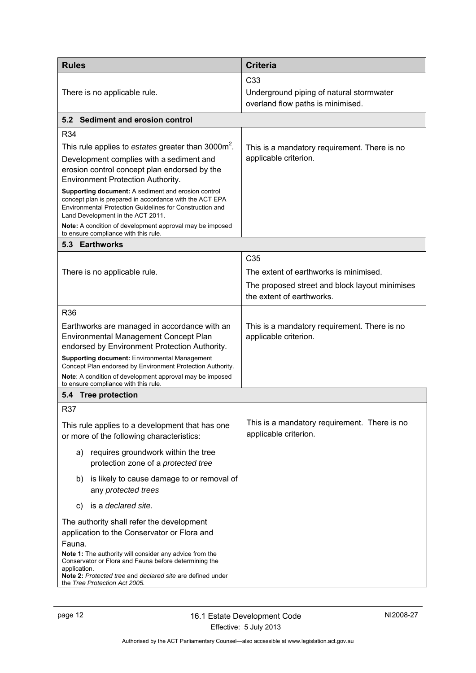<span id="page-15-2"></span><span id="page-15-1"></span><span id="page-15-0"></span>

| <b>Rules</b>                                                                                                                                                                                                    | <b>Criteria</b>                                                               |  |
|-----------------------------------------------------------------------------------------------------------------------------------------------------------------------------------------------------------------|-------------------------------------------------------------------------------|--|
|                                                                                                                                                                                                                 | C <sub>33</sub>                                                               |  |
| There is no applicable rule.                                                                                                                                                                                    | Underground piping of natural stormwater<br>overland flow paths is minimised. |  |
| 5.2 Sediment and erosion control                                                                                                                                                                                |                                                                               |  |
| R34                                                                                                                                                                                                             |                                                                               |  |
| This rule applies to estates greater than 3000m <sup>2</sup> .                                                                                                                                                  | This is a mandatory requirement. There is no                                  |  |
| Development complies with a sediment and<br>erosion control concept plan endorsed by the<br>Environment Protection Authority.                                                                                   | applicable criterion.                                                         |  |
| Supporting document: A sediment and erosion control<br>concept plan is prepared in accordance with the ACT EPA<br>Environmental Protection Guidelines for Construction and<br>Land Development in the ACT 2011. |                                                                               |  |
| Note: A condition of development approval may be imposed<br>to ensure compliance with this rule.                                                                                                                |                                                                               |  |
| 5.3 Earthworks                                                                                                                                                                                                  |                                                                               |  |
|                                                                                                                                                                                                                 | C <sub>35</sub>                                                               |  |
| There is no applicable rule.                                                                                                                                                                                    | The extent of earthworks is minimised.                                        |  |
|                                                                                                                                                                                                                 | The proposed street and block layout minimises<br>the extent of earthworks.   |  |
| <b>R36</b>                                                                                                                                                                                                      |                                                                               |  |
| Earthworks are managed in accordance with an<br><b>Environmental Management Concept Plan</b><br>endorsed by Environment Protection Authority.                                                                   | This is a mandatory requirement. There is no<br>applicable criterion.         |  |
| <b>Supporting document:</b> Environmental Management<br>Concept Plan endorsed by Environment Protection Authority.                                                                                              |                                                                               |  |
| Note: A condition of development approval may be imposed<br>to ensure compliance with this rule.                                                                                                                |                                                                               |  |
| 5.4 Tree protection                                                                                                                                                                                             |                                                                               |  |
| <b>R37</b>                                                                                                                                                                                                      |                                                                               |  |
| This rule applies to a development that has one<br>or more of the following characteristics:                                                                                                                    | This is a mandatory requirement. There is no<br>applicable criterion.         |  |
| requires groundwork within the tree<br>a)<br>protection zone of a protected tree                                                                                                                                |                                                                               |  |
| is likely to cause damage to or removal of<br>b)<br>any protected trees                                                                                                                                         |                                                                               |  |
| is a declared site.<br>C)                                                                                                                                                                                       |                                                                               |  |
| The authority shall refer the development<br>application to the Conservator or Flora and<br>Fauna.                                                                                                              |                                                                               |  |
| Note 1: The authority will consider any advice from the<br>Conservator or Flora and Fauna before determining the<br>application.                                                                                |                                                                               |  |
| Note 2: Protected tree and declared site are defined under<br>the Tree Protection Act 2005.                                                                                                                     |                                                                               |  |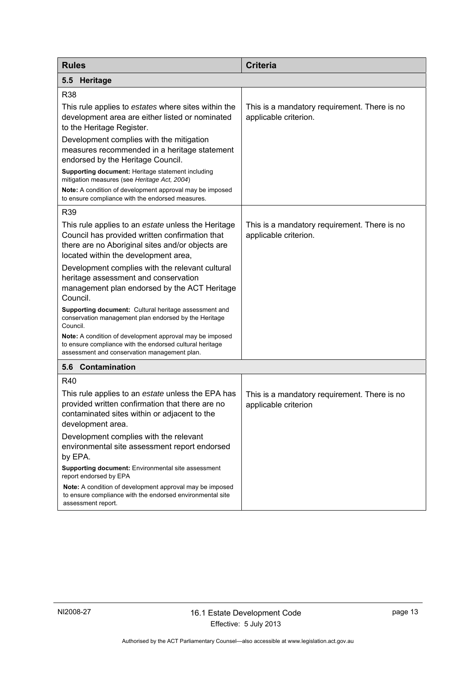<span id="page-16-1"></span><span id="page-16-0"></span>

| <b>Rules</b>                                                                                                                                                                                     | <b>Criteria</b>                                                       |
|--------------------------------------------------------------------------------------------------------------------------------------------------------------------------------------------------|-----------------------------------------------------------------------|
| Heritage<br>5.5                                                                                                                                                                                  |                                                                       |
| R38                                                                                                                                                                                              |                                                                       |
| This rule applies to estates where sites within the<br>development area are either listed or nominated<br>to the Heritage Register.                                                              | This is a mandatory requirement. There is no<br>applicable criterion. |
| Development complies with the mitigation<br>measures recommended in a heritage statement<br>endorsed by the Heritage Council.                                                                    |                                                                       |
| Supporting document: Heritage statement including<br>mitigation measures (see Heritage Act, 2004)                                                                                                |                                                                       |
| <b>Note:</b> A condition of development approval may be imposed<br>to ensure compliance with the endorsed measures.                                                                              |                                                                       |
| R39                                                                                                                                                                                              |                                                                       |
| This rule applies to an estate unless the Heritage<br>Council has provided written confirmation that<br>there are no Aboriginal sites and/or objects are<br>located within the development area, | This is a mandatory requirement. There is no<br>applicable criterion. |
| Development complies with the relevant cultural<br>heritage assessment and conservation<br>management plan endorsed by the ACT Heritage<br>Council.                                              |                                                                       |
| <b>Supporting document:</b> Cultural heritage assessment and<br>conservation management plan endorsed by the Heritage<br>Council.                                                                |                                                                       |
| Note: A condition of development approval may be imposed<br>to ensure compliance with the endorsed cultural heritage<br>assessment and conservation management plan.                             |                                                                       |
| 5.6 Contamination                                                                                                                                                                                |                                                                       |
| R40                                                                                                                                                                                              |                                                                       |
| This rule applies to an estate unless the EPA has<br>provided written confirmation that there are no<br>contaminated sites within or adjacent to the<br>development area.                        | This is a mandatory requirement. There is no<br>applicable criterion  |
| Development complies with the relevant<br>environmental site assessment report endorsed<br>by EPA.                                                                                               |                                                                       |
| Supporting document: Environmental site assessment<br>report endorsed by EPA                                                                                                                     |                                                                       |
| Note: A condition of development approval may be imposed<br>to ensure compliance with the endorsed environmental site<br>assessment report.                                                      |                                                                       |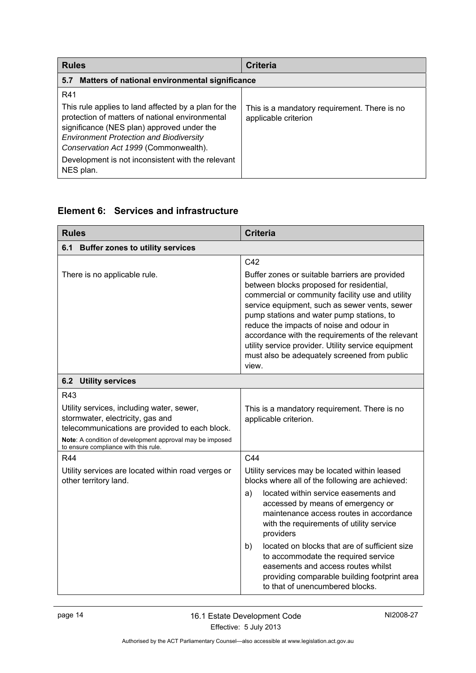<span id="page-17-0"></span>

| <b>Rules</b>                                                                                                                                                                                                                                                                                                              | <b>Criteria</b>                                                      |
|---------------------------------------------------------------------------------------------------------------------------------------------------------------------------------------------------------------------------------------------------------------------------------------------------------------------------|----------------------------------------------------------------------|
| Matters of national environmental significance<br>5.7                                                                                                                                                                                                                                                                     |                                                                      |
| R41<br>This rule applies to land affected by a plan for the<br>protection of matters of national environmental<br>significance (NES plan) approved under the<br><b>Environment Protection and Biodiversity</b><br>Conservation Act 1999 (Commonwealth).<br>Development is not inconsistent with the relevant<br>NES plan. | This is a mandatory requirement. There is no<br>applicable criterion |

# <span id="page-17-1"></span>**Element 6: Services and infrastructure**

<span id="page-17-3"></span><span id="page-17-2"></span>

| <b>Rules</b>                                                                                                                                                                                                                               | <b>Criteria</b>                                                                                                                                                                                                                                                                                                                                                                                                                                                                                                       |
|--------------------------------------------------------------------------------------------------------------------------------------------------------------------------------------------------------------------------------------------|-----------------------------------------------------------------------------------------------------------------------------------------------------------------------------------------------------------------------------------------------------------------------------------------------------------------------------------------------------------------------------------------------------------------------------------------------------------------------------------------------------------------------|
| 6.1 Buffer zones to utility services                                                                                                                                                                                                       |                                                                                                                                                                                                                                                                                                                                                                                                                                                                                                                       |
| There is no applicable rule.                                                                                                                                                                                                               | C42<br>Buffer zones or suitable barriers are provided<br>between blocks proposed for residential,<br>commercial or community facility use and utility<br>service equipment, such as sewer vents, sewer<br>pump stations and water pump stations, to<br>reduce the impacts of noise and odour in<br>accordance with the requirements of the relevant<br>utility service provider. Utility service equipment<br>must also be adequately screened from public<br>view.                                                   |
| <b>6.2 Utility services</b>                                                                                                                                                                                                                |                                                                                                                                                                                                                                                                                                                                                                                                                                                                                                                       |
| R43<br>Utility services, including water, sewer,<br>stormwater, electricity, gas and<br>telecommunications are provided to each block.<br>Note: A condition of development approval may be imposed<br>to ensure compliance with this rule. | This is a mandatory requirement. There is no<br>applicable criterion.                                                                                                                                                                                                                                                                                                                                                                                                                                                 |
| <b>R44</b><br>Utility services are located within road verges or<br>other territory land.                                                                                                                                                  | C44<br>Utility services may be located within leased<br>blocks where all of the following are achieved:<br>located within service easements and<br>a)<br>accessed by means of emergency or<br>maintenance access routes in accordance<br>with the requirements of utility service<br>providers<br>located on blocks that are of sufficient size<br>b)<br>to accommodate the required service<br>easements and access routes whilst<br>providing comparable building footprint area<br>to that of unencumbered blocks. |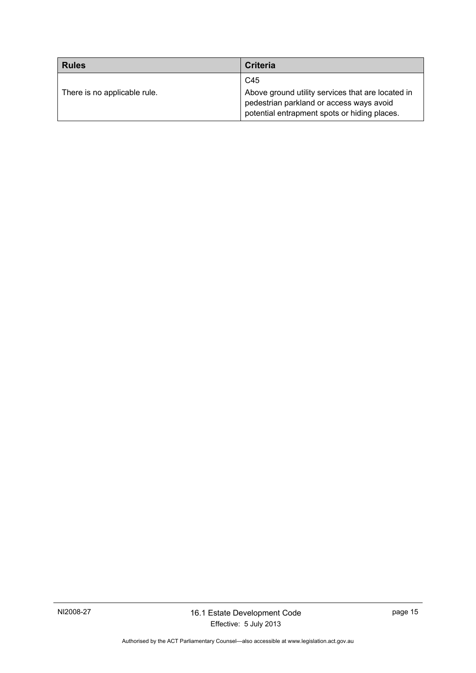| <b>Rules</b>                 | <b>Criteria</b>                                                                                                                               |
|------------------------------|-----------------------------------------------------------------------------------------------------------------------------------------------|
|                              | C45                                                                                                                                           |
| There is no applicable rule. | Above ground utility services that are located in<br>pedestrian parkland or access ways avoid<br>potential entrapment spots or hiding places. |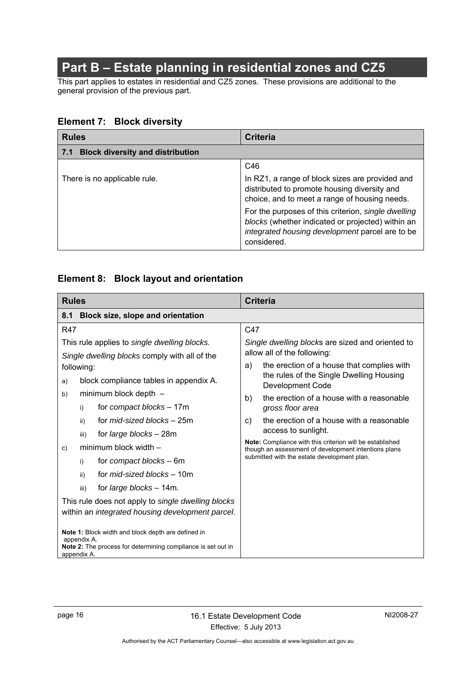# **Part B – Estate planning in residential zones and CZ5**

<span id="page-19-0"></span>This part applies to estates in residential and CZ5 zones. These provisions are additional to the general provision of the previous part.

# <span id="page-19-1"></span>**Element 7: Block diversity**

<span id="page-19-2"></span>

| <b>Rules</b>                                   | Criteria                                                                                                                                                                   |
|------------------------------------------------|----------------------------------------------------------------------------------------------------------------------------------------------------------------------------|
| <b>Block diversity and distribution</b><br>7.1 |                                                                                                                                                                            |
|                                                | C46                                                                                                                                                                        |
| There is no applicable rule.                   | In RZ1, a range of block sizes are provided and<br>distributed to promote housing diversity and<br>choice, and to meet a range of housing needs.                           |
|                                                | For the purposes of this criterion, single dwelling<br>blocks (whether indicated or projected) within an<br>integrated housing development parcel are to be<br>considered. |

# <span id="page-19-3"></span>**Element 8: Block layout and orientation**

<span id="page-19-4"></span>

| <b>Rules</b>                                                                                                                                            | <b>Criteria</b>                                                                                                  |
|---------------------------------------------------------------------------------------------------------------------------------------------------------|------------------------------------------------------------------------------------------------------------------|
| Block size, slope and orientation<br>8.1                                                                                                                |                                                                                                                  |
| <b>R47</b>                                                                                                                                              | C47                                                                                                              |
| This rule applies to single dwelling blocks.                                                                                                            | Single dwelling blocks are sized and oriented to                                                                 |
| Single dwelling blocks comply with all of the                                                                                                           | allow all of the following:                                                                                      |
| following:                                                                                                                                              | the erection of a house that complies with<br>a)                                                                 |
| block compliance tables in appendix A.<br>a)                                                                                                            | the rules of the Single Dwelling Housing<br>Development Code                                                     |
| minimum block depth -<br>b)                                                                                                                             | the erection of a house with a reasonable<br>b)                                                                  |
| for compact blocks - 17m<br>i)                                                                                                                          | gross floor area                                                                                                 |
| for <i>mid-sized blocks</i> – 25m<br>ii)                                                                                                                | the erection of a house with a reasonable<br>C)                                                                  |
| for <i>large blocks</i> - 28m<br>iii)                                                                                                                   | access to sunlight.                                                                                              |
| minimum block width -<br>C)                                                                                                                             | Note: Compliance with this criterion will be established<br>though an assessment of development intentions plans |
| for compact blocks – 6m<br>i)                                                                                                                           | submitted with the estate development plan.                                                                      |
| for <i>mid-sized blocks</i> – 10m<br>ii)                                                                                                                |                                                                                                                  |
| for <i>large blocks</i> - 14m.<br>iii)                                                                                                                  |                                                                                                                  |
| This rule does not apply to single dwelling blocks                                                                                                      |                                                                                                                  |
| within an integrated housing development parcel.                                                                                                        |                                                                                                                  |
| Note 1: Block width and block depth are defined in<br>appendix A.<br><b>Note 2:</b> The process for determining compliance is set out in<br>appendix A. |                                                                                                                  |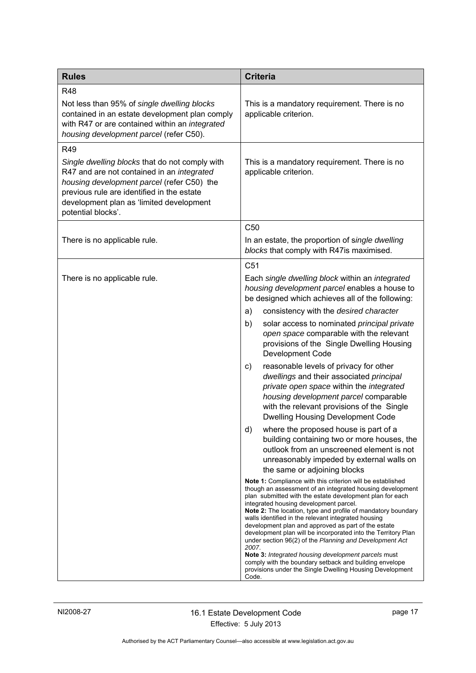| <b>Rules</b>                                                                                                                                                                                                                                                      | <b>Criteria</b>                                                                                                                                                                                                                                                                                                                                                                                                                                                                                                                                                                                                                                                                                                                                                                                                                                                                                                                                                                                                                                                                                                                                                                                                                                                                                                                                                                                                                                                                                                                                                                                                                     |
|-------------------------------------------------------------------------------------------------------------------------------------------------------------------------------------------------------------------------------------------------------------------|-------------------------------------------------------------------------------------------------------------------------------------------------------------------------------------------------------------------------------------------------------------------------------------------------------------------------------------------------------------------------------------------------------------------------------------------------------------------------------------------------------------------------------------------------------------------------------------------------------------------------------------------------------------------------------------------------------------------------------------------------------------------------------------------------------------------------------------------------------------------------------------------------------------------------------------------------------------------------------------------------------------------------------------------------------------------------------------------------------------------------------------------------------------------------------------------------------------------------------------------------------------------------------------------------------------------------------------------------------------------------------------------------------------------------------------------------------------------------------------------------------------------------------------------------------------------------------------------------------------------------------------|
| <b>R48</b><br>Not less than 95% of single dwelling blocks<br>contained in an estate development plan comply<br>with R47 or are contained within an integrated<br>housing development parcel (refer C50).                                                          | This is a mandatory requirement. There is no<br>applicable criterion.                                                                                                                                                                                                                                                                                                                                                                                                                                                                                                                                                                                                                                                                                                                                                                                                                                                                                                                                                                                                                                                                                                                                                                                                                                                                                                                                                                                                                                                                                                                                                               |
| R49<br>Single dwelling blocks that do not comply with<br>R47 and are not contained in an integrated<br>housing development parcel (refer C50) the<br>previous rule are identified in the estate<br>development plan as 'limited development<br>potential blocks'. | This is a mandatory requirement. There is no<br>applicable criterion.                                                                                                                                                                                                                                                                                                                                                                                                                                                                                                                                                                                                                                                                                                                                                                                                                                                                                                                                                                                                                                                                                                                                                                                                                                                                                                                                                                                                                                                                                                                                                               |
| There is no applicable rule.                                                                                                                                                                                                                                      | C <sub>50</sub><br>In an estate, the proportion of single dwelling<br>blocks that comply with R47is maximised.                                                                                                                                                                                                                                                                                                                                                                                                                                                                                                                                                                                                                                                                                                                                                                                                                                                                                                                                                                                                                                                                                                                                                                                                                                                                                                                                                                                                                                                                                                                      |
| There is no applicable rule.                                                                                                                                                                                                                                      | C <sub>51</sub><br>Each single dwelling block within an integrated<br>housing development parcel enables a house to<br>be designed which achieves all of the following:<br>a)<br>consistency with the desired character<br>solar access to nominated principal private<br>b)<br>open space comparable with the relevant<br>provisions of the Single Dwelling Housing<br>Development Code<br>reasonable levels of privacy for other<br>C)<br>dwellings and their associated principal<br>private open space within the integrated<br>housing development parcel comparable<br>with the relevant provisions of the Single<br><b>Dwelling Housing Development Code</b><br>where the proposed house is part of a<br>d)<br>building containing two or more houses, the<br>outlook from an unscreened element is not<br>unreasonably impeded by external walls on<br>the same or adjoining blocks<br>Note 1: Compliance with this criterion will be established<br>though an assessment of an integrated housing development<br>plan submitted with the estate development plan for each<br>integrated housing development parcel.<br><b>Note 2:</b> The location, type and profile of mandatory boundary<br>walls identified in the relevant integrated housing<br>development plan and approved as part of the estate<br>development plan will be incorporated into the Territory Plan<br>under section 96(2) of the Planning and Development Act<br>2007.<br>Note 3: Integrated housing development parcels must<br>comply with the boundary setback and building envelope<br>provisions under the Single Dwelling Housing Development |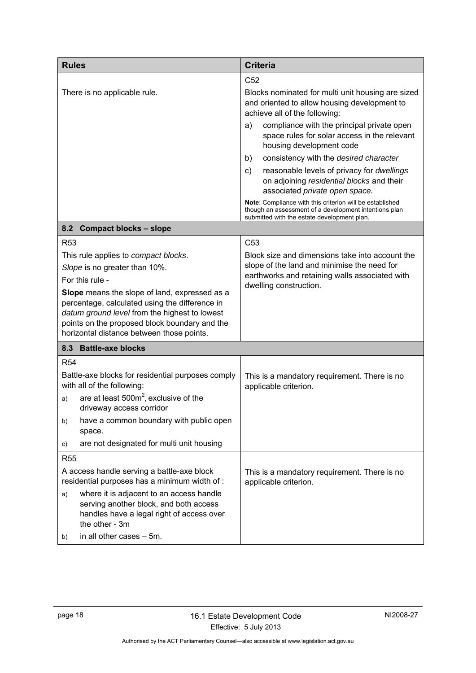<span id="page-21-1"></span><span id="page-21-0"></span>

| <b>Rules</b>                                                                                                                                                                                                                                                                                                                                             | <b>Criteria</b>                                                                                                                                                                                                                                                                                                                                                                                                                                                                                                                                                                               |
|----------------------------------------------------------------------------------------------------------------------------------------------------------------------------------------------------------------------------------------------------------------------------------------------------------------------------------------------------------|-----------------------------------------------------------------------------------------------------------------------------------------------------------------------------------------------------------------------------------------------------------------------------------------------------------------------------------------------------------------------------------------------------------------------------------------------------------------------------------------------------------------------------------------------------------------------------------------------|
| There is no applicable rule.                                                                                                                                                                                                                                                                                                                             | C <sub>52</sub><br>Blocks nominated for multi unit housing are sized<br>and oriented to allow housing development to<br>achieve all of the following:<br>compliance with the principal private open<br>a)<br>space rules for solar access in the relevant<br>housing development code<br>consistency with the desired character<br>b)<br>reasonable levels of privacy for dwellings<br>c)<br>on adjoining residential blocks and their<br>associated private open space.<br>Note: Compliance with this criterion will be established<br>though an assessment of a development intentions plan |
| 8.2 Compact blocks - slope                                                                                                                                                                                                                                                                                                                               | submitted with the estate development plan.                                                                                                                                                                                                                                                                                                                                                                                                                                                                                                                                                   |
| <b>R53</b><br>This rule applies to compact blocks.<br>Slope is no greater than 10%.<br>For this rule -<br>Slope means the slope of land, expressed as a<br>percentage, calculated using the difference in<br>datum ground level from the highest to lowest<br>points on the proposed block boundary and the<br>horizontal distance between those points. | C <sub>53</sub><br>Block size and dimensions take into account the<br>slope of the land and minimise the need for<br>earthworks and retaining walls associated with<br>dwelling construction.                                                                                                                                                                                                                                                                                                                                                                                                 |
| 8.3 Battle-axe blocks                                                                                                                                                                                                                                                                                                                                    |                                                                                                                                                                                                                                                                                                                                                                                                                                                                                                                                                                                               |
| <b>R54</b><br>Battle-axe blocks for residential purposes comply<br>with all of the following:<br>are at least $500m^2$ , exclusive of the<br>a)<br>driveway access corridor<br>have a common boundary with public open<br>b)<br>space.<br>are not designated for multi unit housing<br>C)                                                                | This is a mandatory requirement. There is no<br>applicable criterion.                                                                                                                                                                                                                                                                                                                                                                                                                                                                                                                         |
| <b>R55</b>                                                                                                                                                                                                                                                                                                                                               |                                                                                                                                                                                                                                                                                                                                                                                                                                                                                                                                                                                               |
| A access handle serving a battle-axe block<br>residential purposes has a minimum width of :<br>where it is adjacent to an access handle<br>a)<br>serving another block, and both access<br>handles have a legal right of access over<br>the other - 3m<br>in all other cases - 5m.<br>b)                                                                 | This is a mandatory requirement. There is no<br>applicable criterion.                                                                                                                                                                                                                                                                                                                                                                                                                                                                                                                         |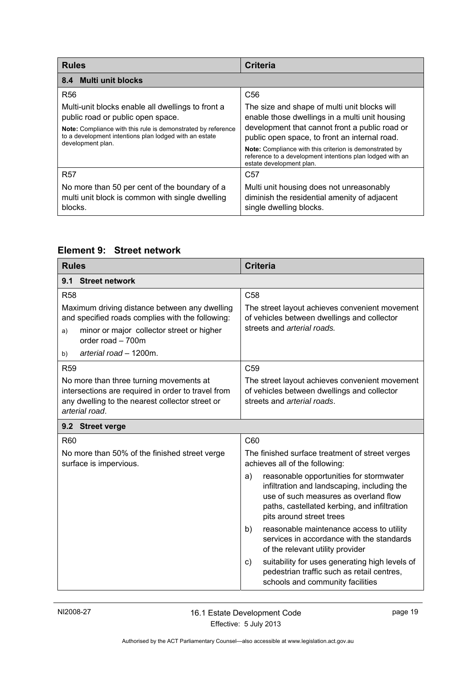<span id="page-22-0"></span>

| <b>Rules</b>                                                                                                                                                                                                                          | <b>Criteria</b>                                                                                                                                                                                                                                                                                                                                              |
|---------------------------------------------------------------------------------------------------------------------------------------------------------------------------------------------------------------------------------------|--------------------------------------------------------------------------------------------------------------------------------------------------------------------------------------------------------------------------------------------------------------------------------------------------------------------------------------------------------------|
| 8.4 Multi unit blocks                                                                                                                                                                                                                 |                                                                                                                                                                                                                                                                                                                                                              |
| <b>R56</b>                                                                                                                                                                                                                            | C <sub>56</sub>                                                                                                                                                                                                                                                                                                                                              |
| Multi-unit blocks enable all dwellings to front a<br>public road or public open space.<br>Note: Compliance with this rule is demonstrated by reference<br>to a development intentions plan lodged with an estate<br>development plan. | The size and shape of multi unit blocks will<br>enable those dwellings in a multi unit housing<br>development that cannot front a public road or<br>public open space, to front an internal road.<br><b>Note:</b> Compliance with this criterion is demonstrated by<br>reference to a development intentions plan lodged with an<br>estate development plan. |
| <b>R57</b>                                                                                                                                                                                                                            | C <sub>57</sub>                                                                                                                                                                                                                                                                                                                                              |
| No more than 50 per cent of the boundary of a<br>multi unit block is common with single dwelling<br>blocks.                                                                                                                           | Multi unit housing does not unreasonably<br>diminish the residential amenity of adjacent<br>single dwelling blocks.                                                                                                                                                                                                                                          |

# <span id="page-22-1"></span>**Element 9: Street network**

<span id="page-22-3"></span><span id="page-22-2"></span>

| <b>Rules</b>                                                                                                                                                                                              | <b>Criteria</b>                                                                                                                                                                                                   |  |
|-----------------------------------------------------------------------------------------------------------------------------------------------------------------------------------------------------------|-------------------------------------------------------------------------------------------------------------------------------------------------------------------------------------------------------------------|--|
| <b>Street network</b><br>9.1                                                                                                                                                                              |                                                                                                                                                                                                                   |  |
| <b>R58</b>                                                                                                                                                                                                | C <sub>58</sub>                                                                                                                                                                                                   |  |
| Maximum driving distance between any dwelling<br>and specified roads complies with the following:<br>minor or major collector street or higher<br>a)<br>order road - 700m<br>arterial road - 1200m.<br>b) | The street layout achieves convenient movement<br>of vehicles between dwellings and collector<br>streets and arterial roads.                                                                                      |  |
| <b>R59</b>                                                                                                                                                                                                | C <sub>59</sub>                                                                                                                                                                                                   |  |
| No more than three turning movements at<br>intersections are required in order to travel from<br>any dwelling to the nearest collector street or<br>arterial road.                                        | The street layout achieves convenient movement<br>of vehicles between dwellings and collector<br>streets and arterial roads.                                                                                      |  |
| 9.2 Street verge                                                                                                                                                                                          |                                                                                                                                                                                                                   |  |
| R60                                                                                                                                                                                                       | C60                                                                                                                                                                                                               |  |
| No more than 50% of the finished street verge<br>surface is impervious.                                                                                                                                   | The finished surface treatment of street verges<br>achieves all of the following:                                                                                                                                 |  |
|                                                                                                                                                                                                           | reasonable opportunities for stormwater<br>a)<br>infiltration and landscaping, including the<br>use of such measures as overland flow<br>paths, castellated kerbing, and infiltration<br>pits around street trees |  |
|                                                                                                                                                                                                           | reasonable maintenance access to utility<br>b)<br>services in accordance with the standards<br>of the relevant utility provider                                                                                   |  |
|                                                                                                                                                                                                           | suitability for uses generating high levels of<br>$\mathsf{c}$<br>pedestrian traffic such as retail centres,<br>schools and community facilities                                                                  |  |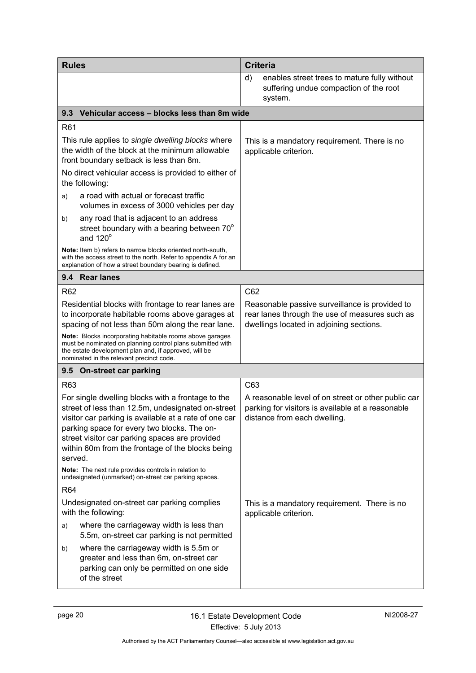<span id="page-23-2"></span><span id="page-23-1"></span><span id="page-23-0"></span>

| <b>Rules</b>                                                                                                                                                                                                                                                                                                                    | <b>Criteria</b>                                                                                                                              |
|---------------------------------------------------------------------------------------------------------------------------------------------------------------------------------------------------------------------------------------------------------------------------------------------------------------------------------|----------------------------------------------------------------------------------------------------------------------------------------------|
|                                                                                                                                                                                                                                                                                                                                 | enables street trees to mature fully without<br>d)<br>suffering undue compaction of the root<br>system.                                      |
| Vehicular access - blocks less than 8m wide<br>9.3                                                                                                                                                                                                                                                                              |                                                                                                                                              |
| R <sub>61</sub>                                                                                                                                                                                                                                                                                                                 |                                                                                                                                              |
| This rule applies to single dwelling blocks where<br>the width of the block at the minimum allowable<br>front boundary setback is less than 8m.                                                                                                                                                                                 | This is a mandatory requirement. There is no<br>applicable criterion.                                                                        |
| No direct vehicular access is provided to either of<br>the following:                                                                                                                                                                                                                                                           |                                                                                                                                              |
| a road with actual or forecast traffic<br>a)<br>volumes in excess of 3000 vehicles per day                                                                                                                                                                                                                                      |                                                                                                                                              |
| any road that is adjacent to an address<br>b)<br>street boundary with a bearing between 70°<br>and $120^\circ$                                                                                                                                                                                                                  |                                                                                                                                              |
| Note: Item b) refers to narrow blocks oriented north-south,<br>with the access street to the north. Refer to appendix A for an<br>explanation of how a street boundary bearing is defined.                                                                                                                                      |                                                                                                                                              |
| 9.4 Rear lanes                                                                                                                                                                                                                                                                                                                  |                                                                                                                                              |
| R <sub>62</sub>                                                                                                                                                                                                                                                                                                                 | C62                                                                                                                                          |
| Residential blocks with frontage to rear lanes are<br>to incorporate habitable rooms above garages at<br>spacing of not less than 50m along the rear lane.                                                                                                                                                                      | Reasonable passive surveillance is provided to<br>rear lanes through the use of measures such as<br>dwellings located in adjoining sections. |
| <b>Note:</b> Blocks incorporating habitable rooms above garages<br>must be nominated on planning control plans submitted with<br>the estate development plan and, if approved, will be<br>nominated in the relevant precinct code.                                                                                              |                                                                                                                                              |
| 9.5 On-street car parking                                                                                                                                                                                                                                                                                                       |                                                                                                                                              |
| R63                                                                                                                                                                                                                                                                                                                             | C63                                                                                                                                          |
| For single dwelling blocks with a frontage to the<br>street of less than 12.5m, undesignated on-street<br>visitor car parking is available at a rate of one car<br>parking space for every two blocks. The on-<br>street visitor car parking spaces are provided<br>within 60m from the frontage of the blocks being<br>served. | A reasonable level of on street or other public car<br>parking for visitors is available at a reasonable<br>distance from each dwelling.     |
| Note: The next rule provides controls in relation to<br>undesignated (unmarked) on-street car parking spaces.                                                                                                                                                                                                                   |                                                                                                                                              |
| R64                                                                                                                                                                                                                                                                                                                             |                                                                                                                                              |
| Undesignated on-street car parking complies<br>with the following:                                                                                                                                                                                                                                                              | This is a mandatory requirement. There is no<br>applicable criterion.                                                                        |
| where the carriageway width is less than<br>a)<br>5.5m, on-street car parking is not permitted                                                                                                                                                                                                                                  |                                                                                                                                              |
| where the carriageway width is 5.5m or<br>b)<br>greater and less than 6m, on-street car<br>parking can only be permitted on one side<br>of the street                                                                                                                                                                           |                                                                                                                                              |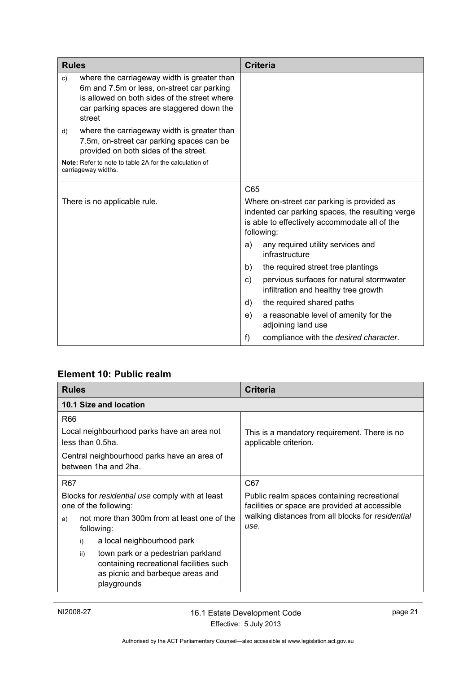| <b>Rules</b>                 |                                                                                                                                                                                                  |     | <b>Criteria</b>                                                                                                                                               |
|------------------------------|--------------------------------------------------------------------------------------------------------------------------------------------------------------------------------------------------|-----|---------------------------------------------------------------------------------------------------------------------------------------------------------------|
| c)                           | where the carriageway width is greater than<br>6m and 7.5m or less, on-street car parking<br>is allowed on both sides of the street where<br>car parking spaces are staggered down the<br>street |     |                                                                                                                                                               |
| d)                           | where the carriageway width is greater than<br>7.5m, on-street car parking spaces can be<br>provided on both sides of the street.                                                                |     |                                                                                                                                                               |
|                              | Note: Refer to note to table 2A for the calculation of<br>carriageway widths.                                                                                                                    |     |                                                                                                                                                               |
|                              |                                                                                                                                                                                                  | C65 |                                                                                                                                                               |
| There is no applicable rule. |                                                                                                                                                                                                  |     | Where on-street car parking is provided as<br>indented car parking spaces, the resulting verge<br>is able to effectively accommodate all of the<br>following: |
|                              |                                                                                                                                                                                                  | a)  | any required utility services and<br>infrastructure                                                                                                           |
|                              |                                                                                                                                                                                                  | b)  | the required street tree plantings                                                                                                                            |
|                              |                                                                                                                                                                                                  | C)  | pervious surfaces for natural stormwater<br>infiltration and healthy tree growth                                                                              |
|                              |                                                                                                                                                                                                  | d)  | the required shared paths                                                                                                                                     |
|                              |                                                                                                                                                                                                  | e)  | a reasonable level of amenity for the<br>adjoining land use                                                                                                   |
|                              |                                                                                                                                                                                                  | f)  | compliance with the desired character.                                                                                                                        |

# <span id="page-24-0"></span>**Element 10: Public realm**

<span id="page-24-1"></span>

| <b>Rules</b>                                                                                                                            | <b>Criteria</b>                                                                               |
|-----------------------------------------------------------------------------------------------------------------------------------------|-----------------------------------------------------------------------------------------------|
| 10.1 Size and location                                                                                                                  |                                                                                               |
| R66<br>Local neighbourhood parks have an area not                                                                                       | This is a mandatory requirement. There is no                                                  |
| less than 0.5ha.                                                                                                                        | applicable criterion.                                                                         |
| Central neighbourhood parks have an area of<br>between 1ha and 2ha.                                                                     |                                                                                               |
| R <sub>67</sub>                                                                                                                         | C67                                                                                           |
| Blocks for residential use comply with at least<br>one of the following:                                                                | Public realm spaces containing recreational<br>facilities or space are provided at accessible |
| not more than 300m from at least one of the<br>a)<br>following:                                                                         | walking distances from all blocks for residential<br>use.                                     |
| a local neighbourhood park<br>i)                                                                                                        |                                                                                               |
| town park or a pedestrian parkland<br>ii)<br>containing recreational facilities such<br>as picnic and barbeque areas and<br>playgrounds |                                                                                               |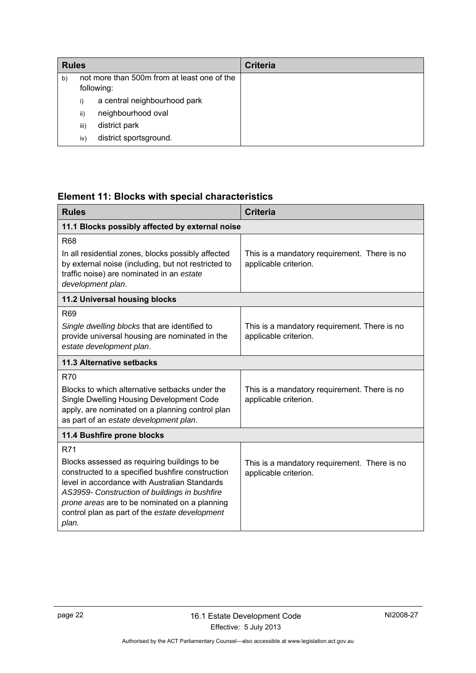| <b>Rules</b> |      |                                             | <b>Criteria</b> |
|--------------|------|---------------------------------------------|-----------------|
| b)           |      | not more than 500m from at least one of the |                 |
|              |      | following:                                  |                 |
|              | i)   | a central neighbourhood park                |                 |
|              | ii)  | neighbourhood oval                          |                 |
|              | iii) | district park                               |                 |
|              | iv)  | district sportsground.                      |                 |

# <span id="page-25-0"></span>**Element 11: Blocks with special characteristics**

<span id="page-25-4"></span><span id="page-25-3"></span><span id="page-25-2"></span><span id="page-25-1"></span>

| <b>Rules</b>                                                                                                                                                                                                                                                                                                   | <b>Criteria</b>                                                       |  |
|----------------------------------------------------------------------------------------------------------------------------------------------------------------------------------------------------------------------------------------------------------------------------------------------------------------|-----------------------------------------------------------------------|--|
| 11.1 Blocks possibly affected by external noise                                                                                                                                                                                                                                                                |                                                                       |  |
| <b>R68</b>                                                                                                                                                                                                                                                                                                     |                                                                       |  |
| In all residential zones, blocks possibly affected<br>by external noise (including, but not restricted to<br>traffic noise) are nominated in an estate<br>development plan.                                                                                                                                    | This is a mandatory requirement. There is no<br>applicable criterion. |  |
| 11.2 Universal housing blocks                                                                                                                                                                                                                                                                                  |                                                                       |  |
| <b>R69</b>                                                                                                                                                                                                                                                                                                     |                                                                       |  |
| Single dwelling blocks that are identified to<br>provide universal housing are nominated in the<br>estate development plan.                                                                                                                                                                                    | This is a mandatory requirement. There is no<br>applicable criterion. |  |
| 11.3 Alternative setbacks                                                                                                                                                                                                                                                                                      |                                                                       |  |
| <b>R70</b>                                                                                                                                                                                                                                                                                                     |                                                                       |  |
| Blocks to which alternative setbacks under the<br>Single Dwelling Housing Development Code<br>apply, are nominated on a planning control plan<br>as part of an estate development plan.                                                                                                                        | This is a mandatory requirement. There is no<br>applicable criterion. |  |
| 11.4 Bushfire prone blocks                                                                                                                                                                                                                                                                                     |                                                                       |  |
| R71                                                                                                                                                                                                                                                                                                            |                                                                       |  |
| Blocks assessed as requiring buildings to be<br>constructed to a specified bushfire construction<br>level in accordance with Australian Standards<br>AS3959- Construction of buildings in bushfire<br>prone areas are to be nominated on a planning<br>control plan as part of the estate development<br>plan. | This is a mandatory requirement. There is no<br>applicable criterion. |  |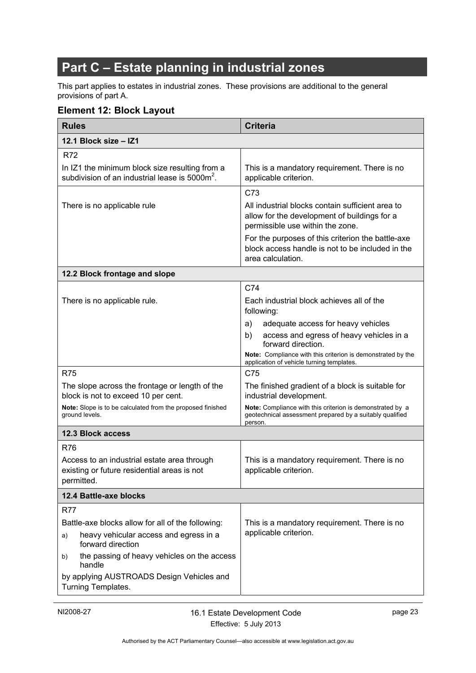# <span id="page-26-0"></span>**Part C – Estate planning in industrial zones**

This part applies to estates in industrial zones. These provisions are additional to the general provisions of part A.

# <span id="page-26-1"></span>**Element 12: Block Layout**

<span id="page-26-5"></span><span id="page-26-4"></span><span id="page-26-3"></span><span id="page-26-2"></span>

| <b>Rules</b>                                                                                                 | <b>Criteria</b>                                                                                                                      |  |
|--------------------------------------------------------------------------------------------------------------|--------------------------------------------------------------------------------------------------------------------------------------|--|
| 12.1 Block size - IZ1                                                                                        |                                                                                                                                      |  |
| <b>R72</b>                                                                                                   |                                                                                                                                      |  |
| In IZ1 the minimum block size resulting from a<br>subdivision of an industrial lease is 5000m <sup>2</sup> . | This is a mandatory requirement. There is no<br>applicable criterion.                                                                |  |
|                                                                                                              | C73                                                                                                                                  |  |
| There is no applicable rule                                                                                  | All industrial blocks contain sufficient area to<br>allow for the development of buildings for a<br>permissible use within the zone. |  |
|                                                                                                              | For the purposes of this criterion the battle-axe<br>block access handle is not to be included in the<br>area calculation.           |  |
| 12.2 Block frontage and slope                                                                                |                                                                                                                                      |  |
|                                                                                                              | C74                                                                                                                                  |  |
| There is no applicable rule.                                                                                 | Each industrial block achieves all of the<br>following:                                                                              |  |
|                                                                                                              | adequate access for heavy vehicles<br>a)                                                                                             |  |
|                                                                                                              | access and egress of heavy vehicles in a<br>b)<br>forward direction.                                                                 |  |
|                                                                                                              | Note: Compliance with this criterion is demonstrated by the<br>application of vehicle turning templates.                             |  |
| <b>R75</b>                                                                                                   | C75                                                                                                                                  |  |
| The slope across the frontage or length of the<br>block is not to exceed 10 per cent.                        | The finished gradient of a block is suitable for<br>industrial development.                                                          |  |
| Note: Slope is to be calculated from the proposed finished<br>ground levels.                                 | Note: Compliance with this criterion is demonstrated by a<br>geotechnical assessment prepared by a suitably qualified<br>person.     |  |
| <b>12.3 Block access</b>                                                                                     |                                                                                                                                      |  |
| <b>R76</b>                                                                                                   |                                                                                                                                      |  |
| Access to an industrial estate area through<br>existing or future residential areas is not<br>permitted.     | This is a mandatory requirement. There is no<br>applicable criterion.                                                                |  |
| 12.4 Battle-axe blocks                                                                                       |                                                                                                                                      |  |
| <b>R77</b>                                                                                                   |                                                                                                                                      |  |
| Battle-axe blocks allow for all of the following:                                                            | This is a mandatory requirement. There is no                                                                                         |  |
| heavy vehicular access and egress in a<br>a)<br>forward direction                                            | applicable criterion.                                                                                                                |  |
| the passing of heavy vehicles on the access<br>b)<br>handle                                                  |                                                                                                                                      |  |
| by applying AUSTROADS Design Vehicles and<br>Turning Templates.                                              |                                                                                                                                      |  |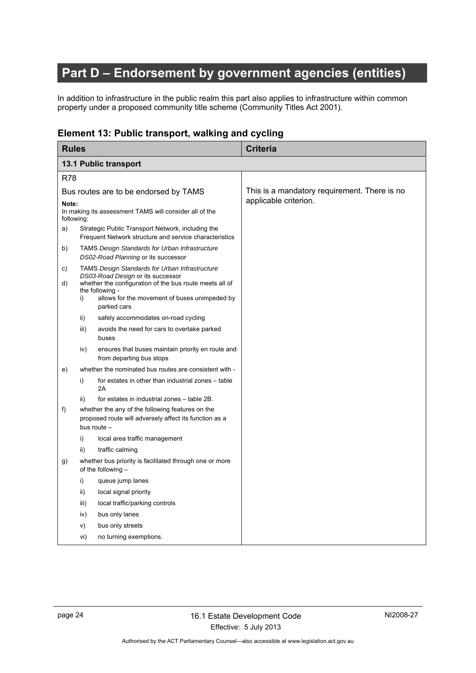# **Part D – Endorsement by government agencies (entities)**

In addition to infrastructure in the public realm this part also applies to infrastructure within common property under a proposed community title scheme (Community Titles Act 2001).

# <span id="page-27-0"></span>**Element 13: Public transport, walking and cycling**

<span id="page-27-2"></span><span id="page-27-1"></span>

| <b>Rules</b>                          |      |                                                                                                                                                                                                                                          | <b>Criteria</b>                              |
|---------------------------------------|------|------------------------------------------------------------------------------------------------------------------------------------------------------------------------------------------------------------------------------------------|----------------------------------------------|
|                                       |      | 13.1 Public transport                                                                                                                                                                                                                    |                                              |
| <b>R78</b>                            |      |                                                                                                                                                                                                                                          |                                              |
| Bus routes are to be endorsed by TAMS |      |                                                                                                                                                                                                                                          | This is a mandatory requirement. There is no |
| Note:<br>following:                   |      | In making its assessment TAMS will consider all of the                                                                                                                                                                                   | applicable criterion.                        |
| a)                                    |      | Strategic Public Transport Network, including the<br>Frequent Network structure and service characteristics                                                                                                                              |                                              |
| b)                                    |      | <b>TAMS Design Standards for Urban Infrastructure</b><br>DS02-Road Planning or its successor                                                                                                                                             |                                              |
| C)<br>d)                              | i)   | <b>TAMS Design Standards for Urban Infrastructure</b><br>DS03-Road Design or its successor<br>whether the configuration of the bus route meets all of<br>the following -<br>allows for the movement of buses unimpeded by<br>parked cars |                                              |
|                                       | ii)  | safely accommodates on-road cycling                                                                                                                                                                                                      |                                              |
|                                       | iii) | avoids the need for cars to overtake parked<br>buses                                                                                                                                                                                     |                                              |
|                                       | iv)  | ensures that buses maintain priority en route and<br>from departing bus stops                                                                                                                                                            |                                              |
| e)                                    |      | whether the nominated bus routes are consistent with -                                                                                                                                                                                   |                                              |
|                                       | i)   | for estates in other than industrial zones - table<br>2A                                                                                                                                                                                 |                                              |
|                                       | ii)  | for estates in industrial zones - table 2B.                                                                                                                                                                                              |                                              |
| f)                                    |      | whether the any of the following features on the<br>proposed route will adversely affect its function as a<br>bus route -                                                                                                                |                                              |
|                                       | i)   | local area traffic management                                                                                                                                                                                                            |                                              |
|                                       | ii)  | traffic calming                                                                                                                                                                                                                          |                                              |
| g)                                    |      | whether bus priority is facilitated through one or more<br>of the following $-$                                                                                                                                                          |                                              |
|                                       | i)   | queue jump lanes                                                                                                                                                                                                                         |                                              |
|                                       | ii)  | local signal priority                                                                                                                                                                                                                    |                                              |
|                                       | iii) | local traffic/parking controls                                                                                                                                                                                                           |                                              |
|                                       | iv)  | bus only lanes                                                                                                                                                                                                                           |                                              |
|                                       | V)   | bus only streets                                                                                                                                                                                                                         |                                              |
|                                       | vi)  | no turning exemptions.                                                                                                                                                                                                                   |                                              |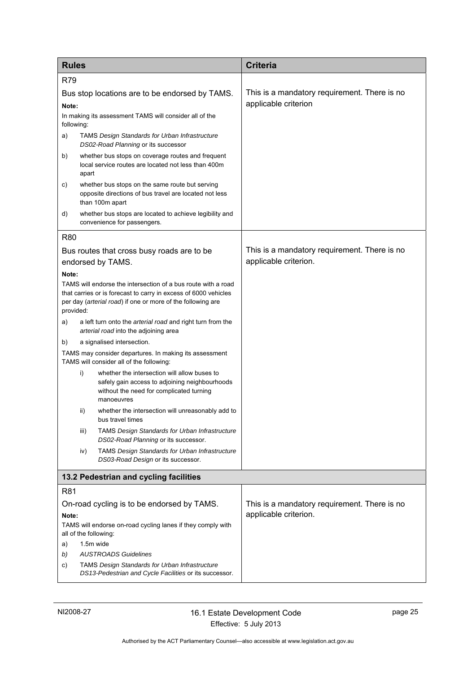<span id="page-28-0"></span>

| <b>Rules</b>                                                                         |                                        |                                                                                                                                                          | <b>Criteria</b>                              |  |
|--------------------------------------------------------------------------------------|----------------------------------------|----------------------------------------------------------------------------------------------------------------------------------------------------------|----------------------------------------------|--|
| <b>R79</b>                                                                           |                                        |                                                                                                                                                          |                                              |  |
| Bus stop locations are to be endorsed by TAMS.                                       |                                        |                                                                                                                                                          | This is a mandatory requirement. There is no |  |
| Note:                                                                                |                                        |                                                                                                                                                          | applicable criterion                         |  |
| following:                                                                           |                                        | In making its assessment TAMS will consider all of the                                                                                                   |                                              |  |
| a)                                                                                   |                                        | <b>TAMS Design Standards for Urban Infrastructure</b><br>DS02-Road Planning or its successor                                                             |                                              |  |
| b)                                                                                   | apart                                  | whether bus stops on coverage routes and frequent<br>local service routes are located not less than 400m                                                 |                                              |  |
| c)                                                                                   |                                        | whether bus stops on the same route but serving<br>opposite directions of bus travel are located not less<br>than 100m apart                             |                                              |  |
| d)                                                                                   |                                        | whether bus stops are located to achieve legibility and<br>convenience for passengers.                                                                   |                                              |  |
| <b>R80</b>                                                                           |                                        |                                                                                                                                                          |                                              |  |
|                                                                                      |                                        | Bus routes that cross busy roads are to be                                                                                                               | This is a mandatory requirement. There is no |  |
|                                                                                      |                                        | endorsed by TAMS.                                                                                                                                        | applicable criterion.                        |  |
| Note:                                                                                |                                        | TAMS will endorse the intersection of a bus route with a road                                                                                            |                                              |  |
| provided:                                                                            |                                        | that carries or is forecast to carry in excess of 6000 vehicles<br>per day (arterial road) if one or more of the following are                           |                                              |  |
| a)                                                                                   |                                        | a left turn onto the arterial road and right turn from the<br>arterial road into the adjoining area                                                      |                                              |  |
| b)                                                                                   |                                        | a signalised intersection.                                                                                                                               |                                              |  |
|                                                                                      |                                        | TAMS may consider departures. In making its assessment<br>TAMS will consider all of the following:                                                       |                                              |  |
|                                                                                      | i)                                     | whether the intersection will allow buses to<br>safely gain access to adjoining neighbourhoods<br>without the need for complicated turning<br>manoeuvres |                                              |  |
|                                                                                      | ii)                                    | whether the intersection will unreasonably add to<br>bus travel times                                                                                    |                                              |  |
|                                                                                      | iii)                                   | <b>TAMS Design Standards for Urban Infrastructure</b><br>DS02-Road Planning or its successor.                                                            |                                              |  |
|                                                                                      | iv)                                    | <b>TAMS Design Standards for Urban Infrastructure</b><br>DS03-Road Design or its successor.                                                              |                                              |  |
|                                                                                      | 13.2 Pedestrian and cycling facilities |                                                                                                                                                          |                                              |  |
| R81                                                                                  |                                        |                                                                                                                                                          |                                              |  |
| On-road cycling is to be endorsed by TAMS.                                           |                                        |                                                                                                                                                          | This is a mandatory requirement. There is no |  |
| Note:                                                                                |                                        |                                                                                                                                                          | applicable criterion.                        |  |
| TAMS will endorse on-road cycling lanes if they comply with<br>all of the following: |                                        |                                                                                                                                                          |                                              |  |
| a)                                                                                   | 1.5m wide                              |                                                                                                                                                          |                                              |  |
| b)<br>C)                                                                             |                                        | <b>AUSTROADS Guidelines</b><br><b>TAMS Design Standards for Urban Infrastructure</b>                                                                     |                                              |  |
|                                                                                      |                                        | DS13-Pedestrian and Cycle Facilities or its successor.                                                                                                   |                                              |  |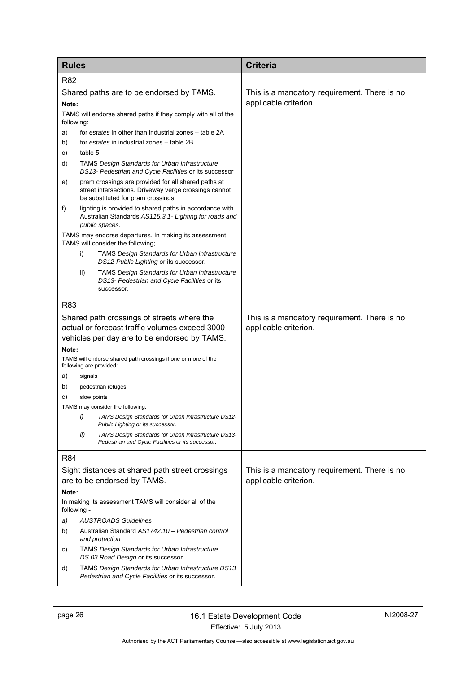| <b>Rules</b>                                                                                                                                 |                                                                                                                                                    | <b>Criteria</b>                                                       |
|----------------------------------------------------------------------------------------------------------------------------------------------|----------------------------------------------------------------------------------------------------------------------------------------------------|-----------------------------------------------------------------------|
| R82                                                                                                                                          |                                                                                                                                                    |                                                                       |
| Shared paths are to be endorsed by TAMS.<br>Note:<br>TAMS will endorse shared paths if they comply with all of the<br>following:             |                                                                                                                                                    | This is a mandatory requirement. There is no<br>applicable criterion. |
| a)                                                                                                                                           | for estates in other than industrial zones – table 2A                                                                                              |                                                                       |
| b)                                                                                                                                           | for estates in industrial zones - table 2B                                                                                                         |                                                                       |
| C)                                                                                                                                           | table 5                                                                                                                                            |                                                                       |
| d)                                                                                                                                           | <b>TAMS Design Standards for Urban Infrastructure</b><br>DS13- Pedestrian and Cycle Facilities or its successor                                    |                                                                       |
| e)                                                                                                                                           | pram crossings are provided for all shared paths at<br>street intersections. Driveway verge crossings cannot<br>be substituted for pram crossings. |                                                                       |
| f)                                                                                                                                           | lighting is provided to shared paths in accordance with<br>Australian Standards AS115.3.1- Lighting for roads and<br>public spaces.                |                                                                       |
|                                                                                                                                              | TAMS may endorse departures. In making its assessment<br>TAMS will consider the following;                                                         |                                                                       |
|                                                                                                                                              | i)<br><b>TAMS Design Standards for Urban Infrastructure</b><br>DS12-Public Lighting or its successor.                                              |                                                                       |
|                                                                                                                                              | <b>TAMS Design Standards for Urban Infrastructure</b><br>ii)<br>DS13- Pedestrian and Cycle Facilities or its<br>successor.                         |                                                                       |
| <b>R83</b>                                                                                                                                   |                                                                                                                                                    |                                                                       |
| Shared path crossings of streets where the<br>actual or forecast traffic volumes exceed 3000<br>vehicles per day are to be endorsed by TAMS. |                                                                                                                                                    | This is a mandatory requirement. There is no<br>applicable criterion. |
| Note:                                                                                                                                        |                                                                                                                                                    |                                                                       |
|                                                                                                                                              | TAMS will endorse shared path crossings if one or more of the<br>following are provided:                                                           |                                                                       |
| a)                                                                                                                                           | signals                                                                                                                                            |                                                                       |
| b)                                                                                                                                           | pedestrian refuges                                                                                                                                 |                                                                       |
| C)                                                                                                                                           | slow points                                                                                                                                        |                                                                       |
|                                                                                                                                              | TAMS may consider the following:                                                                                                                   |                                                                       |
|                                                                                                                                              | TAMS Design Standards for Urban Infrastructure DS12-<br>i)<br>Public Lighting or its successor.                                                    |                                                                       |
|                                                                                                                                              | ii)<br>TAMS Design Standards for Urban Infrastructure DS13-<br>Pedestrian and Cycle Facilities or its successor.                                   |                                                                       |
| <b>R84</b>                                                                                                                                   |                                                                                                                                                    |                                                                       |
| Sight distances at shared path street crossings<br>are to be endorsed by TAMS.                                                               |                                                                                                                                                    | This is a mandatory requirement. There is no<br>applicable criterion. |
| Note:                                                                                                                                        |                                                                                                                                                    |                                                                       |
| In making its assessment TAMS will consider all of the<br>following -                                                                        |                                                                                                                                                    |                                                                       |
| a)                                                                                                                                           | <b>AUSTROADS Guidelines</b>                                                                                                                        |                                                                       |
| b)                                                                                                                                           | Australian Standard AS1742.10 - Pedestrian control<br>and protection                                                                               |                                                                       |
| C)                                                                                                                                           | <b>TAMS Design Standards for Urban Infrastructure</b><br>DS 03 Road Design or its successor.                                                       |                                                                       |
| d)                                                                                                                                           | TAMS Design Standards for Urban Infrastructure DS13<br>Pedestrian and Cycle Facilities or its successor.                                           |                                                                       |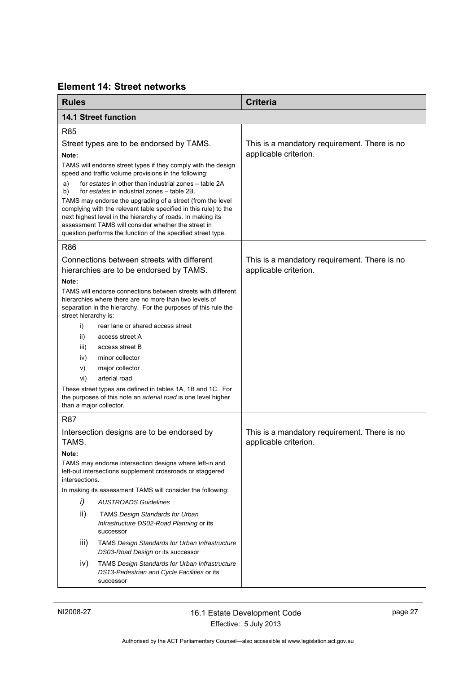# <span id="page-30-0"></span>**Element 14: Street networks**

<span id="page-30-1"></span>

| <b>Rules</b>                                                                                                                           |                                                                                                                                                                                                                                                                                                                      | <b>Criteria</b>                                                       |
|----------------------------------------------------------------------------------------------------------------------------------------|----------------------------------------------------------------------------------------------------------------------------------------------------------------------------------------------------------------------------------------------------------------------------------------------------------------------|-----------------------------------------------------------------------|
|                                                                                                                                        | <b>14.1 Street function</b>                                                                                                                                                                                                                                                                                          |                                                                       |
| <b>R85</b>                                                                                                                             |                                                                                                                                                                                                                                                                                                                      |                                                                       |
| Street types are to be endorsed by TAMS.                                                                                               |                                                                                                                                                                                                                                                                                                                      | This is a mandatory requirement. There is no                          |
| Note:                                                                                                                                  |                                                                                                                                                                                                                                                                                                                      | applicable criterion.                                                 |
|                                                                                                                                        | TAMS will endorse street types if they comply with the design<br>speed and traffic volume provisions in the following:                                                                                                                                                                                               |                                                                       |
| a)<br>b)                                                                                                                               | for estates in other than industrial zones - table 2A<br>for estates in industrial zones - table 2B.                                                                                                                                                                                                                 |                                                                       |
|                                                                                                                                        | TAMS may endorse the upgrading of a street (from the level<br>complying with the relevant table specified in this rule) to the<br>next highest level in the hierarchy of roads. In making its<br>assessment TAMS will consider whether the street in<br>question performs the function of the specified street type. |                                                                       |
| <b>R86</b>                                                                                                                             |                                                                                                                                                                                                                                                                                                                      |                                                                       |
|                                                                                                                                        | Connections between streets with different                                                                                                                                                                                                                                                                           | This is a mandatory requirement. There is no                          |
|                                                                                                                                        | hierarchies are to be endorsed by TAMS.                                                                                                                                                                                                                                                                              | applicable criterion.                                                 |
| Note:                                                                                                                                  |                                                                                                                                                                                                                                                                                                                      |                                                                       |
| street hierarchy is:                                                                                                                   | TAMS will endorse connections between streets with different<br>hierarchies where there are no more than two levels of<br>separation in the hierarchy. For the purposes of this rule the                                                                                                                             |                                                                       |
| i)                                                                                                                                     | rear lane or shared access street                                                                                                                                                                                                                                                                                    |                                                                       |
| ii)                                                                                                                                    | access street A                                                                                                                                                                                                                                                                                                      |                                                                       |
| iii)                                                                                                                                   | access street B                                                                                                                                                                                                                                                                                                      |                                                                       |
| iv)                                                                                                                                    | minor collector                                                                                                                                                                                                                                                                                                      |                                                                       |
| V)                                                                                                                                     | major collector                                                                                                                                                                                                                                                                                                      |                                                                       |
| vi)                                                                                                                                    | arterial road                                                                                                                                                                                                                                                                                                        |                                                                       |
| than a major collector.                                                                                                                | These street types are defined in tables 1A, 1B and 1C. For<br>the purposes of this note an arterial road is one level higher                                                                                                                                                                                        |                                                                       |
| R87                                                                                                                                    |                                                                                                                                                                                                                                                                                                                      |                                                                       |
| TAMS.                                                                                                                                  | Intersection designs are to be endorsed by                                                                                                                                                                                                                                                                           | This is a mandatory requirement. There is no<br>applicable criterion. |
| Note:                                                                                                                                  |                                                                                                                                                                                                                                                                                                                      |                                                                       |
| TAMS may endorse intersection designs where left-in and<br>left-out intersections supplement crossroads or staggered<br>intersections. |                                                                                                                                                                                                                                                                                                                      |                                                                       |
|                                                                                                                                        | In making its assessment TAMS will consider the following:                                                                                                                                                                                                                                                           |                                                                       |
| i)                                                                                                                                     | <b>AUSTROADS Guidelines</b>                                                                                                                                                                                                                                                                                          |                                                                       |
| ii)                                                                                                                                    | <b>TAMS Design Standards for Urban</b><br>Infrastructure DS02-Road Planning or its<br>successor                                                                                                                                                                                                                      |                                                                       |
| iii)                                                                                                                                   | <b>TAMS Design Standards for Urban Infrastructure</b><br>DS03-Road Design or its successor                                                                                                                                                                                                                           |                                                                       |
| iv)                                                                                                                                    | <b>TAMS Design Standards for Urban Infrastructure</b><br>DS13-Pedestrian and Cycle Facilities or its<br>successor                                                                                                                                                                                                    |                                                                       |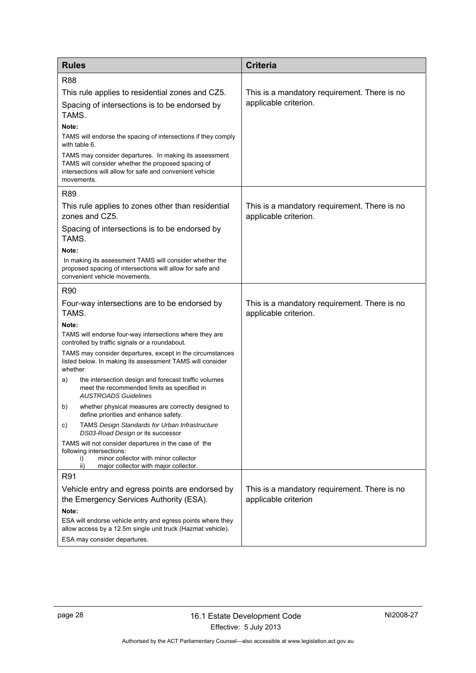| <b>Rules</b>                                                                                                                                                                           | <b>Criteria</b>                                                       |
|----------------------------------------------------------------------------------------------------------------------------------------------------------------------------------------|-----------------------------------------------------------------------|
| <b>R88</b>                                                                                                                                                                             |                                                                       |
| This rule applies to residential zones and CZ5.                                                                                                                                        | This is a mandatory requirement. There is no                          |
| Spacing of intersections is to be endorsed by<br>TAMS.                                                                                                                                 | applicable criterion.                                                 |
| Note:                                                                                                                                                                                  |                                                                       |
| TAMS will endorse the spacing of intersections if they comply<br>with table 6.                                                                                                         |                                                                       |
| TAMS may consider departures. In making its assessment<br>TAMS will consider whether the proposed spacing of<br>intersections will allow for safe and convenient vehicle<br>movements. |                                                                       |
| R89                                                                                                                                                                                    |                                                                       |
| This rule applies to zones other than residential<br>zones and CZ5.                                                                                                                    | This is a mandatory requirement. There is no<br>applicable criterion. |
| Spacing of intersections is to be endorsed by<br>TAMS.                                                                                                                                 |                                                                       |
| Note:                                                                                                                                                                                  |                                                                       |
| In making its assessment TAMS will consider whether the<br>proposed spacing of intersections will allow for safe and<br>convenient vehicle movements.                                  |                                                                       |
| <b>R90</b>                                                                                                                                                                             |                                                                       |
| Four-way intersections are to be endorsed by                                                                                                                                           | This is a mandatory requirement. There is no                          |
| TAMS.                                                                                                                                                                                  | applicable criterion.                                                 |
| Note:<br>TAMS will endorse four-way intersections where they are                                                                                                                       |                                                                       |
| controlled by traffic signals or a roundabout.                                                                                                                                         |                                                                       |
| TAMS may consider departures, except in the circumstances<br>listed below. In making its assessment TAMS will consider<br>whether                                                      |                                                                       |
| the intersection design and forecast traffic volumes<br>a)<br>meet the recommended limits as specified in<br><b>AUSTROADS Guidelines</b>                                               |                                                                       |
| whether physical measures are correctly designed to<br>b)<br>define priorities and enhance safety.                                                                                     |                                                                       |
| <b>TAMS Design Standards for Urban Infrastructure</b><br>C)<br>DS03-Road Design or its successor                                                                                       |                                                                       |
| TAMS will not consider departures in the case of the<br>following intersections:<br>minor collector with minor collector<br>i)<br>ii)<br>major collector with major collector.         |                                                                       |
| R91                                                                                                                                                                                    |                                                                       |
| Vehicle entry and egress points are endorsed by                                                                                                                                        | This is a mandatory requirement. There is no                          |
| the Emergency Services Authority (ESA).                                                                                                                                                | applicable criterion                                                  |
| Note:                                                                                                                                                                                  |                                                                       |
| ESA will endorse vehicle entry and egress points where they<br>allow access by a 12.5m single unit truck (Hazmat vehicle).                                                             |                                                                       |
| ESA may consider departures.                                                                                                                                                           |                                                                       |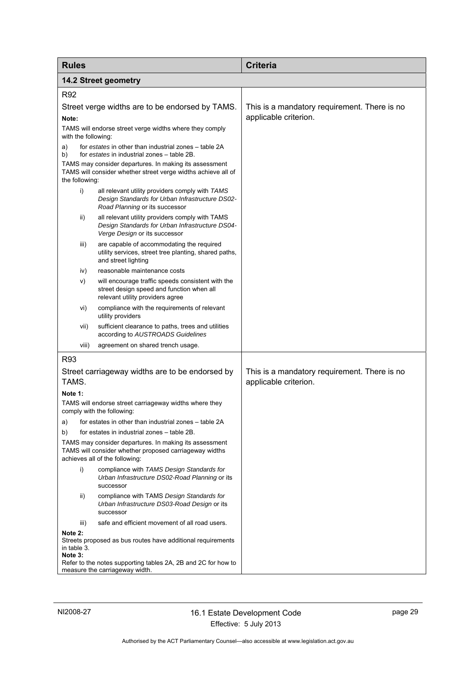<span id="page-32-0"></span>

| <b>Rules</b>                                    |                                                                                                                                                    | <b>Criteria</b>                                                       |
|-------------------------------------------------|----------------------------------------------------------------------------------------------------------------------------------------------------|-----------------------------------------------------------------------|
| <b>14.2 Street geometry</b>                     |                                                                                                                                                    |                                                                       |
| R92                                             |                                                                                                                                                    |                                                                       |
| Street verge widths are to be endorsed by TAMS. |                                                                                                                                                    | This is a mandatory requirement. There is no                          |
| Note:                                           |                                                                                                                                                    | applicable criterion.                                                 |
| with the following:                             | TAMS will endorse street verge widths where they comply                                                                                            |                                                                       |
| a)<br>b)                                        | for estates in other than industrial zones - table 2A<br>for estates in industrial zones - table 2B.                                               |                                                                       |
| the following:                                  | TAMS may consider departures. In making its assessment<br>TAMS will consider whether street verge widths achieve all of                            |                                                                       |
| i)                                              | all relevant utility providers comply with TAMS<br>Design Standards for Urban Infrastructure DS02-<br>Road Planning or its successor               |                                                                       |
| ii)                                             | all relevant utility providers comply with TAMS<br>Design Standards for Urban Infrastructure DS04-<br>Verge Design or its successor                |                                                                       |
| iii)                                            | are capable of accommodating the required<br>utility services, street tree planting, shared paths,<br>and street lighting                          |                                                                       |
| iv)                                             | reasonable maintenance costs                                                                                                                       |                                                                       |
| V)                                              | will encourage traffic speeds consistent with the<br>street design speed and function when all<br>relevant utility providers agree                 |                                                                       |
| vi)                                             | compliance with the requirements of relevant<br>utility providers                                                                                  |                                                                       |
| vii)                                            | sufficient clearance to paths, trees and utilities<br>according to AUSTROADS Guidelines                                                            |                                                                       |
| viii)                                           | agreement on shared trench usage.                                                                                                                  |                                                                       |
| R93                                             |                                                                                                                                                    |                                                                       |
| TAMS.                                           | Street carriageway widths are to be endorsed by                                                                                                    | This is a mandatory requirement. There is no<br>applicable criterion. |
| Note 1:                                         |                                                                                                                                                    |                                                                       |
|                                                 | TAMS will endorse street carriageway widths where they<br>comply with the following:                                                               |                                                                       |
| a)                                              | for estates in other than industrial zones – table 2A                                                                                              |                                                                       |
| b)                                              | for estates in industrial zones – table 2B.                                                                                                        |                                                                       |
|                                                 | TAMS may consider departures. In making its assessment<br>TAMS will consider whether proposed carriageway widths<br>achieves all of the following: |                                                                       |
| i)                                              | compliance with TAMS Design Standards for<br>Urban Infrastructure DS02-Road Planning or its<br>successor                                           |                                                                       |
| ii)                                             | compliance with TAMS Design Standards for<br>Urban Infrastructure DS03-Road Design or its<br>successor                                             |                                                                       |
| iii)                                            | safe and efficient movement of all road users.                                                                                                     |                                                                       |
| Note 2:<br>in table 3.<br>Note 3:               | Streets proposed as bus routes have additional requirements                                                                                        |                                                                       |
|                                                 | Refer to the notes supporting tables 2A, 2B and 2C for how to<br>measure the carriageway width.                                                    |                                                                       |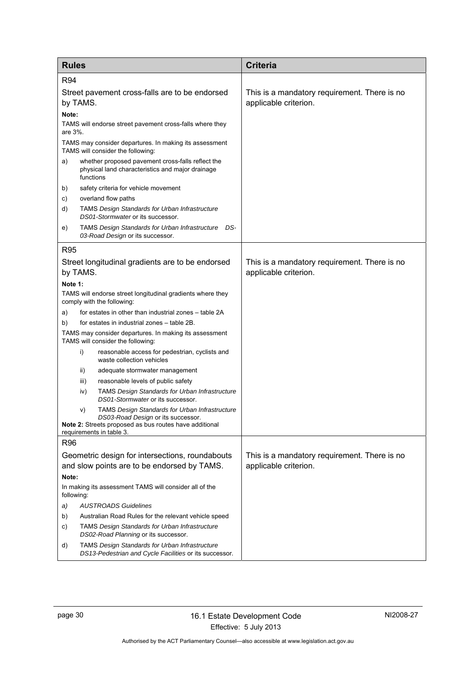| <b>Rules</b>                                                         |                                                                                                                                                                                         | <b>Criteria</b>                                                       |
|----------------------------------------------------------------------|-----------------------------------------------------------------------------------------------------------------------------------------------------------------------------------------|-----------------------------------------------------------------------|
| R94                                                                  |                                                                                                                                                                                         |                                                                       |
| Street pavement cross-falls are to be endorsed<br>by TAMS.           |                                                                                                                                                                                         | This is a mandatory requirement. There is no<br>applicable criterion. |
| Note:                                                                | TAMS will endorse street pavement cross-falls where they                                                                                                                                |                                                                       |
| are 3%.                                                              |                                                                                                                                                                                         |                                                                       |
|                                                                      | TAMS may consider departures. In making its assessment<br>TAMS will consider the following:                                                                                             |                                                                       |
| a)                                                                   | whether proposed pavement cross-falls reflect the<br>physical land characteristics and major drainage<br>functions                                                                      |                                                                       |
| b)                                                                   | safety criteria for vehicle movement                                                                                                                                                    |                                                                       |
| C)                                                                   | overland flow paths                                                                                                                                                                     |                                                                       |
| d)                                                                   | <b>TAMS Design Standards for Urban Infrastructure</b><br>DS01-Stormwater or its successor.                                                                                              |                                                                       |
| e)                                                                   | TAMS Design Standards for Urban Infrastructure DS-<br>03-Road Design or its successor.                                                                                                  |                                                                       |
| R <sub>95</sub>                                                      |                                                                                                                                                                                         |                                                                       |
|                                                                      | Street longitudinal gradients are to be endorsed                                                                                                                                        | This is a mandatory requirement. There is no                          |
|                                                                      | by TAMS.                                                                                                                                                                                | applicable criterion.                                                 |
| Note 1:                                                              |                                                                                                                                                                                         |                                                                       |
|                                                                      | TAMS will endorse street longitudinal gradients where they<br>comply with the following:                                                                                                |                                                                       |
| a)                                                                   | for estates in other than industrial zones – table 2A                                                                                                                                   |                                                                       |
| b)                                                                   | for estates in industrial zones - table 2B.                                                                                                                                             |                                                                       |
|                                                                      | TAMS may consider departures. In making its assessment<br>TAMS will consider the following:                                                                                             |                                                                       |
|                                                                      | reasonable access for pedestrian, cyclists and<br>i)<br>waste collection vehicles                                                                                                       |                                                                       |
|                                                                      | ii)<br>adequate stormwater management                                                                                                                                                   |                                                                       |
|                                                                      | reasonable levels of public safety<br>iii)                                                                                                                                              |                                                                       |
|                                                                      | <b>TAMS Design Standards for Urban Infrastructure</b><br>iv)<br>DS01-Stormwater or its successor.                                                                                       |                                                                       |
|                                                                      | <b>TAMS Design Standards for Urban Infrastructure</b><br>V)<br>DS03-Road Design or its successor.<br>Note 2: Streets proposed as bus routes have additional<br>requirements in table 3. |                                                                       |
| R96                                                                  |                                                                                                                                                                                         |                                                                       |
|                                                                      | Geometric design for intersections, roundabouts                                                                                                                                         | This is a mandatory requirement. There is no                          |
|                                                                      | and slow points are to be endorsed by TAMS.                                                                                                                                             | applicable criterion.                                                 |
| Note:                                                                |                                                                                                                                                                                         |                                                                       |
| In making its assessment TAMS will consider all of the<br>following: |                                                                                                                                                                                         |                                                                       |
| a)                                                                   | <b>AUSTROADS Guidelines</b>                                                                                                                                                             |                                                                       |
| b)                                                                   | Australian Road Rules for the relevant vehicle speed                                                                                                                                    |                                                                       |
| C)                                                                   | <b>TAMS Design Standards for Urban Infrastructure</b><br>DS02-Road Planning or its successor.                                                                                           |                                                                       |
| d)                                                                   | <b>TAMS Design Standards for Urban Infrastructure</b><br>DS13-Pedestrian and Cycle Facilities or its successor.                                                                         |                                                                       |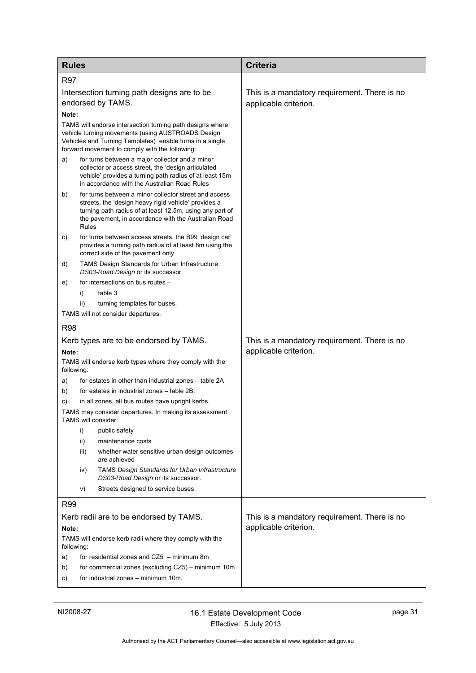| <b>Rules</b>                                                                                                                                                                                                                                     | <b>Criteria</b>                                                       |
|--------------------------------------------------------------------------------------------------------------------------------------------------------------------------------------------------------------------------------------------------|-----------------------------------------------------------------------|
| <b>R97</b>                                                                                                                                                                                                                                       |                                                                       |
| Intersection turning path designs are to be<br>endorsed by TAMS.<br>Note:                                                                                                                                                                        | This is a mandatory requirement. There is no<br>applicable criterion. |
| TAMS will endorse intersection turning path designs where<br>vehicle turning movements (using AUSTROADS Design<br>Vehicles and Turning Templates) enable turns in a single<br>forward movement to comply with the following:                     |                                                                       |
| for turns between a major collector and a minor<br>a)<br>collector or access street, the 'design articulated<br>vehicle' provides a turning path radius of at least 15m<br>in accordance with the Australian Road Rules                          |                                                                       |
| for turns between a minor collector street and access<br>b)<br>streets, the 'design heavy rigid vehicle' provides a<br>turning path radius of at least 12.5m, using any part of<br>the pavement, in accordance with the Australian Road<br>Rules |                                                                       |
| for turns between access streets, the B99 'design car'<br>C)<br>provides a turning path radius of at least 8m using the<br>correct side of the pavement only                                                                                     |                                                                       |
| TAMS Design Standards for Urban Infrastructure<br>d)<br>DS03-Road Design or its successor                                                                                                                                                        |                                                                       |
| for intersections on bus routes -<br>e)                                                                                                                                                                                                          |                                                                       |
| table 3<br>i)                                                                                                                                                                                                                                    |                                                                       |
| ii)<br>turning templates for buses.                                                                                                                                                                                                              |                                                                       |
| TAMS will not consider departures.                                                                                                                                                                                                               |                                                                       |
| <b>R98</b>                                                                                                                                                                                                                                       |                                                                       |
| Kerb types are to be endorsed by TAMS.                                                                                                                                                                                                           | This is a mandatory requirement. There is no                          |
| Note:<br>TAMS will endorse kerb types where they comply with the<br>following:                                                                                                                                                                   | applicable criterion.                                                 |
| for estates in other than industrial zones – table 2A<br>a)                                                                                                                                                                                      |                                                                       |
| for estates in industrial zones – table 2B.<br>b)                                                                                                                                                                                                |                                                                       |
| in all zones, all bus routes have upright kerbs.<br>C)                                                                                                                                                                                           |                                                                       |
| TAMS may consider departures. In making its assessment<br>TAMS will consider:                                                                                                                                                                    |                                                                       |
| i)<br>public safety                                                                                                                                                                                                                              |                                                                       |
| maintenance costs<br>ii)                                                                                                                                                                                                                         |                                                                       |
| iii)<br>whether water sensitive urban design outcomes<br>are achieved                                                                                                                                                                            |                                                                       |
| <b>TAMS Design Standards for Urban Infrastructure</b><br>iv)<br>DS03-Road Design or its successor.                                                                                                                                               |                                                                       |
| Streets designed to service buses.<br>V)                                                                                                                                                                                                         |                                                                       |
| R <sub>99</sub>                                                                                                                                                                                                                                  |                                                                       |
| Kerb radii are to be endorsed by TAMS.                                                                                                                                                                                                           | This is a mandatory requirement. There is no                          |
| Note:<br>TAMS will endorse kerb radii where they comply with the<br>following:                                                                                                                                                                   | applicable criterion.                                                 |
| for residential zones and CZ5 - minimum 8m<br>a)                                                                                                                                                                                                 |                                                                       |
| for commercial zones (excluding CZ5) - minimum 10m<br>b)                                                                                                                                                                                         |                                                                       |
| for industrial zones - minimum 10m.<br>C)                                                                                                                                                                                                        |                                                                       |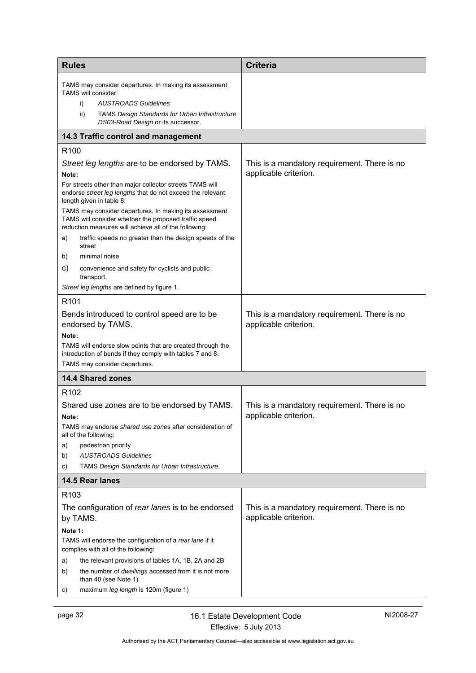<span id="page-35-2"></span><span id="page-35-1"></span><span id="page-35-0"></span>

| <b>Rules</b>                                                                                                                                                                                                             | <b>Criteria</b>                                                       |
|--------------------------------------------------------------------------------------------------------------------------------------------------------------------------------------------------------------------------|-----------------------------------------------------------------------|
| TAMS may consider departures. In making its assessment<br>TAMS will consider:<br>i)<br><b>AUSTROADS Guidelines</b><br>ii)<br><b>TAMS Design Standards for Urban Infrastructure</b><br>DS03-Road Design or its successor. |                                                                       |
| 14.3 Traffic control and management                                                                                                                                                                                      |                                                                       |
| R <sub>100</sub>                                                                                                                                                                                                         |                                                                       |
| Street leg lengths are to be endorsed by TAMS.                                                                                                                                                                           | This is a mandatory requirement. There is no                          |
| Note:<br>For streets other than major collector streets TAMS will<br>endorse street leg lengths that do not exceed the relevant<br>length given in table 8.                                                              | applicable criterion.                                                 |
| TAMS may consider departures. In making its assessment<br>TAMS will consider whether the proposed traffic speed<br>reduction measures will achieve all of the following:                                                 |                                                                       |
| traffic speeds no greater than the design speeds of the<br>a)<br>street                                                                                                                                                  |                                                                       |
| minimal noise<br>b)                                                                                                                                                                                                      |                                                                       |
| C)<br>convenience and safety for cyclists and public<br>transport.                                                                                                                                                       |                                                                       |
| Street leg lengths are defined by figure 1.                                                                                                                                                                              |                                                                       |
| R <sub>101</sub>                                                                                                                                                                                                         |                                                                       |
| Bends introduced to control speed are to be<br>endorsed by TAMS.                                                                                                                                                         | This is a mandatory requirement. There is no<br>applicable criterion. |
| Note:<br>TAMS will endorse slow points that are created through the<br>introduction of bends if they comply with tables 7 and 8.<br>TAMS may consider departures.                                                        |                                                                       |
| <b>14.4 Shared zones</b>                                                                                                                                                                                                 |                                                                       |
| R <sub>102</sub>                                                                                                                                                                                                         |                                                                       |
| Shared use zones are to be endorsed by TAMS.<br>Note:                                                                                                                                                                    | This is a mandatory requirement. There is no<br>applicable criterion. |
| TAMS may endorse shared use zones after consideration of<br>all of the following:                                                                                                                                        |                                                                       |
| pedestrian priority<br>a)                                                                                                                                                                                                |                                                                       |
| <b>AUSTROADS Guidelines</b><br>b)<br>TAMS Design Standards for Urban Infrastructure.<br>C)                                                                                                                               |                                                                       |
| 14.5 Rear lanes                                                                                                                                                                                                          |                                                                       |
| R <sub>103</sub>                                                                                                                                                                                                         |                                                                       |
| The configuration of rear lanes is to be endorsed<br>by TAMS.                                                                                                                                                            | This is a mandatory requirement. There is no<br>applicable criterion. |
| Note 1:                                                                                                                                                                                                                  |                                                                       |
| TAMS will endorse the configuration of a rear lane if it<br>complies with all of the following:                                                                                                                          |                                                                       |
| the relevant provisions of tables 1A, 1B, 2A and 2B<br>a)<br>b)<br>the number of <i>dwellings</i> accessed from it is not more<br>than 40 (see Note 1)                                                                   |                                                                       |
| maximum leg length is 120m (figure 1)<br>C)                                                                                                                                                                              |                                                                       |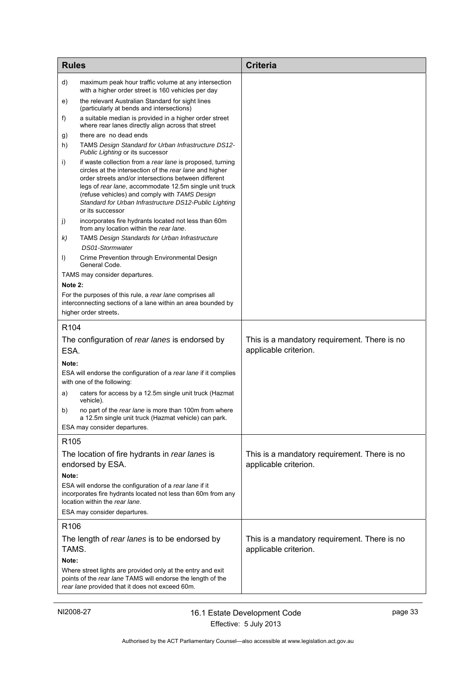| <b>Rules</b>     |                                                                                                                                                                                                                                                                                                                                                                       | <b>Criteria</b>                                                       |
|------------------|-----------------------------------------------------------------------------------------------------------------------------------------------------------------------------------------------------------------------------------------------------------------------------------------------------------------------------------------------------------------------|-----------------------------------------------------------------------|
| d)               | maximum peak hour traffic volume at any intersection<br>with a higher order street is 160 vehicles per day                                                                                                                                                                                                                                                            |                                                                       |
| e)               | the relevant Australian Standard for sight lines<br>(particularly at bends and intersections)                                                                                                                                                                                                                                                                         |                                                                       |
| t)               | a suitable median is provided in a higher order street<br>where rear lanes directly align across that street                                                                                                                                                                                                                                                          |                                                                       |
| g)               | there are no dead ends                                                                                                                                                                                                                                                                                                                                                |                                                                       |
| h)               | TAMS Design Standard for Urban Infrastructure DS12-<br>Public Lighting or its successor                                                                                                                                                                                                                                                                               |                                                                       |
| i)               | if waste collection from a rear lane is proposed, turning<br>circles at the intersection of the rear lane and higher<br>order streets and/or intersections between different<br>legs of rear lane, accommodate 12.5m single unit truck<br>(refuse vehicles) and comply with TAMS Design<br>Standard for Urban Infrastructure DS12-Public Lighting<br>or its successor |                                                                       |
| j)               | incorporates fire hydrants located not less than 60m<br>from any location within the rear lane.                                                                                                                                                                                                                                                                       |                                                                       |
| k)               | <b>TAMS Design Standards for Urban Infrastructure</b>                                                                                                                                                                                                                                                                                                                 |                                                                       |
| I)               | DS01-Stormwater<br>Crime Prevention through Environmental Design<br>General Code.                                                                                                                                                                                                                                                                                     |                                                                       |
|                  | TAMS may consider departures.                                                                                                                                                                                                                                                                                                                                         |                                                                       |
| Note 2:          |                                                                                                                                                                                                                                                                                                                                                                       |                                                                       |
|                  | For the purposes of this rule, a rear lane comprises all<br>interconnecting sections of a lane within an area bounded by<br>higher order streets.                                                                                                                                                                                                                     |                                                                       |
| R <sub>104</sub> |                                                                                                                                                                                                                                                                                                                                                                       |                                                                       |
| ESA.             | The configuration of rear lanes is endorsed by                                                                                                                                                                                                                                                                                                                        | This is a mandatory requirement. There is no<br>applicable criterion. |
| Note:            |                                                                                                                                                                                                                                                                                                                                                                       |                                                                       |
|                  | ESA will endorse the configuration of a rear lane if it complies<br>with one of the following:                                                                                                                                                                                                                                                                        |                                                                       |
| a)               | caters for access by a 12.5m single unit truck (Hazmat<br>vehicle).                                                                                                                                                                                                                                                                                                   |                                                                       |
| b)               | no part of the <i>rear lane</i> is more than 100m from where<br>a 12.5m single unit truck (Hazmat vehicle) can park.                                                                                                                                                                                                                                                  |                                                                       |
|                  | ESA may consider departures.                                                                                                                                                                                                                                                                                                                                          |                                                                       |
| R <sub>105</sub> |                                                                                                                                                                                                                                                                                                                                                                       |                                                                       |
|                  | The location of fire hydrants in rear lanes is<br>endorsed by ESA.                                                                                                                                                                                                                                                                                                    | This is a mandatory requirement. There is no<br>applicable criterion. |
| Note:            |                                                                                                                                                                                                                                                                                                                                                                       |                                                                       |
|                  | ESA will endorse the configuration of a rear lane if it<br>incorporates fire hydrants located not less than 60m from any<br>location within the rear lane.                                                                                                                                                                                                            |                                                                       |
|                  | ESA may consider departures.                                                                                                                                                                                                                                                                                                                                          |                                                                       |
| R <sub>106</sub> |                                                                                                                                                                                                                                                                                                                                                                       |                                                                       |
| TAMS.            | The length of rear lanes is to be endorsed by                                                                                                                                                                                                                                                                                                                         | This is a mandatory requirement. There is no<br>applicable criterion. |
| Note:            |                                                                                                                                                                                                                                                                                                                                                                       |                                                                       |
|                  | Where street lights are provided only at the entry and exit<br>points of the rear lane TAMS will endorse the length of the<br>rear lane provided that it does not exceed 60m.                                                                                                                                                                                         |                                                                       |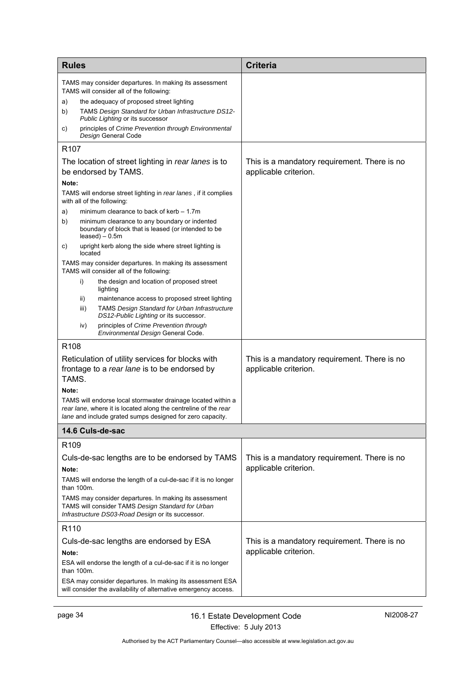<span id="page-37-0"></span>

| <b>Rules</b>                                                                                                                 |                                                                                                                                                                  | <b>Criteria</b>                              |
|------------------------------------------------------------------------------------------------------------------------------|------------------------------------------------------------------------------------------------------------------------------------------------------------------|----------------------------------------------|
|                                                                                                                              | TAMS may consider departures. In making its assessment<br>TAMS will consider all of the following:                                                               |                                              |
| a)                                                                                                                           | the adequacy of proposed street lighting                                                                                                                         |                                              |
| b)                                                                                                                           | TAMS Design Standard for Urban Infrastructure DS12-<br>Public Lighting or its successor                                                                          |                                              |
| C)                                                                                                                           | principles of Crime Prevention through Environmental<br>Design General Code                                                                                      |                                              |
| R <sub>107</sub>                                                                                                             |                                                                                                                                                                  |                                              |
|                                                                                                                              | The location of street lighting in rear lanes is to                                                                                                              | This is a mandatory requirement. There is no |
|                                                                                                                              | be endorsed by TAMS.                                                                                                                                             | applicable criterion.                        |
| Note:                                                                                                                        | TAMS will endorse street lighting in rear lanes, if it complies<br>with all of the following:                                                                    |                                              |
| a)                                                                                                                           | minimum clearance to back of kerb - 1.7m                                                                                                                         |                                              |
| b)                                                                                                                           | minimum clearance to any boundary or indented<br>boundary of block that is leased (or intended to be<br>$leased$ ) – 0.5m                                        |                                              |
| C)                                                                                                                           | upright kerb along the side where street lighting is<br>located                                                                                                  |                                              |
|                                                                                                                              | TAMS may consider departures. In making its assessment<br>TAMS will consider all of the following:                                                               |                                              |
|                                                                                                                              | i)<br>the design and location of proposed street<br>lighting                                                                                                     |                                              |
|                                                                                                                              | maintenance access to proposed street lighting<br>ii)<br><b>TAMS Design Standard for Urban Infrastructure</b><br>iii)<br>DS12-Public Lighting or its successor.  |                                              |
|                                                                                                                              | principles of Crime Prevention through<br>iv)<br>Environmental Design General Code.                                                                              |                                              |
| R <sub>108</sub>                                                                                                             |                                                                                                                                                                  |                                              |
|                                                                                                                              | Reticulation of utility services for blocks with                                                                                                                 | This is a mandatory requirement. There is no |
| TAMS.                                                                                                                        | frontage to a rear lane is to be endorsed by                                                                                                                     | applicable criterion.                        |
| Note:                                                                                                                        |                                                                                                                                                                  |                                              |
|                                                                                                                              | TAMS will endorse local stormwater drainage located within a<br>rear lane, where it is located along the centreline of the rear                                  |                                              |
|                                                                                                                              | lane and include grated sumps designed for zero capacity.                                                                                                        |                                              |
|                                                                                                                              | 14.6 Culs-de-sac                                                                                                                                                 |                                              |
| R <sub>109</sub>                                                                                                             |                                                                                                                                                                  |                                              |
|                                                                                                                              | Culs-de-sac lengths are to be endorsed by TAMS                                                                                                                   | This is a mandatory requirement. There is no |
| Note:                                                                                                                        |                                                                                                                                                                  | applicable criterion.                        |
|                                                                                                                              | TAMS will endorse the length of a cul-de-sac if it is no longer<br>than 100m.                                                                                    |                                              |
|                                                                                                                              | TAMS may consider departures. In making its assessment<br>TAMS will consider TAMS Design Standard for Urban<br>Infrastructure DS03-Road Design or its successor. |                                              |
| R110                                                                                                                         |                                                                                                                                                                  |                                              |
| Culs-de-sac lengths are endorsed by ESA                                                                                      |                                                                                                                                                                  | This is a mandatory requirement. There is no |
| Note:                                                                                                                        |                                                                                                                                                                  | applicable criterion.                        |
| ESA will endorse the length of a cul-de-sac if it is no longer<br>than 100m.                                                 |                                                                                                                                                                  |                                              |
| ESA may consider departures. In making its assessment ESA<br>will consider the availability of alternative emergency access. |                                                                                                                                                                  |                                              |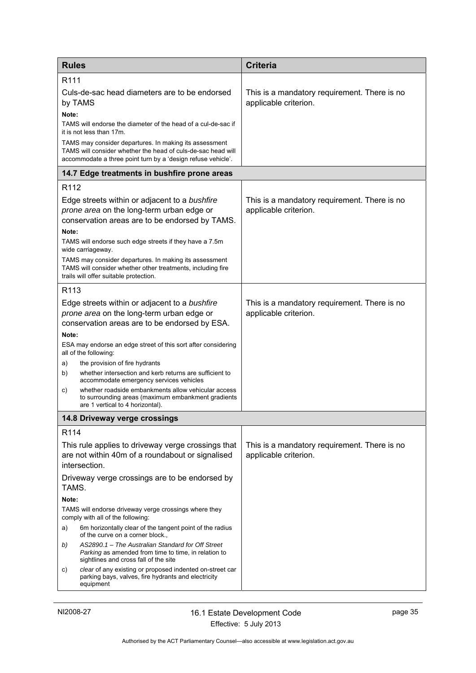<span id="page-38-1"></span><span id="page-38-0"></span>

| <b>Rules</b>                           |                                                                                                                                                                                        | <b>Criteria</b>                                                       |
|----------------------------------------|----------------------------------------------------------------------------------------------------------------------------------------------------------------------------------------|-----------------------------------------------------------------------|
| R <sub>111</sub>                       |                                                                                                                                                                                        |                                                                       |
| by TAMS                                | Culs-de-sac head diameters are to be endorsed                                                                                                                                          | This is a mandatory requirement. There is no<br>applicable criterion. |
| Note:<br>it is not less than 17m.      | TAMS will endorse the diameter of the head of a cul-de-sac if                                                                                                                          |                                                                       |
|                                        | TAMS may consider departures. In making its assessment<br>TAMS will consider whether the head of culs-de-sac head will<br>accommodate a three point turn by a 'design refuse vehicle'. |                                                                       |
|                                        | 14.7 Edge treatments in bushfire prone areas                                                                                                                                           |                                                                       |
| R <sub>112</sub>                       |                                                                                                                                                                                        |                                                                       |
| Note:                                  | Edge streets within or adjacent to a bushfire<br>prone area on the long-term urban edge or<br>conservation areas are to be endorsed by TAMS.                                           | This is a mandatory requirement. There is no<br>applicable criterion. |
|                                        | TAMS will endorse such edge streets if they have a 7.5m                                                                                                                                |                                                                       |
| wide carriageway.                      |                                                                                                                                                                                        |                                                                       |
| trails will offer suitable protection. | TAMS may consider departures. In making its assessment<br>TAMS will consider whether other treatments, including fire                                                                  |                                                                       |
| R <sub>113</sub>                       |                                                                                                                                                                                        |                                                                       |
|                                        | Edge streets within or adjacent to a bushfire                                                                                                                                          | This is a mandatory requirement. There is no                          |
|                                        | prone area on the long-term urban edge or<br>conservation areas are to be endorsed by ESA.                                                                                             | applicable criterion.                                                 |
| Note:                                  |                                                                                                                                                                                        |                                                                       |
| all of the following:                  | ESA may endorse an edge street of this sort after considering                                                                                                                          |                                                                       |
| a)<br>the provision of fire hydrants   |                                                                                                                                                                                        |                                                                       |
| b)                                     | whether intersection and kerb returns are sufficient to<br>accommodate emergency services vehicles                                                                                     |                                                                       |
| C)<br>are 1 vertical to 4 horizontal). | whether roadside embankments allow vehicular access<br>to surrounding areas (maximum embankment gradients                                                                              |                                                                       |
| 14.8 Driveway verge crossings          |                                                                                                                                                                                        |                                                                       |
| R <sub>114</sub>                       |                                                                                                                                                                                        |                                                                       |
| intersection.                          | This rule applies to driveway verge crossings that<br>are not within 40m of a roundabout or signalised                                                                                 | This is a mandatory requirement. There is no<br>applicable criterion. |
| TAMS.                                  | Driveway verge crossings are to be endorsed by                                                                                                                                         |                                                                       |
| Note:                                  |                                                                                                                                                                                        |                                                                       |
| comply with all of the following:      | TAMS will endorse driveway verge crossings where they                                                                                                                                  |                                                                       |
| a)<br>of the curve on a corner block., | 6m horizontally clear of the tangent point of the radius                                                                                                                               |                                                                       |
| b)                                     | AS2890.1 - The Australian Standard for Off Street<br>Parking as amended from time to time, in relation to<br>sightlines and cross fall of the site                                     |                                                                       |
| C)<br>equipment                        | clear of any existing or proposed indented on-street car<br>parking bays, valves, fire hydrants and electricity                                                                        |                                                                       |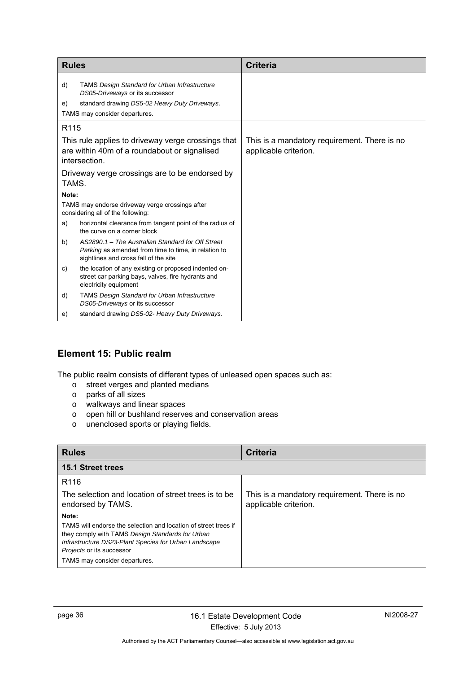| <b>Rules</b>                                                                         |                                                                                                                                                                           | <b>Criteria</b>                                                       |
|--------------------------------------------------------------------------------------|---------------------------------------------------------------------------------------------------------------------------------------------------------------------------|-----------------------------------------------------------------------|
| d)<br>e)                                                                             | <b>TAMS Design Standard for Urban Infrastructure</b><br>DS05-Driveways or its successor<br>standard drawing DS5-02 Heavy Duty Driveways.<br>TAMS may consider departures. |                                                                       |
| R <sub>115</sub>                                                                     |                                                                                                                                                                           |                                                                       |
|                                                                                      | This rule applies to driveway verge crossings that<br>are within 40m of a roundabout or signalised<br>intersection.                                                       | This is a mandatory requirement. There is no<br>applicable criterion. |
| Driveway verge crossings are to be endorsed by<br>TAMS.                              |                                                                                                                                                                           |                                                                       |
| Note:                                                                                |                                                                                                                                                                           |                                                                       |
| TAMS may endorse driveway verge crossings after<br>considering all of the following: |                                                                                                                                                                           |                                                                       |
| a)                                                                                   | horizontal clearance from tangent point of the radius of<br>the curve on a corner block                                                                                   |                                                                       |
| b)                                                                                   | AS2890.1 - The Australian Standard for Off Street<br>Parking as amended from time to time, in relation to<br>sightlines and cross fall of the site                        |                                                                       |
| C)                                                                                   | the location of any existing or proposed indented on-<br>street car parking bays, valves, fire hydrants and<br>electricity equipment                                      |                                                                       |
| d)                                                                                   | <b>TAMS Design Standard for Urban Infrastructure</b><br>DS05-Driveways or its successor                                                                                   |                                                                       |
| e)                                                                                   | standard drawing DS5-02- Heavy Duty Driveways.                                                                                                                            |                                                                       |

# <span id="page-39-0"></span>**Element 15: Public realm**

The public realm consists of different types of unleased open spaces such as:

- o street verges and planted medians
- o parks of all sizes
- o walkways and linear spaces
- o open hill or bushland reserves and conservation areas
- o unenclosed sports or playing fields.

<span id="page-39-1"></span>

| <b>Rules</b>                                                                                                                                                                                                                                        | <b>Criteria</b>                                                       |
|-----------------------------------------------------------------------------------------------------------------------------------------------------------------------------------------------------------------------------------------------------|-----------------------------------------------------------------------|
| <b>15.1 Street trees</b>                                                                                                                                                                                                                            |                                                                       |
| R <sub>116</sub>                                                                                                                                                                                                                                    |                                                                       |
| The selection and location of street trees is to be<br>endorsed by TAMS.                                                                                                                                                                            | This is a mandatory requirement. There is no<br>applicable criterion. |
| Note:<br>TAMS will endorse the selection and location of street trees if<br>they comply with TAMS Design Standards for Urban<br>Infrastructure DS23-Plant Species for Urban Landscape<br>Projects or its successor<br>TAMS may consider departures. |                                                                       |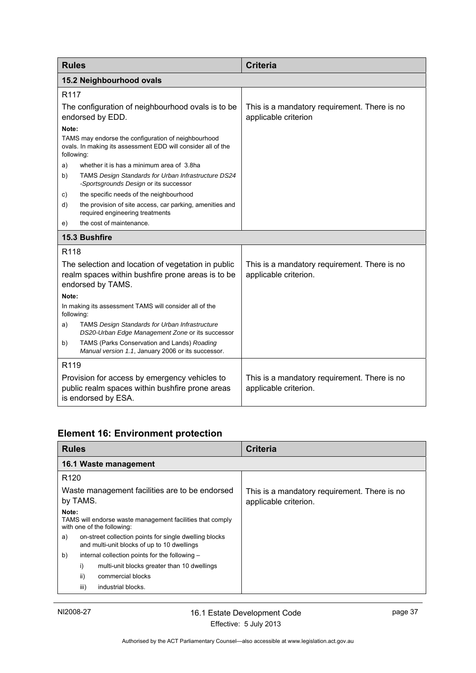<span id="page-40-1"></span><span id="page-40-0"></span>

| <b>Rules</b>                                                                                                                 |                                                                                                                     | <b>Criteria</b>                                                       |  |
|------------------------------------------------------------------------------------------------------------------------------|---------------------------------------------------------------------------------------------------------------------|-----------------------------------------------------------------------|--|
|                                                                                                                              | 15.2 Neighbourhood ovals                                                                                            |                                                                       |  |
| R <sub>117</sub>                                                                                                             |                                                                                                                     |                                                                       |  |
| The configuration of neighbourhood ovals is to be<br>endorsed by EDD.                                                        |                                                                                                                     | This is a mandatory requirement. There is no<br>applicable criterion  |  |
| Note:                                                                                                                        |                                                                                                                     |                                                                       |  |
| following:                                                                                                                   | TAMS may endorse the configuration of neighbourhood<br>ovals. In making its assessment EDD will consider all of the |                                                                       |  |
| a)                                                                                                                           | whether it is has a minimum area of 3.8ha                                                                           |                                                                       |  |
| b)                                                                                                                           | TAMS Design Standards for Urban Infrastructure DS24<br>-Sportsgrounds Design or its successor                       |                                                                       |  |
| C)                                                                                                                           | the specific needs of the neighbourhood                                                                             |                                                                       |  |
| d)                                                                                                                           | the provision of site access, car parking, amenities and<br>required engineering treatments                         |                                                                       |  |
| e)                                                                                                                           | the cost of maintenance.                                                                                            |                                                                       |  |
|                                                                                                                              | 15.3 Bushfire                                                                                                       |                                                                       |  |
| R118                                                                                                                         |                                                                                                                     |                                                                       |  |
| The selection and location of vegetation in public<br>realm spaces within bushfire prone areas is to be<br>endorsed by TAMS. |                                                                                                                     | This is a mandatory requirement. There is no<br>applicable criterion. |  |
| Note:                                                                                                                        |                                                                                                                     |                                                                       |  |
| following:                                                                                                                   | In making its assessment TAMS will consider all of the                                                              |                                                                       |  |
| a)                                                                                                                           | <b>TAMS Design Standards for Urban Infrastructure</b><br>DS20-Urban Edge Management Zone or its successor           |                                                                       |  |
| b)                                                                                                                           | TAMS (Parks Conservation and Lands) Roading<br>Manual version 1.1, January 2006 or its successor.                   |                                                                       |  |
|                                                                                                                              | R <sub>119</sub>                                                                                                    |                                                                       |  |
| Provision for access by emergency vehicles to<br>public realm spaces within bushfire prone areas<br>is endorsed by ESA.      |                                                                                                                     | This is a mandatory requirement. There is no<br>applicable criterion. |  |

# <span id="page-40-2"></span>**Element 16: Environment protection**

<span id="page-40-3"></span>

| <b>Rules</b>                                                                                                | <b>Criteria</b>                                                       |
|-------------------------------------------------------------------------------------------------------------|-----------------------------------------------------------------------|
| 16.1 Waste management                                                                                       |                                                                       |
| R <sub>120</sub>                                                                                            |                                                                       |
| Waste management facilities are to be endorsed<br>by TAMS.                                                  | This is a mandatory requirement. There is no<br>applicable criterion. |
| Note:<br>TAMS will endorse waste management facilities that comply<br>with one of the following:            |                                                                       |
| on-street collection points for single dwelling blocks<br>a)<br>and multi-unit blocks of up to 10 dwellings |                                                                       |
| internal collection points for the following -<br>b)                                                        |                                                                       |
| i)<br>multi-unit blocks greater than 10 dwellings                                                           |                                                                       |
| ii)<br>commercial blocks                                                                                    |                                                                       |
| industrial blocks.<br>iii)                                                                                  |                                                                       |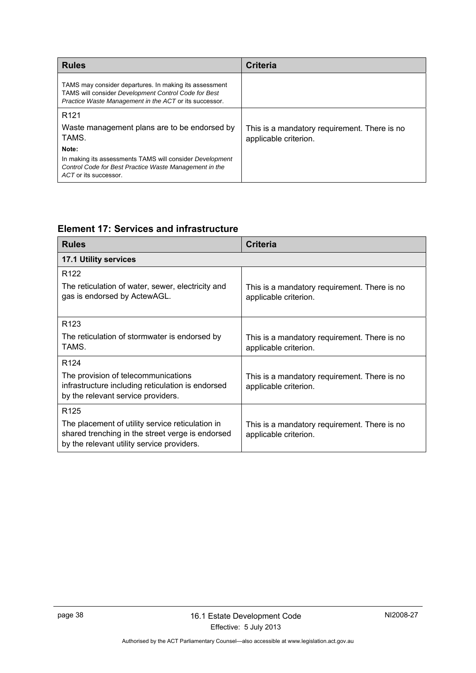| <b>Rules</b>                                                                                                                                                             | <b>Criteria</b>                                                       |
|--------------------------------------------------------------------------------------------------------------------------------------------------------------------------|-----------------------------------------------------------------------|
| TAMS may consider departures. In making its assessment<br>TAMS will consider Development Control Code for Best<br>Practice Waste Management in the ACT or its successor. |                                                                       |
| R <sub>121</sub>                                                                                                                                                         |                                                                       |
| Waste management plans are to be endorsed by<br>TAMS.                                                                                                                    | This is a mandatory requirement. There is no<br>applicable criterion. |
| Note:                                                                                                                                                                    |                                                                       |
| In making its assessments TAMS will consider Development<br>Control Code for Best Practice Waste Management in the<br>ACT or its successor.                              |                                                                       |

# **Element 17: Services and infrastructure**

<span id="page-41-1"></span><span id="page-41-0"></span>

| <b>Rules</b>                                                                                                                                       | <b>Criteria</b>                                                       |
|----------------------------------------------------------------------------------------------------------------------------------------------------|-----------------------------------------------------------------------|
| 17.1 Utility services                                                                                                                              |                                                                       |
| R <sub>122</sub>                                                                                                                                   |                                                                       |
| The reticulation of water, sewer, electricity and<br>gas is endorsed by ActewAGL.                                                                  | This is a mandatory requirement. There is no<br>applicable criterion. |
| R <sub>123</sub>                                                                                                                                   |                                                                       |
| The reticulation of stormwater is endorsed by<br>TAMS.                                                                                             | This is a mandatory requirement. There is no<br>applicable criterion. |
| R <sub>124</sub>                                                                                                                                   |                                                                       |
| The provision of telecommunications<br>infrastructure including reticulation is endorsed<br>by the relevant service providers.                     | This is a mandatory requirement. There is no<br>applicable criterion. |
| R <sub>125</sub>                                                                                                                                   |                                                                       |
| The placement of utility service reticulation in<br>shared trenching in the street verge is endorsed<br>by the relevant utility service providers. | This is a mandatory requirement. There is no<br>applicable criterion. |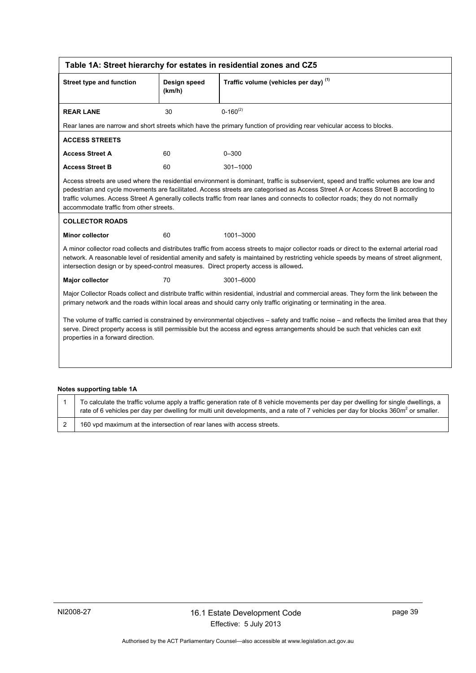<span id="page-42-0"></span>

|                                                                                                                                                                                                                                                                                                                        | Table 1A: Street hierarchy for estates in residential zones and CZ5 |                                                                                                                                                                                                                                                                                                                                                                                                                |  |  |  |
|------------------------------------------------------------------------------------------------------------------------------------------------------------------------------------------------------------------------------------------------------------------------------------------------------------------------|---------------------------------------------------------------------|----------------------------------------------------------------------------------------------------------------------------------------------------------------------------------------------------------------------------------------------------------------------------------------------------------------------------------------------------------------------------------------------------------------|--|--|--|
| <b>Street type and function</b>                                                                                                                                                                                                                                                                                        | Design speed<br>(km/h)                                              | Traffic volume (vehicles per day) (1)                                                                                                                                                                                                                                                                                                                                                                          |  |  |  |
| <b>REAR LANE</b>                                                                                                                                                                                                                                                                                                       | 30                                                                  | $0 - 160^{(2)}$                                                                                                                                                                                                                                                                                                                                                                                                |  |  |  |
|                                                                                                                                                                                                                                                                                                                        |                                                                     | Rear lanes are narrow and short streets which have the primary function of providing rear vehicular access to blocks.                                                                                                                                                                                                                                                                                          |  |  |  |
| <b>ACCESS STREETS</b>                                                                                                                                                                                                                                                                                                  |                                                                     |                                                                                                                                                                                                                                                                                                                                                                                                                |  |  |  |
| <b>Access Street A</b>                                                                                                                                                                                                                                                                                                 | 60                                                                  | $0 - 300$                                                                                                                                                                                                                                                                                                                                                                                                      |  |  |  |
| <b>Access Street B</b>                                                                                                                                                                                                                                                                                                 | 60                                                                  | 301-1000                                                                                                                                                                                                                                                                                                                                                                                                       |  |  |  |
| accommodate traffic from other streets.                                                                                                                                                                                                                                                                                |                                                                     | Access streets are used where the residential environment is dominant, traffic is subservient, speed and traffic volumes are low and<br>pedestrian and cycle movements are facilitated. Access streets are categorised as Access Street A or Access Street B according to<br>traffic volumes. Access Street A generally collects traffic from rear lanes and connects to collector roads; they do not normally |  |  |  |
| <b>COLLECTOR ROADS</b>                                                                                                                                                                                                                                                                                                 |                                                                     |                                                                                                                                                                                                                                                                                                                                                                                                                |  |  |  |
| <b>Minor collector</b>                                                                                                                                                                                                                                                                                                 | 60                                                                  | 1001-3000                                                                                                                                                                                                                                                                                                                                                                                                      |  |  |  |
| intersection design or by speed-control measures. Direct property access is allowed.                                                                                                                                                                                                                                   |                                                                     | A minor collector road collects and distributes traffic from access streets to major collector roads or direct to the external arterial road<br>network. A reasonable level of residential amenity and safety is maintained by restricting vehicle speeds by means of street alignment,                                                                                                                        |  |  |  |
| <b>Major collector</b>                                                                                                                                                                                                                                                                                                 | 70                                                                  | 3001-6000                                                                                                                                                                                                                                                                                                                                                                                                      |  |  |  |
| Major Collector Roads collect and distribute traffic within residential, industrial and commercial areas. They form the link between the<br>primary network and the roads within local areas and should carry only traffic originating or terminating in the area.                                                     |                                                                     |                                                                                                                                                                                                                                                                                                                                                                                                                |  |  |  |
| The volume of traffic carried is constrained by environmental objectives – safety and traffic noise – and reflects the limited area that they<br>serve. Direct property access is still permissible but the access and egress arrangements should be such that vehicles can exit<br>properties in a forward direction. |                                                                     |                                                                                                                                                                                                                                                                                                                                                                                                                |  |  |  |
|                                                                                                                                                                                                                                                                                                                        |                                                                     |                                                                                                                                                                                                                                                                                                                                                                                                                |  |  |  |

#### **Notes supporting table 1A**

| To calculate the traffic volume apply a traffic generation rate of 8 vehicle movements per day per dwelling for single dwellings, a<br>rate of 6 vehicles per day per dwelling for multi unit developments, and a rate of 7 vehicles per day for blocks 360 $m2$ or smaller. |
|------------------------------------------------------------------------------------------------------------------------------------------------------------------------------------------------------------------------------------------------------------------------------|
| 160 vpd maximum at the intersection of rear lanes with access streets.                                                                                                                                                                                                       |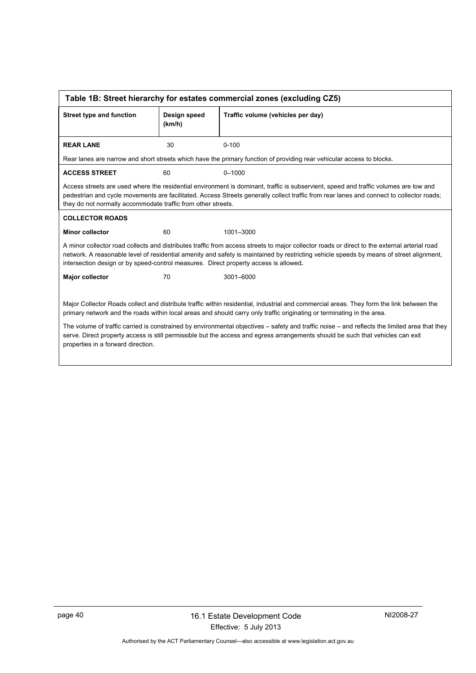<span id="page-43-0"></span>

| Table 1B: Street hierarchy for estates commercial zones (excluding CZ5)                                                                                                                                                                                                                                                                                                         |                        |                                                                                                                                                                                                                                                                                  |  |  |
|---------------------------------------------------------------------------------------------------------------------------------------------------------------------------------------------------------------------------------------------------------------------------------------------------------------------------------------------------------------------------------|------------------------|----------------------------------------------------------------------------------------------------------------------------------------------------------------------------------------------------------------------------------------------------------------------------------|--|--|
| <b>Street type and function</b>                                                                                                                                                                                                                                                                                                                                                 | Design speed<br>(km/h) | Traffic volume (vehicles per day)                                                                                                                                                                                                                                                |  |  |
| <b>REAR LANE</b>                                                                                                                                                                                                                                                                                                                                                                | 30                     | $0 - 100$                                                                                                                                                                                                                                                                        |  |  |
|                                                                                                                                                                                                                                                                                                                                                                                 |                        | Rear lanes are narrow and short streets which have the primary function of providing rear vehicular access to blocks.                                                                                                                                                            |  |  |
| <b>ACCESS STREET</b>                                                                                                                                                                                                                                                                                                                                                            | 60                     | $0 - 1000$                                                                                                                                                                                                                                                                       |  |  |
| they do not normally accommodate traffic from other streets.                                                                                                                                                                                                                                                                                                                    |                        | Access streets are used where the residential environment is dominant, traffic is subservient, speed and traffic volumes are low and<br>pedestrian and cycle movements are facilitated. Access Streets generally collect traffic from rear lanes and connect to collector roads; |  |  |
| <b>COLLECTOR ROADS</b>                                                                                                                                                                                                                                                                                                                                                          |                        |                                                                                                                                                                                                                                                                                  |  |  |
| <b>Minor collector</b>                                                                                                                                                                                                                                                                                                                                                          | 60                     | 1001-3000                                                                                                                                                                                                                                                                        |  |  |
| A minor collector road collects and distributes traffic from access streets to major collector roads or direct to the external arterial road<br>network. A reasonable level of residential amenity and safety is maintained by restricting vehicle speeds by means of street alignment,<br>intersection design or by speed-control measures. Direct property access is allowed. |                        |                                                                                                                                                                                                                                                                                  |  |  |
| Major collector                                                                                                                                                                                                                                                                                                                                                                 | 70                     | 3001-6000                                                                                                                                                                                                                                                                        |  |  |
|                                                                                                                                                                                                                                                                                                                                                                                 |                        |                                                                                                                                                                                                                                                                                  |  |  |
|                                                                                                                                                                                                                                                                                                                                                                                 |                        | Major Collector Roads collect and distribute traffic within residential, industrial and commercial areas. They form the link between the<br>primary network and the roads within local areas and should carry only traffic originating or terminating in the area.               |  |  |
| The volume of traffic carried is constrained by environmental objectives – safety and traffic noise – and reflects the limited area that they<br>serve. Direct property access is still permissible but the access and egress arrangements should be such that vehicles can exit<br>properties in a forward direction.                                                          |                        |                                                                                                                                                                                                                                                                                  |  |  |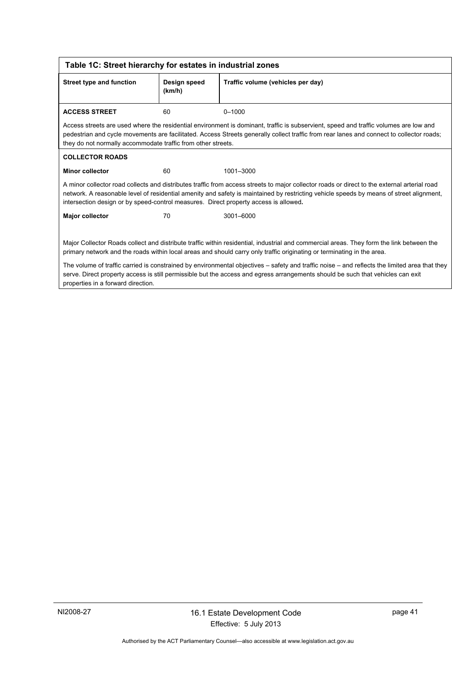<span id="page-44-0"></span>

| Table 1C: Street hierarchy for estates in industrial zones                                                                                                                                                                                                                                                             |                        |                                                                                                                                                                                                                                                                                         |  |  |
|------------------------------------------------------------------------------------------------------------------------------------------------------------------------------------------------------------------------------------------------------------------------------------------------------------------------|------------------------|-----------------------------------------------------------------------------------------------------------------------------------------------------------------------------------------------------------------------------------------------------------------------------------------|--|--|
| Street type and function                                                                                                                                                                                                                                                                                               | Design speed<br>(km/h) | Traffic volume (vehicles per day)                                                                                                                                                                                                                                                       |  |  |
| <b>ACCESS STREET</b>                                                                                                                                                                                                                                                                                                   | 60                     | $0 - 1000$                                                                                                                                                                                                                                                                              |  |  |
| they do not normally accommodate traffic from other streets.                                                                                                                                                                                                                                                           |                        | Access streets are used where the residential environment is dominant, traffic is subservient, speed and traffic volumes are low and<br>pedestrian and cycle movements are facilitated. Access Streets generally collect traffic from rear lanes and connect to collector roads;        |  |  |
| <b>COLLECTOR ROADS</b>                                                                                                                                                                                                                                                                                                 |                        |                                                                                                                                                                                                                                                                                         |  |  |
| <b>Minor collector</b>                                                                                                                                                                                                                                                                                                 | 60                     | 1001-3000                                                                                                                                                                                                                                                                               |  |  |
| intersection design or by speed-control measures. Direct property access is allowed.                                                                                                                                                                                                                                   |                        | A minor collector road collects and distributes traffic from access streets to major collector roads or direct to the external arterial road<br>network. A reasonable level of residential amenity and safety is maintained by restricting vehicle speeds by means of street alignment, |  |  |
| <b>Major collector</b>                                                                                                                                                                                                                                                                                                 | 70                     | 3001-6000                                                                                                                                                                                                                                                                               |  |  |
| Major Collector Roads collect and distribute traffic within residential, industrial and commercial areas. They form the link between the<br>primary network and the roads within local areas and should carry only traffic originating or terminating in the area.                                                     |                        |                                                                                                                                                                                                                                                                                         |  |  |
| The volume of traffic carried is constrained by environmental objectives – safety and traffic noise – and reflects the limited area that they<br>serve. Direct property access is still permissible but the access and egress arrangements should be such that vehicles can exit<br>properties in a forward direction. |                        |                                                                                                                                                                                                                                                                                         |  |  |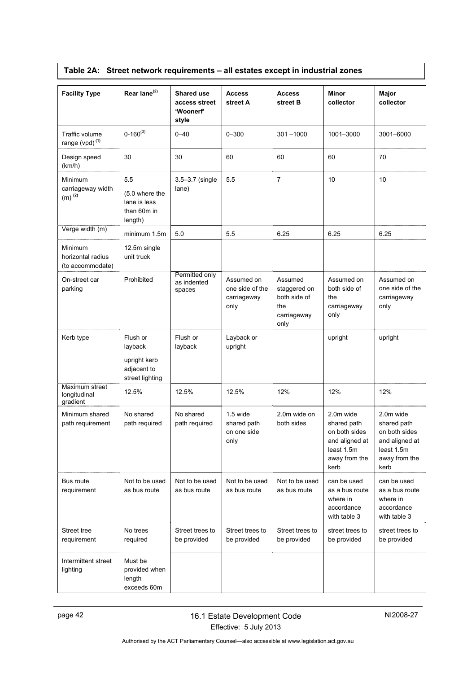<span id="page-45-0"></span>

| <b>Facility Type</b>                                 | Rear lane <sup>(2)</sup>                                              | <b>Shared use</b><br>access street<br>'Woonerf'<br>style | <b>Access</b><br>street A                            | <b>Access</b><br>street B                                             | <b>Minor</b><br>collector                                                                          | Major<br>collector                                                                                 |
|------------------------------------------------------|-----------------------------------------------------------------------|----------------------------------------------------------|------------------------------------------------------|-----------------------------------------------------------------------|----------------------------------------------------------------------------------------------------|----------------------------------------------------------------------------------------------------|
| Traffic volume<br>range (vpd) <sup>(1)</sup>         | $0 - 160^{(3)}$                                                       | $0 - 40$                                                 | $0 - 300$                                            | $301 - 1000$                                                          | 1001-3000                                                                                          | 3001-6000                                                                                          |
| Design speed<br>(km/h)                               | 30                                                                    | 30                                                       | 60                                                   | 60                                                                    | 60                                                                                                 | 70                                                                                                 |
| Minimum<br>carriageway width<br>$(m)$ <sup>(2)</sup> | 5.5<br>(5.0 where the<br>lane is less<br>than 60m in<br>length)       | 3.5-3.7 (single<br>lane)                                 | 5.5                                                  | $\overline{7}$                                                        | 10                                                                                                 | 10                                                                                                 |
| Verge width (m)                                      | minimum 1.5m                                                          | 5.0                                                      | 5.5                                                  | 6.25                                                                  | 6.25                                                                                               | 6.25                                                                                               |
| Minimum<br>horizontal radius<br>(to accommodate)     | 12.5m single<br>unit truck                                            |                                                          |                                                      |                                                                       |                                                                                                    |                                                                                                    |
| On-street car<br>parking                             | Prohibited                                                            | Permitted only<br>as indented<br>spaces                  | Assumed on<br>one side of the<br>carriageway<br>only | Assumed<br>staggered on<br>both side of<br>the<br>carriageway<br>only | Assumed on<br>both side of<br>the<br>carriageway<br>only                                           | Assumed on<br>one side of the<br>carriageway<br>only                                               |
| Kerb type                                            | Flush or<br>layback<br>upright kerb<br>adjacent to<br>street lighting | Flush or<br>layback                                      | Layback or<br>upright                                |                                                                       | upright                                                                                            | upright                                                                                            |
| Maximum street<br>longitudinal<br>gradient           | 12.5%                                                                 | 12.5%                                                    | 12.5%                                                | 12%                                                                   | 12%                                                                                                | 12%                                                                                                |
| Minimum shared<br>path requirement                   | No shared<br>path required                                            | No shared<br>path required                               | 1.5 wide<br>shared path<br>on one side<br>only       | 2.0m wide on<br>both sides                                            | 2.0m wide<br>shared path<br>on both sides<br>and aligned at<br>least 1.5m<br>away from the<br>kerb | 2.0m wide<br>shared path<br>on both sides<br>and aligned at<br>least 1.5m<br>away from the<br>kerb |
| Bus route<br>requirement                             | Not to be used<br>as bus route                                        | Not to be used<br>as bus route                           | Not to be used<br>as bus route                       | Not to be used<br>as bus route                                        | can be used<br>as a bus route<br>where in<br>accordance<br>with table 3                            | can be used<br>as a bus route<br>where in<br>accordance<br>with table 3                            |
| Street tree<br>requirement                           | No trees<br>required                                                  | Street trees to<br>be provided                           | Street trees to<br>be provided                       | Street trees to<br>be provided                                        | street trees to<br>be provided                                                                     | street trees to<br>be provided                                                                     |
| Intermittent street<br>lighting                      | Must be<br>provided when<br>length<br>exceeds 60m                     |                                                          |                                                      |                                                                       |                                                                                                    |                                                                                                    |

# **Table 2A: Street network requirements – all estates except in industrial zones**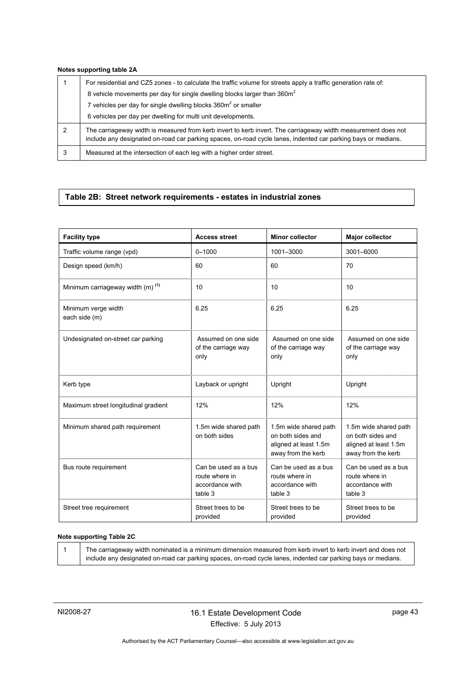#### **Notes supporting table 2A**

|   | For residential and CZ5 zones - to calculate the traffic volume for streets apply a traffic generation rate of:                                                                                                                |
|---|--------------------------------------------------------------------------------------------------------------------------------------------------------------------------------------------------------------------------------|
|   | 8 vehicle movements per day for single dwelling blocks larger than 360m <sup>2</sup>                                                                                                                                           |
|   | 7 vehicles per day for single dwelling blocks 360m <sup>2</sup> or smaller                                                                                                                                                     |
|   | 6 vehicles per day per dwelling for multi unit developments.                                                                                                                                                                   |
| 2 | The carriageway width is measured from kerb invert to kerb invert. The carriageway width measurement does not<br>include any designated on-road car parking spaces, on-road cycle lanes, indented car parking bays or medians. |
| 3 | Measured at the intersection of each leg with a higher order street.                                                                                                                                                           |

# <span id="page-46-0"></span>**Table 2B: Street network requirements - estates in industrial zones**

| <b>Facility type</b>                         | <b>Access street</b>                                                 | <b>Minor collector</b>                                                                    | <b>Major collector</b>                                                                    |
|----------------------------------------------|----------------------------------------------------------------------|-------------------------------------------------------------------------------------------|-------------------------------------------------------------------------------------------|
| Traffic volume range (vpd)                   | $0 - 1000$                                                           | 1001-3000                                                                                 | 3001-6000                                                                                 |
| Design speed (km/h)                          | 60                                                                   | 60                                                                                        | 70                                                                                        |
| Minimum carriageway width (m) <sup>(1)</sup> | 10                                                                   | 10                                                                                        | 10                                                                                        |
| Minimum verge width<br>each side (m)         | 6.25                                                                 | 6.25                                                                                      | 6.25                                                                                      |
| Undesignated on-street car parking           | Assumed on one side<br>of the carriage way<br>only                   | Assumed on one side<br>of the carriage way<br>only                                        | Assumed on one side<br>of the carriage way<br>only                                        |
| Kerb type                                    | Layback or upright                                                   | Upright                                                                                   | Upright                                                                                   |
| Maximum street longitudinal gradient         | 12%                                                                  | 12%                                                                                       | 12%                                                                                       |
| Minimum shared path requirement              | 1.5m wide shared path<br>on both sides                               | 1.5m wide shared path<br>on both sides and<br>aligned at least 1.5m<br>away from the kerb | 1.5m wide shared path<br>on both sides and<br>aligned at least 1.5m<br>away from the kerb |
| Bus route requirement                        | Can be used as a bus<br>route where in<br>accordance with<br>table 3 | Can be used as a bus<br>route where in<br>accordance with<br>table 3                      | Can be used as a bus<br>route where in<br>accordance with<br>table 3                      |
| Street tree requirement                      | Street trees to be<br>provided                                       | Street trees to be<br>provided                                                            | Street trees to be<br>provided                                                            |

#### **Note supporting Table 2C**

| The carriageway width nominated is a minimum dimension measured from kerb invert to kerb invert and does not  |
|---------------------------------------------------------------------------------------------------------------|
| include any designated on-road car parking spaces, on-road cycle lanes, indented car parking bays or medians. |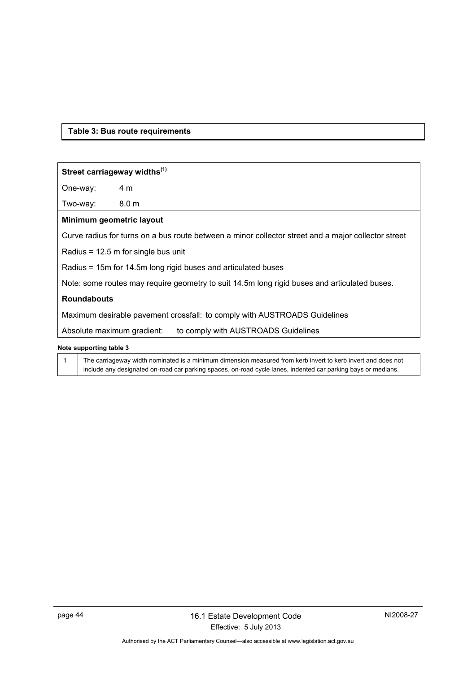### <span id="page-47-0"></span>**Table 3: Bus route requirements**

#### **Street carriageway widths(1)**

One-way: 4 m

Two-way: 8.0 m

#### **Minimum geometric layout**

Curve radius for turns on a bus route between a minor collector street and a major collector street

Radius = 12.5 m for single bus unit

Radius = 15m for 14.5m long rigid buses and articulated buses

Note: some routes may require geometry to suit 14.5m long rigid buses and articulated buses.

#### **Roundabouts**

Maximum desirable pavement crossfall: to comply with AUSTROADS Guidelines

Absolute maximum gradient: to comply with AUSTROADS Guidelines

#### **Note supporting table 3**

1 The carriageway width nominated is a minimum dimension measured from kerb invert to kerb invert and does not include any designated on-road car parking spaces, on-road cycle lanes, indented car parking bays or medians.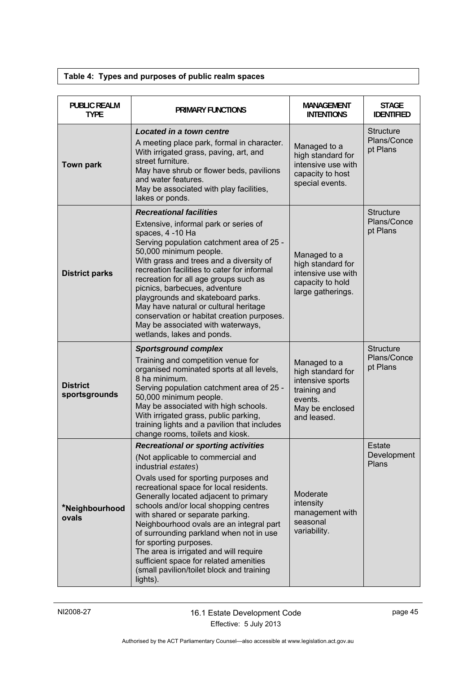# **Table 4: Types and purposes of public realm spaces**

<span id="page-48-0"></span>

| <b>PUBLIC REALM</b><br><b>TYPE</b> | <b>PRIMARY FUNCTIONS</b>                                                                                                                                                                                                                                                                                                                                                                                                                                                                                                                                                      | MANAGEMENT<br><b>INTENTIONS</b>                                                                                    | <b>STAGE</b><br><b>IDENTIFIED</b>           |
|------------------------------------|-------------------------------------------------------------------------------------------------------------------------------------------------------------------------------------------------------------------------------------------------------------------------------------------------------------------------------------------------------------------------------------------------------------------------------------------------------------------------------------------------------------------------------------------------------------------------------|--------------------------------------------------------------------------------------------------------------------|---------------------------------------------|
| <b>Town park</b>                   | Located in a town centre<br>A meeting place park, formal in character.<br>With irrigated grass, paving, art, and<br>street furniture.<br>May have shrub or flower beds, pavilions<br>and water features.<br>May be associated with play facilities,<br>lakes or ponds.                                                                                                                                                                                                                                                                                                        | Managed to a<br>high standard for<br>intensive use with<br>capacity to host<br>special events.                     | <b>Structure</b><br>Plans/Conce<br>pt Plans |
| <b>District parks</b>              | <b>Recreational facilities</b><br>Extensive, informal park or series of<br>spaces, 4 -10 Ha<br>Serving population catchment area of 25 -<br>50,000 minimum people.<br>With grass and trees and a diversity of<br>recreation facilities to cater for informal<br>recreation for all age groups such as<br>picnics, barbecues, adventure<br>playgrounds and skateboard parks.<br>May have natural or cultural heritage<br>conservation or habitat creation purposes.<br>May be associated with waterways,<br>wetlands, lakes and ponds.                                         | Managed to a<br>high standard for<br>intensive use with<br>capacity to hold<br>large gatherings.                   | <b>Structure</b><br>Plans/Conce<br>pt Plans |
| <b>District</b><br>sportsgrounds   | <b>Sportsground complex</b><br>Training and competition venue for<br>organised nominated sports at all levels,<br>8 ha minimum.<br>Serving population catchment area of 25 -<br>50,000 minimum people.<br>May be associated with high schools.<br>With irrigated grass, public parking,<br>training lights and a pavilion that includes<br>change rooms, toilets and kiosk.                                                                                                                                                                                                   | Managed to a<br>high standard for<br>intensive sports<br>training and<br>events.<br>May be enclosed<br>and leased. | <b>Structure</b><br>Plans/Conce<br>pt Plans |
| *Neighbourhood<br>ovals            | <b>Recreational or sporting activities</b><br>(Not applicable to commercial and<br>industrial estates)<br>Ovals used for sporting purposes and<br>recreational space for local residents.<br>Generally located adjacent to primary<br>schools and/or local shopping centres<br>with shared or separate parking.<br>Neighbourhood ovals are an integral part<br>of surrounding parkland when not in use<br>for sporting purposes.<br>The area is irrigated and will require<br>sufficient space for related amenities<br>(small pavilion/toilet block and training<br>lights). | Moderate<br>intensity<br>management with<br>seasonal<br>variability.                                               | <b>Estate</b><br>Development<br>Plans       |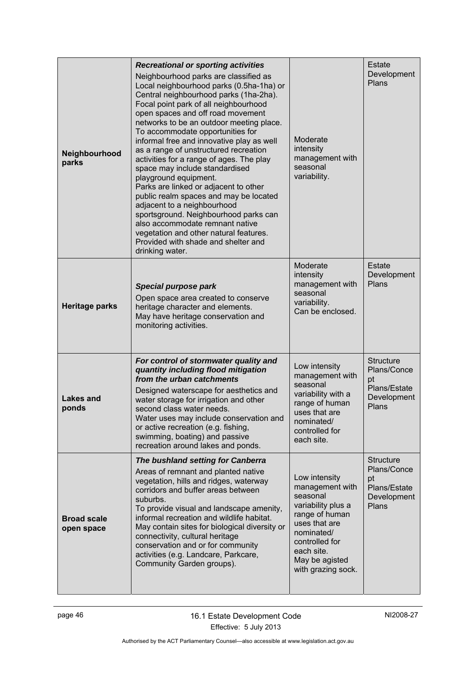| Neighbourhood<br>parks           | <b>Recreational or sporting activities</b><br>Neighbourhood parks are classified as<br>Local neighbourhood parks (0.5ha-1ha) or<br>Central neighbourhood parks (1ha-2ha).<br>Focal point park of all neighbourhood<br>open spaces and off road movement<br>networks to be an outdoor meeting place.<br>To accommodate opportunities for<br>informal free and innovative play as well<br>as a range of unstructured recreation<br>activities for a range of ages. The play<br>space may include standardised<br>playground equipment.<br>Parks are linked or adjacent to other<br>public realm spaces and may be located<br>adjacent to a neighbourhood<br>sportsground. Neighbourhood parks can<br>also accommodate remnant native<br>vegetation and other natural features.<br>Provided with shade and shelter and<br>drinking water. | Moderate<br>intensity<br>management with<br>seasonal<br>variability.                                                                                                                        | Estate<br>Development<br>Plans                                                |
|----------------------------------|----------------------------------------------------------------------------------------------------------------------------------------------------------------------------------------------------------------------------------------------------------------------------------------------------------------------------------------------------------------------------------------------------------------------------------------------------------------------------------------------------------------------------------------------------------------------------------------------------------------------------------------------------------------------------------------------------------------------------------------------------------------------------------------------------------------------------------------|---------------------------------------------------------------------------------------------------------------------------------------------------------------------------------------------|-------------------------------------------------------------------------------|
| <b>Heritage parks</b>            | Special purpose park<br>Open space area created to conserve<br>heritage character and elements.<br>May have heritage conservation and<br>monitoring activities.                                                                                                                                                                                                                                                                                                                                                                                                                                                                                                                                                                                                                                                                        | Moderate<br>intensity<br>management with<br>seasonal<br>variability.<br>Can be enclosed.                                                                                                    | <b>Estate</b><br>Development<br>Plans                                         |
| <b>Lakes and</b><br>ponds        | For control of stormwater quality and<br>quantity including flood mitigation<br>from the urban catchments<br>Designed waterscape for aesthetics and<br>water storage for irrigation and other<br>second class water needs.<br>Water uses may include conservation and<br>or active recreation (e.g. fishing,<br>swimming, boating) and passive<br>recreation around lakes and ponds.                                                                                                                                                                                                                                                                                                                                                                                                                                                   | Low intensity<br>management with<br>seasonal<br>variability with a<br>range of human<br>uses that are<br>nominated/<br>controlled for<br>each site.                                         | <b>Structure</b><br>Plans/Conce<br>pt<br>Plans/Estate<br>Development<br>Plans |
| <b>Broad scale</b><br>open space | The bushland setting for Canberra<br>Areas of remnant and planted native<br>vegetation, hills and ridges, waterway<br>corridors and buffer areas between<br>suburbs.<br>To provide visual and landscape amenity,<br>informal recreation and wildlife habitat.<br>May contain sites for biological diversity or<br>connectivity, cultural heritage<br>conservation and or for community<br>activities (e.g. Landcare, Parkcare,<br>Community Garden groups).                                                                                                                                                                                                                                                                                                                                                                            | Low intensity<br>management with<br>seasonal<br>variability plus a<br>range of human<br>uses that are<br>nominated/<br>controlled for<br>each site.<br>May be agisted<br>with grazing sock. | <b>Structure</b><br>Plans/Conce<br>pt<br>Plans/Estate<br>Development<br>Plans |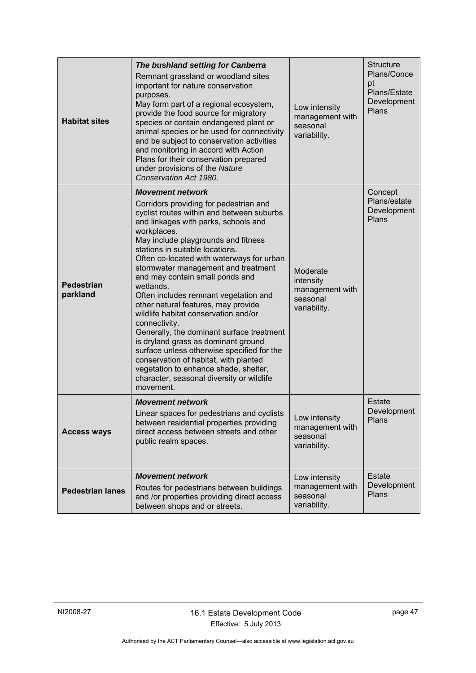| <b>Habitat sites</b>          | The bushland setting for Canberra<br>Remnant grassland or woodland sites<br>important for nature conservation<br>purposes.<br>May form part of a regional ecosystem,<br>provide the food source for migratory<br>species or contain endangered plant or<br>animal species or be used for connectivity<br>and be subject to conservation activities<br>and monitoring in accord with Action<br>Plans for their conservation prepared<br>under provisions of the Nature<br>Conservation Act 1980.                                                                                                                                                                                                                                                                                                            | Low intensity<br>management with<br>seasonal<br>variability.         | <b>Structure</b><br>Plans/Conce<br>pt<br>Plans/Estate<br>Development<br>Plans |
|-------------------------------|------------------------------------------------------------------------------------------------------------------------------------------------------------------------------------------------------------------------------------------------------------------------------------------------------------------------------------------------------------------------------------------------------------------------------------------------------------------------------------------------------------------------------------------------------------------------------------------------------------------------------------------------------------------------------------------------------------------------------------------------------------------------------------------------------------|----------------------------------------------------------------------|-------------------------------------------------------------------------------|
| <b>Pedestrian</b><br>parkland | <b>Movement network</b><br>Corridors providing for pedestrian and<br>cyclist routes within and between suburbs<br>and linkages with parks, schools and<br>workplaces.<br>May include playgrounds and fitness<br>stations in suitable locations.<br>Often co-located with waterways for urban<br>stormwater management and treatment<br>and may contain small ponds and<br>wetlands.<br>Often includes remnant vegetation and<br>other natural features, may provide<br>wildlife habitat conservation and/or<br>connectivity.<br>Generally, the dominant surface treatment<br>is dryland grass as dominant ground<br>surface unless otherwise specified for the<br>conservation of habitat, with planted<br>vegetation to enhance shade, shelter,<br>character, seasonal diversity or wildlife<br>movement. | Moderate<br>intensity<br>management with<br>seasonal<br>variability. | Concept<br>Plans/estate<br>Development<br>Plans                               |
| <b>Access ways</b>            | <b>Movement network</b><br>Linear spaces for pedestrians and cyclists<br>between residential properties providing<br>direct access between streets and other<br>public realm spaces.                                                                                                                                                                                                                                                                                                                                                                                                                                                                                                                                                                                                                       | Low intensity<br>management with<br>seasonal<br>variability.         | Estate<br>Development<br>Plans                                                |
| <b>Pedestrian lanes</b>       | <b>Movement network</b><br>Routes for pedestrians between buildings<br>and /or properties providing direct access<br>between shops and or streets.                                                                                                                                                                                                                                                                                                                                                                                                                                                                                                                                                                                                                                                         | Low intensity<br>management with<br>seasonal<br>variability.         | Estate<br>Development<br>Plans                                                |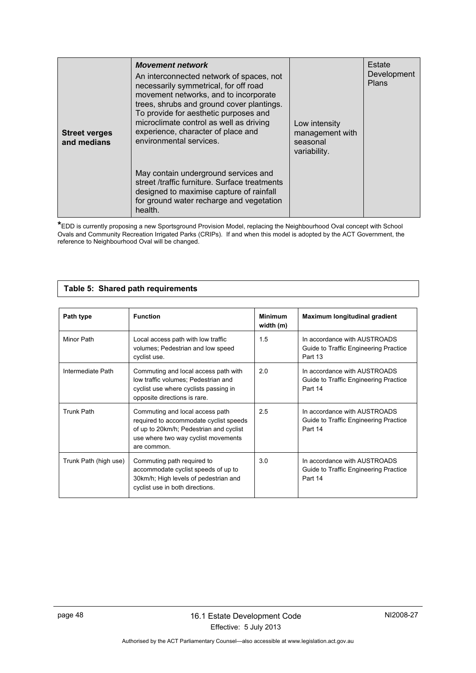| <b>Street verges</b><br>and medians | <b>Movement network</b><br>An interconnected network of spaces, not<br>necessarily symmetrical, for off road<br>movement networks, and to incorporate<br>trees, shrubs and ground cover plantings.<br>To provide for aesthetic purposes and<br>microclimate control as well as driving<br>experience, character of place and<br>environmental services. | Low intensity<br>management with<br>seasonal<br>variability. | Estate<br>Development<br><b>Plans</b> |
|-------------------------------------|---------------------------------------------------------------------------------------------------------------------------------------------------------------------------------------------------------------------------------------------------------------------------------------------------------------------------------------------------------|--------------------------------------------------------------|---------------------------------------|
|                                     | May contain underground services and<br>street /traffic furniture. Surface treatments<br>designed to maximise capture of rainfall<br>for ground water recharge and vegetation<br>health.                                                                                                                                                                |                                                              |                                       |

**\***EDD is currently proposing a new Sportsground Provision Model, replacing the Neighbourhood Oval concept with School Ovals and Community Recreation Irrigated Parks (CRIPs). If and when this model is adopted by the ACT Government, the reference to Neighbourhood Oval will be changed.

### **Table 5: Shared path requirements**

<span id="page-51-0"></span>

| Path type             | <b>Function</b>                                                                                                                                                            | <b>Minimum</b><br>width (m) | Maximum longitudinal gradient                                                    |
|-----------------------|----------------------------------------------------------------------------------------------------------------------------------------------------------------------------|-----------------------------|----------------------------------------------------------------------------------|
| Minor Path            | Local access path with low traffic<br>volumes; Pedestrian and low speed<br>cyclist use.                                                                                    | 1.5                         | In accordance with AUSTROADS<br>Guide to Traffic Engineering Practice<br>Part 13 |
| Intermediate Path     | Commuting and local access path with<br>low traffic volumes; Pedestrian and<br>cyclist use where cyclists passing in<br>opposite directions is rare.                       | 2.0                         | In accordance with AUSTROADS<br>Guide to Traffic Engineering Practice<br>Part 14 |
| <b>Trunk Path</b>     | Commuting and local access path<br>required to accommodate cyclist speeds<br>of up to 20km/h; Pedestrian and cyclist<br>use where two way cyclist movements<br>are common. | 2.5                         | In accordance with AUSTROADS<br>Guide to Traffic Engineering Practice<br>Part 14 |
| Trunk Path (high use) | Commuting path required to<br>accommodate cyclist speeds of up to<br>30km/h; High levels of pedestrian and<br>cyclist use in both directions.                              | 3.0                         | In accordance with AUSTROADS<br>Guide to Traffic Engineering Practice<br>Part 14 |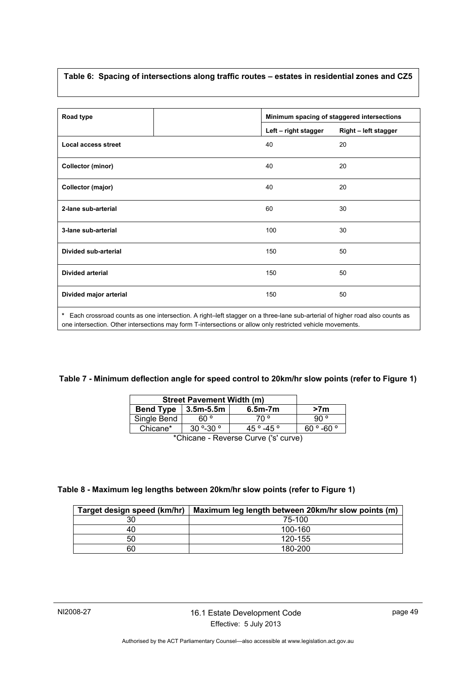# <span id="page-52-0"></span>**Table 6: Spacing of intersections along traffic routes – estates in residential zones and CZ5**

| Road type                  |                      | Minimum spacing of staggered intersections |
|----------------------------|----------------------|--------------------------------------------|
|                            | Left - right stagger | Right - left stagger                       |
| <b>Local access street</b> | 40                   | 20                                         |
| <b>Collector (minor)</b>   | 40                   | 20                                         |
| Collector (major)          | 40                   | 20                                         |
| 2-lane sub-arterial        | 60                   | 30                                         |
| 3-lane sub-arterial        | 100                  | 30                                         |
| Divided sub-arterial       | 150                  | 50                                         |
| <b>Divided arterial</b>    | 150                  | 50                                         |
| Divided major arterial     | 150                  | 50                                         |

one intersection. Other intersections may form T-intersections or allow only restricted vehicle movements.

### <span id="page-52-1"></span>**Table 7 - Minimum deflection angle for speed control to 20km/hr slow points (refer to Figure 1)**

|                  | <b>Street Pavement Width (m)</b> |                                         |                 |  |  |  |  |  |
|------------------|----------------------------------|-----------------------------------------|-----------------|--|--|--|--|--|
| <b>Bend Type</b> | 3.5m-5.5m                        | $6.5m-7m$                               | >7 <sub>m</sub> |  |  |  |  |  |
| Single Bend      | 60 °                             | ° 70                                    | `90 ∘           |  |  |  |  |  |
| Chicane*         | $30^{\circ}$ -30 $^{\circ}$      | $45^{\circ} - 45^{\circ}$               | 60 ° -60 °      |  |  |  |  |  |
|                  |                                  | $*$ Objazira – Davona Ovinia (lalavnic) |                 |  |  |  |  |  |

\*Chicane - Reverse Curve ('s' curve)

### <span id="page-52-2"></span>**Table 8 - Maximum leg lengths between 20km/hr slow points (refer to Figure 1)**

| Target design speed (km/hr) | Maximum leg length between 20km/hr slow points (m) |
|-----------------------------|----------------------------------------------------|
| 30                          | 75-100                                             |
| 40                          | 100-160                                            |
| 50                          | 120-155                                            |
| 60                          | 180-200                                            |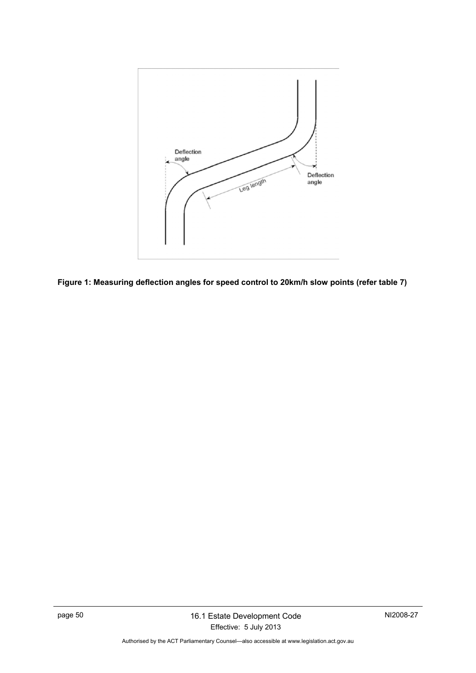

<span id="page-53-0"></span>**Figure 1: Measuring deflection angles for speed control to 20km/h slow points (refer table 7)**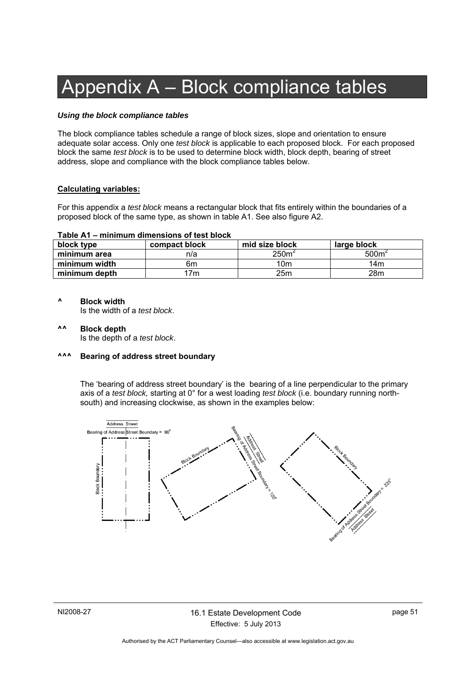# Appendix A – Block compliance tables

#### *Using the block compliance tables*

The block compliance tables schedule a range of block sizes, slope and orientation to ensure adequate solar access. Only one *test block* is applicable to each proposed block. For each proposed block the same *test block* is to be used to determine block width, block depth, bearing of street address, slope and compliance with the block compliance tables below.

#### **Calculating variables:**

For this appendix a *test block* means a rectangular block that fits entirely within the boundaries of a proposed block of the same type, as shown in table A1. See also figure A2.

#### **Table A1 – minimum dimensions of test block**

| block type    | compact block | mid size block   | large block       |
|---------------|---------------|------------------|-------------------|
| minimum area  | n/a           | 250 <sup>6</sup> | 500m <sup>2</sup> |
| minimum width | 6m            | 10m              | 14m               |
| minimum depth | 7m            | 25m              | 28m               |

#### **^ Block width**

Is the width of a *test block*.

**^^ Block depth**  Is the depth of a *test block*.

#### **^^^ Bearing of address street boundary**

The 'bearing of address street boundary' is the bearing of a line perpendicular to the primary axis of a *test block,* starting at 0° for a west loading *test block* (i.e. boundary running northsouth) and increasing clockwise, as shown in the examples below:

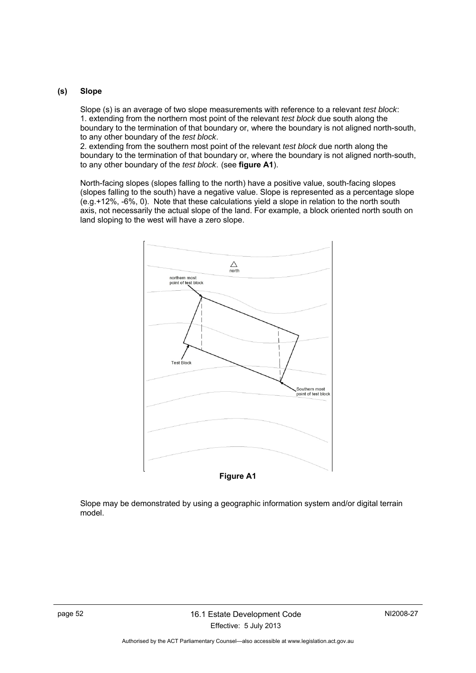#### **(s) Slope**

Slope (s) is an average of two slope measurements with reference to a relevant *test block*: 1. extending from the northern most point of the relevant *test block* due south along the boundary to the termination of that boundary or, where the boundary is not aligned north-south, to any other boundary of the *test block*.

2. extending from the southern most point of the relevant *test block* due north along the boundary to the termination of that boundary or, where the boundary is not aligned north-south, to any other boundary of the *test block*. (see **figure A1**).

North-facing slopes (slopes falling to the north) have a positive value, south-facing slopes (slopes falling to the south) have a negative value. Slope is represented as a percentage slope (e.g.+12%, -6%, 0). Note that these calculations yield a slope in relation to the north south axis, not necessarily the actual slope of the land. For example, a block oriented north south on land sloping to the west will have a zero slope.



Slope may be demonstrated by using a geographic information system and/or digital terrain model.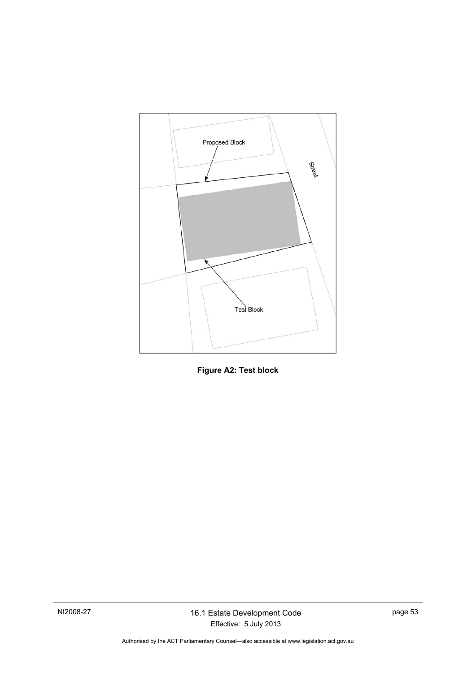

**Figure A2: Test block**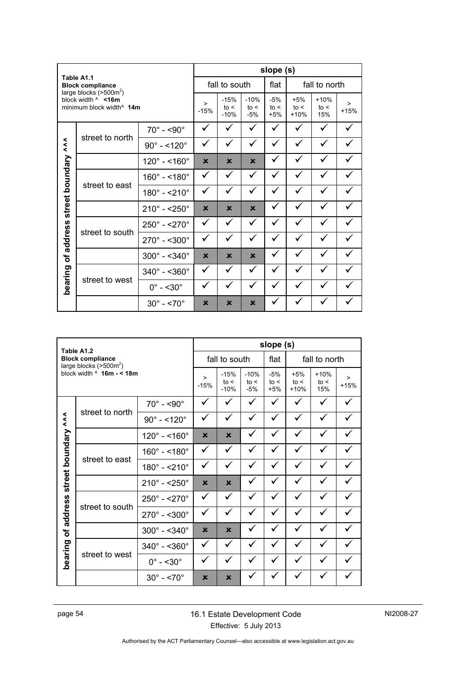|                 | Table A1.1                                                       |                             |                           |                          | slope (s)               |                        |                         |                       |                  |  |
|-----------------|------------------------------------------------------------------|-----------------------------|---------------------------|--------------------------|-------------------------|------------------------|-------------------------|-----------------------|------------------|--|
|                 | <b>Block compliance</b><br>large blocks $(>500m^2)$              |                             |                           | fall to south            |                         | flat                   |                         | fall to north         |                  |  |
|                 | block width $\land$ <16m<br>minimum block width <sup>^</sup> 14m |                             | ><br>$-15%$               | $-15%$<br>to <<br>$-10%$ | $-10%$<br>to <<br>$-5%$ | $-5%$<br>to <<br>$+5%$ | $+5%$<br>to <<br>$+10%$ | $+10%$<br>to <<br>15% | $\geq$<br>$+15%$ |  |
|                 |                                                                  | $70^\circ$ - <90 $^\circ$   | ✓                         |                          |                         |                        |                         |                       |                  |  |
| $\lambda$       | street to north                                                  | $90^{\circ} - 120^{\circ}$  | ✓                         | ✓                        | ✓                       | ✓                      |                         | ✓                     |                  |  |
|                 |                                                                  | $120^{\circ} - 160^{\circ}$ | $\boldsymbol{\mathsf{x}}$ | $\mathbf x$              | $\mathbf x$             | ✓                      |                         |                       |                  |  |
|                 |                                                                  | $160^{\circ} - 180^{\circ}$ | ✓                         | ✓                        | ✓                       | ✓                      | ✓                       | ✓                     |                  |  |
|                 | street to east                                                   | $180^{\circ} - 210^{\circ}$ | ✓                         | ✓                        | ✓                       | ✓                      |                         |                       |                  |  |
| street boundary |                                                                  | $210^{\circ} - 250^{\circ}$ | $\boldsymbol{\mathsf{x}}$ | $\mathbf x$              | $\mathbf x$             | ✓                      |                         |                       |                  |  |
|                 |                                                                  | $250^{\circ} - 270^{\circ}$ | ✓                         | ✓                        | ✓                       | ✓                      |                         |                       |                  |  |
| address         | street to south                                                  | $270^{\circ} - 500^{\circ}$ | ✓                         | ✓                        | $\checkmark$            | $\checkmark$           |                         | ✓                     |                  |  |
| Ⴆ               |                                                                  | $300^{\circ} - 340^{\circ}$ | $\boldsymbol{\mathsf{x}}$ | $\mathbf x$              | $\mathbf x$             |                        |                         |                       |                  |  |
| bearing         |                                                                  | $340^{\circ} - 360^{\circ}$ | ✓                         | ✓                        | ✓                       | ✓                      |                         |                       |                  |  |
|                 | street to west                                                   | $0^\circ$ - <30 $^\circ$    | ✓                         | ✓                        |                         | ✓                      |                         |                       |                  |  |
|                 |                                                                  | $30^\circ$ - <70 $^\circ$   | ×                         | ×                        | ×                       |                        |                         |                       |                  |  |

|              | Table A1.2                                          |                             |                           |                          |                         | slope (s)              |                         |                       |             |
|--------------|-----------------------------------------------------|-----------------------------|---------------------------|--------------------------|-------------------------|------------------------|-------------------------|-----------------------|-------------|
|              | <b>Block compliance</b><br>large blocks $(>500m^2)$ |                             |                           | fall to south            |                         | flat                   | fall to north           |                       |             |
|              | block width $\land$ 16m - < 18m                     |                             | ><br>$-15%$               | $-15%$<br>to <<br>$-10%$ | $-10%$<br>to <<br>$-5%$ | $-5%$<br>to <<br>$+5%$ | $+5%$<br>to <<br>$+10%$ | $+10%$<br>to <<br>15% | ><br>$+15%$ |
|              |                                                     | $70^\circ$ - <90 $^\circ$   | ✓                         | ✓                        | ✓                       | ✓                      |                         | ✓                     |             |
| $\lambda$    | street to north                                     | $90^{\circ} - 120^{\circ}$  | ✓                         | ✓                        | ✓                       | ✓                      |                         |                       |             |
|              |                                                     | $120^{\circ} - 160^{\circ}$ | $\boldsymbol{\mathsf{x}}$ | $\mathbf x$              | ✓                       | ✓                      |                         |                       |             |
| boundary     | street to east                                      | $160^{\circ} - 180^{\circ}$ | ✓                         | ✓                        | ✓                       | ✓                      |                         | ✓                     |             |
|              |                                                     | $180^{\circ} - 210^{\circ}$ | ✓                         | ✓                        | ✓                       | ✓                      |                         |                       |             |
| street       |                                                     | $210^{\circ} - 250^{\circ}$ | $\boldsymbol{\mathsf{x}}$ | $\mathbf x$              | ✓                       | ✓                      |                         |                       |             |
|              |                                                     | $250^{\circ} - 270^{\circ}$ | ✓                         | ✓                        | ✓                       | ✓                      | ✓                       |                       |             |
| address      | street to south                                     | $270^\circ$ - <300 $^\circ$ | ✓                         | ✓                        | $\checkmark$            | ✓                      |                         |                       |             |
| $\mathbf{b}$ |                                                     | $300^{\circ} - 340^{\circ}$ | $\boldsymbol{\mathsf{x}}$ | $\mathbf x$              | ✓                       | ✓                      |                         |                       |             |
|              |                                                     | $340^{\circ} - 560^{\circ}$ | ✓                         | ✓                        | $\checkmark$            | ✓                      |                         |                       |             |
| bearing      | street to west                                      | $0^\circ$ - <30 $^\circ$    | ✓                         | ✓                        |                         |                        |                         |                       |             |
|              |                                                     | $30^{\circ} - 5.70^{\circ}$ | $\boldsymbol{\mathsf{x}}$ | $\mathbf x$              |                         |                        |                         |                       |             |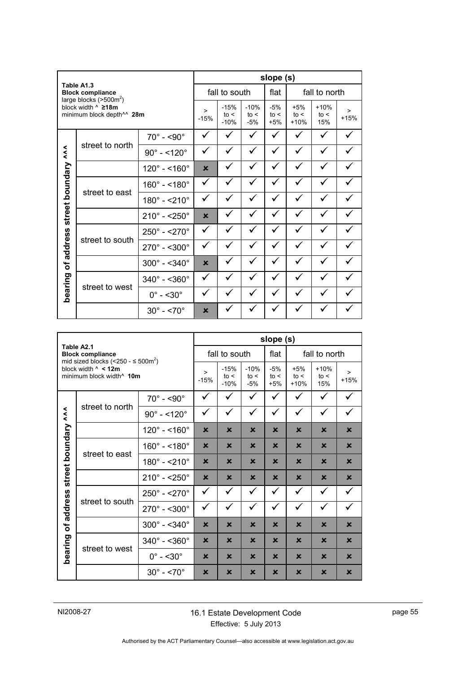|                    |                                                                                                  |                             |                           |                          |                         | slope (s)              |                         |                       |                  |
|--------------------|--------------------------------------------------------------------------------------------------|-----------------------------|---------------------------|--------------------------|-------------------------|------------------------|-------------------------|-----------------------|------------------|
|                    | Table A1.3<br><b>Block compliance</b>                                                            |                             |                           | fall to south            |                         | flat                   |                         | fall to north         |                  |
|                    | large blocks $(>500m²)$<br>block width $^{\wedge}$ 218m<br>minimum block depth <sup>11</sup> 28m |                             | $\geq$<br>$-15%$          | $-15%$<br>to <<br>$-10%$ | $-10%$<br>to <<br>$-5%$ | $-5%$<br>to <<br>$+5%$ | $+5%$<br>to <<br>$+10%$ | $+10%$<br>to <<br>15% | $\geq$<br>$+15%$ |
|                    |                                                                                                  | $70^\circ$ - <90 $^\circ$   | ✓                         | ✓                        | ✓                       | ✓                      |                         | ✓                     |                  |
|                    | street to north                                                                                  | $90^{\circ} - 120^{\circ}$  | ✓                         | ✓                        | ✓                       | ✓                      |                         | ✓                     |                  |
|                    |                                                                                                  | $120^{\circ} - 160^{\circ}$ | $\mathbf x$               | ✓                        | ✓                       | ✓                      |                         | ✓                     |                  |
|                    |                                                                                                  | $160^{\circ} - 180^{\circ}$ | ✓                         | ✓                        | ✓                       | ✓                      |                         | ✓                     |                  |
|                    | street to east                                                                                   | $180^{\circ} - 210^{\circ}$ | ✓                         | ✓                        | ✓                       | ✓                      |                         |                       |                  |
| street boundary ^^ |                                                                                                  | $210^{\circ} - 250^{\circ}$ | $\mathbf x$               |                          |                         |                        |                         |                       |                  |
|                    |                                                                                                  | $250^{\circ} - 270^{\circ}$ | ✓                         | ✓                        | ✓                       | ✓                      |                         | ✓                     |                  |
| address            | street to south                                                                                  | $270^{\circ} - 300^{\circ}$ | ✓                         | ✓                        | ✓                       | ✓                      |                         |                       |                  |
| Ⴆ                  |                                                                                                  | $300^{\circ} - 340^{\circ}$ | $\mathbf x$               |                          |                         |                        |                         |                       |                  |
|                    |                                                                                                  | $340^{\circ} - 360^{\circ}$ | ✓                         | ✓                        | ✓                       | ✓                      |                         | ✓                     |                  |
| bearing            | street to west                                                                                   | $0^\circ$ - <30 $^\circ$    | ✓                         | ✓                        | ✓                       |                        |                         |                       |                  |
|                    |                                                                                                  | $30^\circ$ - <70 $^\circ$   | $\boldsymbol{\mathsf{x}}$ |                          |                         |                        |                         |                       |                  |

|           |                                                                                                                          |                              |                           |                           |                         | slope (s)                 |                           |                           |                           |
|-----------|--------------------------------------------------------------------------------------------------------------------------|------------------------------|---------------------------|---------------------------|-------------------------|---------------------------|---------------------------|---------------------------|---------------------------|
|           | Table A2.1<br><b>Block compliance</b>                                                                                    |                              |                           | fall to south             |                         |                           | fall to north             |                           |                           |
|           | mid sized blocks (<250 - $\leq$ 500m <sup>2</sup> )<br>block width $\land$ < 12m<br>minimum block width <sup>^</sup> 10m |                              | $\geq$<br>$-15%$          | $-15%$<br>to <<br>$-10%$  | $-10%$<br>to <<br>$-5%$ | $-5%$<br>to <<br>$+5%$    | $+5%$<br>to <<br>$+10%$   | $+10%$<br>to <<br>15%     | $\geq$<br>$+15%$          |
|           |                                                                                                                          | $70^\circ$ - <90 $^\circ$    | ✓                         | $\checkmark$              | ✓                       | ✓                         | ✓                         | ✓                         | ✓                         |
| $\lambda$ | street to north                                                                                                          | $90^{\circ} - 120^{\circ}$   | ✓                         | $\checkmark$              | ✓                       | ✓                         | ✓                         | ✓                         | ✓                         |
|           |                                                                                                                          | $120^{\circ} - 160^{\circ}$  | $\mathbf x$               | $\mathbf x$               | $\mathbf x$             | $\mathbf x$               | $\mathbf x$               | $\mathbf x$               | $\mathbf x$               |
| boundary  | street to east                                                                                                           | $160^{\circ} - 180^{\circ}$  | $\mathbf x$               | ×                         | $\mathbf x$             | $\mathbf x$               | $\mathbf x$               | $\mathbf x$               | $\mathbf x$               |
|           |                                                                                                                          | $180^{\circ} - 210^{\circ}$  | $\mathbf x$               | $\mathbf x$               | $\mathbf x$             | $\mathbf x$               | $\mathbf x$               | $\mathbf x$               | $\mathbf x$               |
| street    |                                                                                                                          | $210^{\circ} - 250^{\circ}$  | $\boldsymbol{\mathsf{x}}$ | $\boldsymbol{\mathsf{x}}$ | $\mathbf x$             | $\boldsymbol{\mathsf{x}}$ | $\boldsymbol{\mathsf{x}}$ | $\boldsymbol{\mathsf{x}}$ | $\boldsymbol{\mathsf{x}}$ |
|           |                                                                                                                          | $250^{\circ} - 270^{\circ}$  | ✓                         | $\checkmark$              | ✓                       | ✓                         | ✓                         | ✓                         | ✓                         |
| address   | street to south                                                                                                          | $270^{\circ} - 500^{\circ}$  | ✓                         | $\checkmark$              | ✓                       | ✓                         | ✓                         | ✓                         | ✓                         |
| ৳         |                                                                                                                          | $300^{\circ} - 340^{\circ}$  | $\boldsymbol{\mathsf{x}}$ | $\mathbf x$               | $\mathbf x$             | $\mathbf x$               | $\mathbf x$               | $\mathbf x$               | $\mathbf x$               |
|           |                                                                                                                          | $340^{\circ} - 5360^{\circ}$ | ×                         | ×                         | $\mathbf x$             | $\mathbf x$               | $\mathbf x$               | $\mathbf x$               | $\mathbf x$               |
|           | bearing<br>street to west                                                                                                | $0^\circ$ - <30 $^\circ$     | ×                         | $\mathbf x$               | $\mathbf x$             | $\mathbf x$               | $\mathbf x$               | $\mathbf x$               | $\mathbf x$               |
|           |                                                                                                                          | $30^\circ$ - $\leq 70^\circ$ | $\mathbf x$               | $\mathbf x$               | $\mathbf x$             | $\mathbf x$               | $\mathbf x$               | $\mathbf x$               | $\mathbf x$               |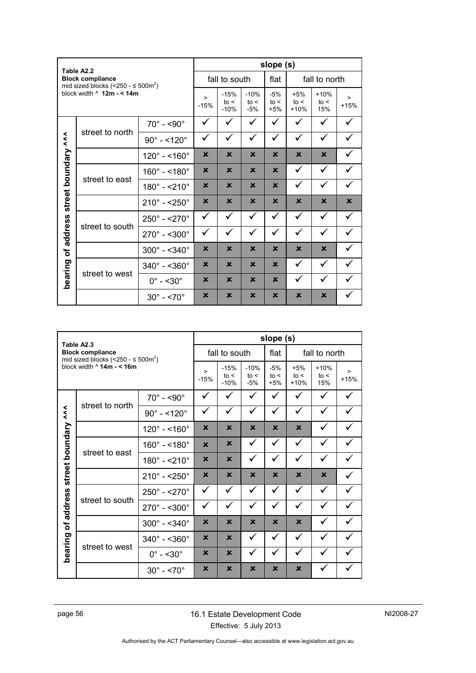|                 | Table A2.2                                                                     |                             |                           |                           |                           | slope (s)                 |                           |                       |                  |
|-----------------|--------------------------------------------------------------------------------|-----------------------------|---------------------------|---------------------------|---------------------------|---------------------------|---------------------------|-----------------------|------------------|
|                 | <b>Block compliance</b><br>mid sized blocks (<250 - $\leq$ 500m <sup>2</sup> ) |                             |                           | fall to south             |                           | flat                      | fall to north             |                       |                  |
|                 | block width $\land$ 12m - < 14m                                                |                             | $\geq$<br>$-15%$          | $-15%$<br>to <<br>$-10%$  | $-10%$<br>to <<br>$-5%$   | $-5%$<br>to <<br>$+5%$    | $+5%$<br>to <<br>$+10%$   | $+10%$<br>to <<br>15% | $\geq$<br>$+15%$ |
|                 |                                                                                | $70^\circ$ - <90 $^\circ$   | ✓                         | ✓                         |                           | ✓                         |                           |                       |                  |
| $\lambda$       | street to north                                                                | $90^{\circ} - 120^{\circ}$  | ✓                         | ✓                         | ✓                         | ✓                         | ✓                         | ✓                     |                  |
|                 |                                                                                | $120^{\circ} - 160^{\circ}$ | $\boldsymbol{\mathsf{x}}$ | $\mathbf x$               | $\mathbf x$               | $\mathbf x$               | $\mathbf x$               | $\mathbf x$           |                  |
|                 |                                                                                | $160^{\circ} - 180^{\circ}$ | ×                         | $\boldsymbol{\mathsf{x}}$ | $\boldsymbol{\mathsf{x}}$ | $\mathbf x$               | ✓                         | ✓                     |                  |
|                 | street to east                                                                 | $180^{\circ} - 210^{\circ}$ | $\boldsymbol{\mathsf{x}}$ | $\mathbf x$               | $\mathbf x$               | $\mathbf x$               | ✓                         | ✓                     |                  |
| street boundary |                                                                                | $210^{\circ} - 250^{\circ}$ | ×                         | $\mathbf x$               | $\boldsymbol{\mathsf{x}}$ | $\mathbf x$               | $\mathbf x$               | $\mathbf x$           | ×                |
|                 |                                                                                | $250^{\circ} - 270^{\circ}$ | ✓                         | ✓                         | ✓                         | ✓                         | ✓                         | ✓                     | ✓                |
| address         | street to south                                                                | $270^{\circ} - 500^{\circ}$ | ✓                         | ✓                         | ✓                         | ✓                         | ✓                         | ✓                     |                  |
| $\mathbf{b}$    |                                                                                | $300^{\circ} - 340^{\circ}$ | $\boldsymbol{\mathsf{x}}$ | $\mathbf x$               | $\boldsymbol{\mathsf{x}}$ | $\mathbf x$               | $\mathbf x$               | $\mathbf x$           |                  |
|                 |                                                                                | $340^{\circ} - 360^{\circ}$ | $\mathbf x$               | $\mathbf x$               | $\mathbf x$               | $\mathbf x$               | ✓                         | ✓                     |                  |
| bearing         | street to west                                                                 | $0^\circ$ - <30 $^\circ$    | ×                         | $\mathsf{x}$              | $\boldsymbol{\mathsf{x}}$ | $\mathbf x$               | ✓                         | ✓                     |                  |
|                 |                                                                                | $30^{\circ} - 5.70^{\circ}$ | ×                         | $\mathbf x$               | $\boldsymbol{\mathsf{x}}$ | $\boldsymbol{\mathsf{x}}$ | $\boldsymbol{\mathsf{x}}$ | $\mathbf x$           |                  |

|                              | Table A2.3                                                                     |                             |                           |                          |                           | slope (s)                 |                         |                       |                  |
|------------------------------|--------------------------------------------------------------------------------|-----------------------------|---------------------------|--------------------------|---------------------------|---------------------------|-------------------------|-----------------------|------------------|
|                              | <b>Block compliance</b><br>mid sized blocks (<250 - $\leq$ 500m <sup>2</sup> ) |                             |                           | fall to south            |                           | flat                      |                         | fall to north         |                  |
|                              | block width $\land$ 14m - < 16m                                                |                             | $\geq$<br>$-15%$          | $-15%$<br>to <<br>$-10%$ | $-10%$<br>to <<br>$-5%$   | $-5%$<br>to <<br>$+5%$    | $+5%$<br>to <<br>$+10%$ | $+10%$<br>to <<br>15% | $\geq$<br>$+15%$ |
|                              |                                                                                | $70^\circ$ - <90 $^\circ$   | ✓                         | ✓                        | ✓                         | ✓                         |                         |                       |                  |
| $\tilde{\tilde{\mathbf{z}}}$ | street to north                                                                | $90^{\circ} - 120^{\circ}$  | ✓                         | ✓                        | ✓                         | ✓                         | ✓                       | ✓                     |                  |
|                              |                                                                                | $120^{\circ} - 160^{\circ}$ | $\mathbf x$               | $\mathbf x$              | $\mathbf x$               | $\mathbf x$               | $\mathbf x$             | ✓                     |                  |
|                              |                                                                                | $160^{\circ} - 180^{\circ}$ | $\mathbf x$               | $\mathbf x$              | $\checkmark$              | ✓                         | ✓                       | ✓                     |                  |
|                              | street to east                                                                 | $180^{\circ} - 210^{\circ}$ | ×                         | $\mathbf x$              | $\checkmark$              | ✓                         | $\checkmark$            | ✓                     |                  |
| street boundary              |                                                                                | $210^{\circ} - 250^{\circ}$ | $\boldsymbol{\mathsf{x}}$ | $\mathbf x$              | $\boldsymbol{\mathsf{x}}$ | $\mathbf x$               | $\mathbf x$             | $\mathbf x$           |                  |
|                              |                                                                                | $250^{\circ} - 270^{\circ}$ | $\checkmark$              | ✓                        | ✓                         | ✓                         | ✓                       | ✓                     |                  |
| address                      | street to south                                                                | $270^\circ$ - <300 $^\circ$ | ✓                         | ✓                        | ✓                         | ✓                         | ✓                       | ✓                     |                  |
| ð                            |                                                                                | $300^{\circ} - 340^{\circ}$ | $\boldsymbol{\mathsf{x}}$ | $\mathbf x$              | $\mathbf x$               | $\mathbf x$               | $\mathbf x$             |                       |                  |
|                              |                                                                                | $340^{\circ} - 360^{\circ}$ | $\boldsymbol{\mathsf{x}}$ | $\mathbf x$              | $\checkmark$              | ✓                         | $\checkmark$            | $\checkmark$          |                  |
| bearing                      | street to west                                                                 | $0^\circ$ - <30 $^\circ$    | $\boldsymbol{\mathsf{x}}$ | $\mathbf x$              | ✓                         | ✓                         |                         |                       |                  |
|                              |                                                                                | $30^\circ$ - <70 $^\circ$   | ×                         | ×                        | $\boldsymbol{\mathsf{x}}$ | $\boldsymbol{\mathsf{x}}$ | $\mathbf x$             |                       |                  |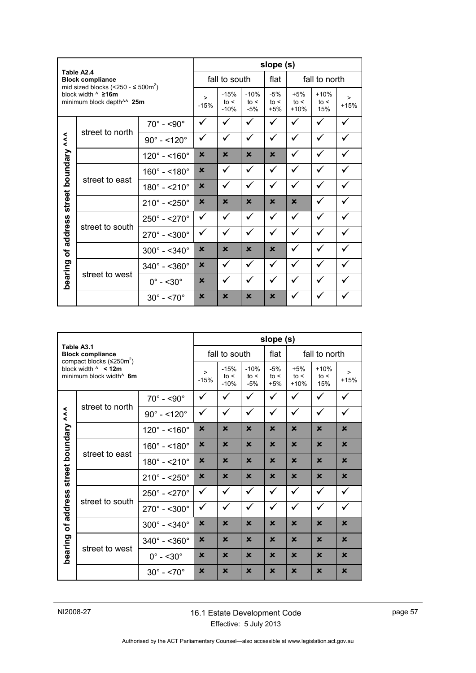|           |                                                                                              |                             |                  |                          |                         | slope (s)              |                         |                       |                  |  |
|-----------|----------------------------------------------------------------------------------------------|-----------------------------|------------------|--------------------------|-------------------------|------------------------|-------------------------|-----------------------|------------------|--|
|           | Table A2.4<br><b>Block compliance</b><br>mid sized blocks (<250 - $\leq$ 500m <sup>2</sup> ) |                             |                  | fall to south            |                         |                        |                         | fall to north         |                  |  |
|           | block width ^ ≥16m<br>minimum block depth <sup>^^</sup> 25m                                  |                             | $\geq$<br>$-15%$ | $-15%$<br>to <<br>$-10%$ | $-10%$<br>to <<br>$-5%$ | $-5%$<br>to <<br>$+5%$ | $+5%$<br>to <<br>$+10%$ | $+10%$<br>to <<br>15% | $\geq$<br>$+15%$ |  |
|           |                                                                                              | $70^\circ$ - <90 $^\circ$   | ✓                |                          |                         | ✓                      | ✓                       | ✓                     |                  |  |
| $\lambda$ | street to north                                                                              | $90^{\circ} - 120^{\circ}$  | ✓                | ✓                        | ✓                       | ✓                      | ✓                       | ✓                     | ✓                |  |
|           |                                                                                              | $120^{\circ} - 160^{\circ}$ | $\mathbf x$      | $\mathbf x$              | $\mathbf x$             | $\mathbf x$            | ✓                       | ✓                     | ✓                |  |
| boundary  |                                                                                              | $160^{\circ} - 180^{\circ}$ | $\mathbf x$      | ✓                        | ✓                       | ✓                      | ✓                       | $\checkmark$          | ✓                |  |
|           | street to east                                                                               | $180^{\circ} - 210^{\circ}$ | $\mathbf x$      | ✓                        | ✓                       | ✓                      | ✓                       | ✓                     | ✓                |  |
| street    |                                                                                              | $210^{\circ} - 250^{\circ}$ | $\mathbf x$      | $\mathbf x$              | $\mathbf x$             | $\mathbf x$            | $\mathbf x$             |                       |                  |  |
|           |                                                                                              | $250^{\circ} - 270^{\circ}$ | ✓                | ✓                        | ✓                       | $\checkmark$           | ✓                       | ✓                     | $\checkmark$     |  |
| address   | street to south                                                                              | $270^{\circ} - 500^{\circ}$ | ✓                | ✓                        | ✓                       | ✓                      | ✓                       | ✓                     | $\checkmark$     |  |
| ৳         |                                                                                              | $300^{\circ} - 340^{\circ}$ | $\mathbf x$      | $\mathbf x$              | $\mathbf x$             | $\mathbf x$            | ✓                       | ✓                     | ✓                |  |
|           |                                                                                              | $340^{\circ} - 360^{\circ}$ | $\mathsf{x}$     | ✓                        | ✓                       | $\checkmark$           | ✓                       | ✓                     |                  |  |
|           | bearing<br>street to west                                                                    | $0^\circ$ - <30 $^\circ$    | $\mathbf x$      |                          |                         | ✓                      |                         |                       |                  |  |
|           |                                                                                              | $30^{\circ} - 5.70^{\circ}$ | $\mathbf x$      | $\mathbf x$              | $\mathbf x$             | $\mathbf x$            |                         |                       |                  |  |

|                                                                                                            |                 | slope (s)                    |                          |                         |                        |                         |                       |                  |              |
|------------------------------------------------------------------------------------------------------------|-----------------|------------------------------|--------------------------|-------------------------|------------------------|-------------------------|-----------------------|------------------|--------------|
| Table A3.1<br><b>Block compliance</b>                                                                      |                 |                              | fall to south            |                         |                        | flat                    | fall to north         |                  |              |
| compact blocks $(\leq 250 \text{m}^2)$<br>block width $\land$ < 12m<br>minimum block width <sup>^</sup> 6m |                 | $\geq$<br>$-15%$             | $-15%$<br>to <<br>$-10%$ | $-10%$<br>to <<br>$-5%$ | $-5%$<br>to <<br>$+5%$ | $+5%$<br>to <<br>$+10%$ | $+10%$<br>to <<br>15% | $\geq$<br>$+15%$ |              |
| $\lambda$<br>boundary<br>street<br>address<br>$\mathbf{b}$<br>bearing                                      | street to north | $70^\circ$ - <90 $^\circ$    | ✓                        | ✓                       | $\checkmark$           | $\checkmark$            | ✓                     | $\checkmark$     | $\checkmark$ |
|                                                                                                            |                 | $90^{\circ} - 120^{\circ}$   | ✓                        | ✓                       | ✓                      | ✓                       | $\checkmark$          | ✓                | ✓            |
|                                                                                                            |                 | $120^{\circ} - 160^{\circ}$  | $\mathbf x$              | $\mathbf x$             | $\mathbf x$            | $\mathbf x$             | $\mathbf x$           | $\mathbf x$      | $\mathbf x$  |
|                                                                                                            | street to east  | $160^{\circ} - 180^{\circ}$  | $\mathbf x$              | $\mathbf x$             | $\mathbf x$            | $\mathbf x$             | $\mathbf x$           | $\mathbf x$      | $\mathbf x$  |
|                                                                                                            |                 | $180^{\circ} - 210^{\circ}$  | $\mathbf x$              | $\mathbf x$             | $\mathbf x$            | $\mathbf x$             | $\mathbf x$           | $\mathbf x$      | $\mathbf x$  |
|                                                                                                            |                 | $210^{\circ} - 250^{\circ}$  | $\mathbf x$              | $\mathbf x$             | $\mathbf x$            | $\mathbf x$             | $\mathbf x$           | $\mathbf x$      | $\mathbf x$  |
|                                                                                                            | street to south | $250^{\circ} - 270^{\circ}$  | $\checkmark$             | ✓                       | ✓                      | ✓                       | $\checkmark$          | $\checkmark$     | ✓            |
|                                                                                                            |                 | $270^\circ$ - <300 $^\circ$  | ✓                        | ✓                       | $\checkmark$           | ✓                       | $\checkmark$          | ✓                | ✓            |
|                                                                                                            |                 | $300^{\circ} - 340^{\circ}$  | $\mathbf x$              | $\mathbf x$             | $\mathbf x$            | $\mathbf x$             | $\mathbf x$           | $\mathbf x$      | $\mathbf x$  |
|                                                                                                            | street to west  | $340^{\circ} - 5360^{\circ}$ | $\mathbf x$              | $\mathbf x$             | $\mathbf x$            | $\mathbf x$             | $\mathbf x$           | $\mathbf x$      | $\mathbf x$  |
|                                                                                                            |                 | $0^\circ$ - <30 $^\circ$     | $\mathbf x$              | $\mathbf x$             | $\mathbf x$            | $\mathbf x$             | $\mathbf x$           | $\mathbf x$      | $\mathbf x$  |
|                                                                                                            |                 | $30^{\circ} - 5.70^{\circ}$  | $\mathbf x$              | $\mathbf x$             | $\mathbf x$            | $\mathbf x$             | $\mathbf x$           | $\mathbf x$      | $\mathbf x$  |